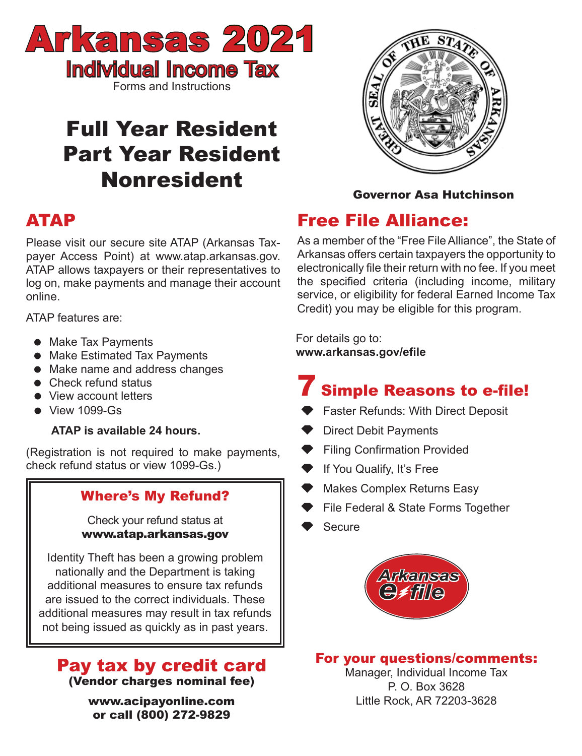

# Full Year Resident Part Year Resident Nonresident

# ATAP

Please visit our secure site ATAP (Arkansas Taxpayer Access Point) at www.atap.arkansas.gov. ATAP allows taxpayers or their representatives to log on, make payments and manage their account online.

ATAP features are:

- Make Tax Payments
- **Make Estimated Tax Payments**
- Make name and address changes
- Check refund status
- View account letters
- $\bullet$  View 1099-Gs

### **ATAP is available 24 hours.**

(Registration is not required to make payments, check refund status or view 1099-Gs.)

## Where's My Refund?

Check your refund status at www.atap.arkansas.gov

Identity Theft has been a growing problem nationally and the Department is taking additional measures to ensure tax refunds are issued to the correct individuals. These additional measures may result in tax refunds not being issued as quickly as in past years.

## Pay tax by credit card (Vendor charges nominal fee)

www.acipayonline.com or call (800) 272-9829



### Governor Asa Hutchinson

# Free File Alliance:

As a member of the "Free File Alliance", the State of Arkansas offers certain taxpayers the opportunity to electronically file their return with no fee. If you meet the specified criteria (including income, military service, or eligibility for federal Earned Income Tax Credit) you may be eligible for this program.

For details go to: **www.arkansas.gov/efile**

# **Simple Reasons to e-file!**

- Faster Refunds: With Direct Deposit
- Direct Debit Payments
- **Filing Confirmation Provided**
- **If You Qualify, It's Free**
- Makes Complex Returns Easy
- File Federal & State Forms Together
- Secure



For your questions/comments:

Manager, Individual Income Tax P. O. Box 3628 Little Rock, AR 72203-3628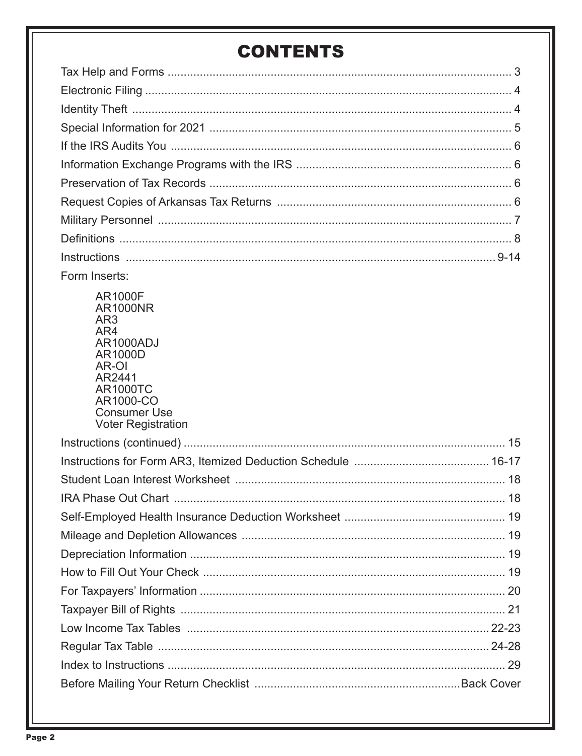# **CONTENTS**

| Form Inserts:                                                                              |
|--------------------------------------------------------------------------------------------|
| <b>AR1000F</b><br><b>AR1000NR</b><br>AR3<br>AR4<br>AR1000ADJ<br>AR1000D<br>AR-OI<br>AR2441 |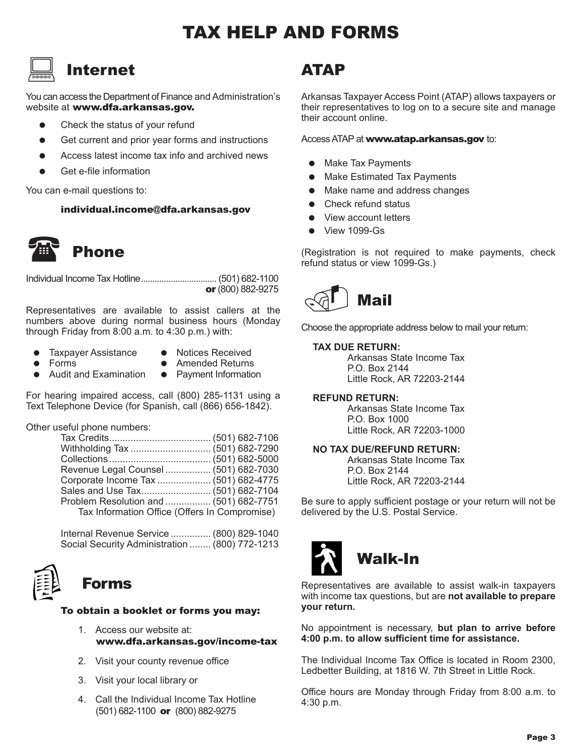# TAX HELP AND FORMS

## Internet  $\boxed{\square}$

You can access the Department of Finance and Administration's website at www.dfa.arkansas.gov.

- Check the status of your refund
- Get current and prior year forms and instructions
- Access latest income tax info and archived news
- Get e-file information

You can e-mail questions to:

individual.income@dfa.arkansas.gov



Phone

Individual Income Tax Hotline................................. (501) 682-1100 or (800) 882-9275

Representatives are available to assist callers at the numbers above during normal business hours (Monday through Friday from 8:00 a.m. to 4:30 p.m.) with:

- Taxpayer Assistance Notices Received<br>● Forms Amended Returns
- 
- 
- Forms Amended Returns<br>• Audit and Examination Payment Information
- Audit and Examination Payment Information

For hearing impaired access, call (800) 285-1131 using a Text Telephone Device (for Spanish, call (866) 656-1842).

Other useful phone numbers:

| Revenue Legal Counsel  (501) 682-7030         |  |
|-----------------------------------------------|--|
| Corporate Income Tax  (501) 682-4775          |  |
|                                               |  |
| Problem Resolution and  (501) 682-7751        |  |
| Tax Information Office (Offers In Compromise) |  |

 Internal Revenue Service ............... (800) 829-1040 Social Security Administration ........ (800) 772-1213

# Forms

### To obtain a booklet or forms you may:

- 1. Access our website at: www.dfa.arkansas.gov/income-tax
- 2. Visit your county revenue office
- 3. Visit your local library or
- 4. Call the Individual Income Tax Hotline (501) 682-1100 or (800) 882-9275

## ATAP

Arkansas Taxpayer Access Point (ATAP) allows taxpayers or their representatives to log on to a secure site and manage their account online.

Access ATAP at www.atap.arkansas.gov to:

- Make Tax Payments
- Make Estimated Tax Payments
- Make name and address changes
- Check refund status
- View account letters
- View 1099-Gs

(Registration is not required to make payments, check refund status or view 1099-Gs.)



Choose the appropriate address below to mail your return:

### **TAX DUE RETURN:**

 Arkansas State Income Tax P.O. Box 2144 Little Rock, AR 72203-2144

### **REFUND RETURN:**

 Arkansas State Income Tax P.O. Box 1000 Little Rock, AR 72203-1000

### **NO TAX DUE/REFUND RETURN:**

 Arkansas State Income Tax P.O. Box 2144 Little Rock, AR 72203-2144

Be sure to apply sufficient postage or your return will not be delivered by the U.S. Postal Service.



Representatives are available to assist walk-in taxpayers with income tax questions, but are **not available to prepare your return.**

No appointment is necessary, **but plan to arrive before 4:00 p.m. to allow sufficient time for assistance.**

The Individual Income Tax Office is located in Room 2300, Ledbetter Building, at 1816 W. 7th Street in Little Rock.

Office hours are Monday through Friday from 8:00 a.m. to 4:30 p.m.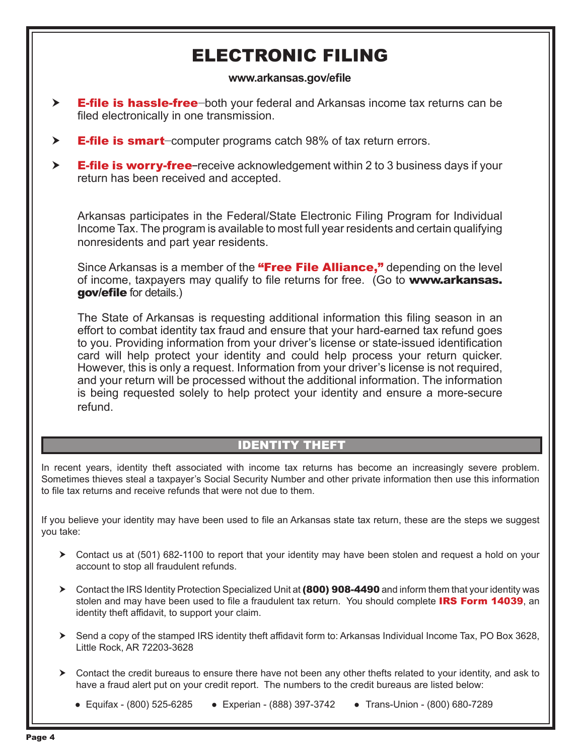# ELECTRONIC FILING

### **www.arkansas.gov/efile**

- $\triangleright$  **E-file is hassle-free**-both your federal and Arkansas income tax returns can be filed electronically in one transmission.
- $\triangleright$  **E-file is smart**-computer programs catch 98% of tax return errors.
- $\triangleright$  **E-file is worry-free**-receive acknowledgement within 2 to 3 business days if your return has been received and accepted.

Arkansas participates in the Federal/State Electronic Filing Program for Individual Income Tax. The program is available to most full year residents and certain qualifying nonresidents and part year residents.

Since Arkansas is a member of the "Free File Alliance," depending on the level of income, taxpayers may qualify to file returns for free. (Go to www.arkansas. gov/efile for details.)

The State of Arkansas is requesting additional information this filing season in an effort to combat identity tax fraud and ensure that your hard-earned tax refund goes to you. Providing information from your driver's license or state-issued identification card will help protect your identity and could help process your return quicker. However, this is only a request. Information from your driver's license is not required, and your return will be processed without the additional information. The information is being requested solely to help protect your identity and ensure a more-secure refund.

### IDENTITY THEFT

In recent years, identity theft associated with income tax returns has become an increasingly severe problem. Sometimes thieves steal a taxpayer's Social Security Number and other private information then use this information to file tax returns and receive refunds that were not due to them.

If you believe your identity may have been used to file an Arkansas state tax return, these are the steps we suggest you take:

- Contact us at (501) 682-1100 to report that your identity may have been stolen and request a hold on your account to stop all fraudulent refunds.
- ▶ Contact the IRS Identity Protection Specialized Unit at (800) 908-4490 and inform them that your identity was stolen and may have been used to file a fraudulent tax return. You should complete **IRS Form 14039**, an identity theft affidavit, to support your claim.
- ▶ Send a copy of the stamped IRS identity theft affidavit form to: Arkansas Individual Income Tax, PO Box 3628, Little Rock, AR 72203-3628
- Contact the credit bureaus to ensure there have not been any other thefts related to your identity, and ask to have a fraud alert put on your credit report. The numbers to the credit bureaus are listed below:

● Equifax - (800) 525-6285 ● Experian - (888) 397-3742 ● Trans-Union - (800) 680-7289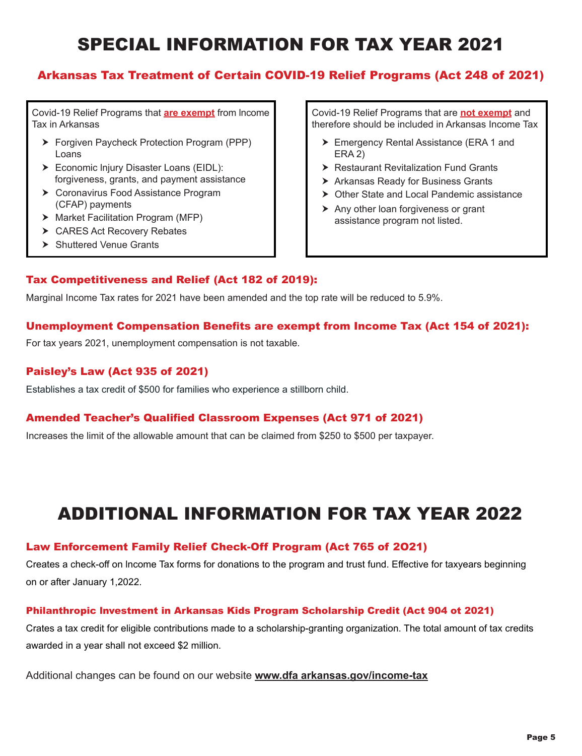# SPECIAL INFORMATION FOR TAX YEAR 2021

### Arkansas Tax Treatment of Certain COVID-19 Relief Programs (Act 248 of 2021)

Covid-19 Relief Programs that **are exempt** from lncome Tax in Arkansas

- ▶ Forgiven Paycheck Protection Program (PPP) Loans
- Economic lnjury Disaster Loans (EIDL): forgiveness, grants, and payment assistance
- ▶ Coronavirus Food Assistance Program (CFAP) payments
- > Market Facilitation Program (MFP)
- ▶ CARES Act Recovery Rebates
- > Shuttered Venue Grants

Covid-19 Relief Programs that are **not exempt** and therefore should be included in Arkansas Income Tax

- ▶ Emergency Rental Assistance (ERA 1 and ERA 2)
- ▶ Restaurant Revitalization Fund Grants
- ▶ Arkansas Ready for Business Grants
- ▶ Other State and Local Pandemic assistance
- $\triangleright$  Any other loan forgiveness or grant assistance program not listed.

### Tax Competitiveness and Relief (Act 182 of 2019):

Marginal Income Tax rates for 2021 have been amended and the top rate will be reduced to 5.9%.

### Unemployment Compensation Benefits are exempt from Income Tax (Act 154 of 2021):

For tax years 2021, unemployment compensation is not taxable.

### Paisley's Law (Act 935 of 2021)

Establishes a tax credit of \$500 for families who experience a stillborn child.

### Amended Teacher's Qualified Classroom Expenses (Act 971 of 2021)

Increases the limit of the allowable amount that can be claimed from \$250 to \$500 per taxpayer.

# ADDITIONAL INFORMATION FOR TAX YEAR 2022

### Law Enforcement Family Relief Check-Off Program (Act 765 of 2O21)

Creates a check-off on lncome Tax forms for donations to the program and trust fund. Effective for taxyears beginning on or after January 1,2022.

### Philanthropic lnvestment in Arkansas Kids Program Scholarship Credit (Act 904 ot 2021)

Crates a tax credit for eligible contributions made to a scholarship-granting organization. The total amount of tax credits awarded in a year shall not exceed \$2 million.

Additional changes can be found on our website **www.dfa arkansas.gov/income-tax**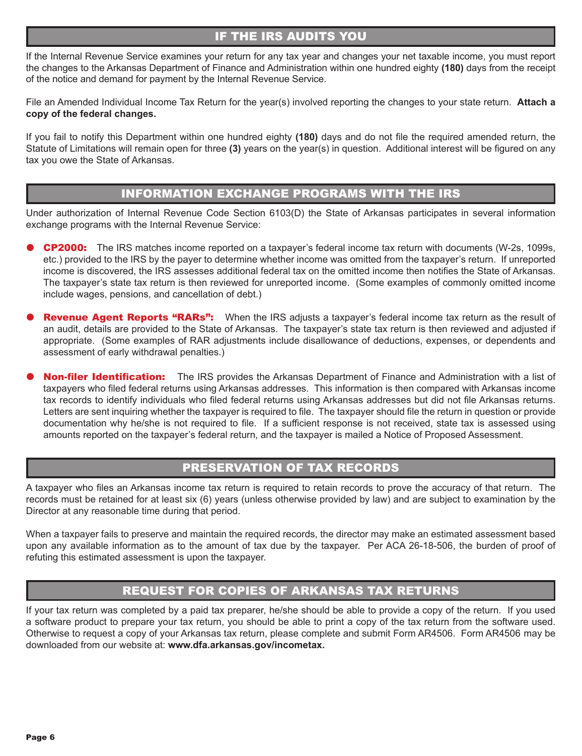### IF THE IRS AUDITS YOU

If the Internal Revenue Service examines your return for any tax year and changes your net taxable income, you must report the changes to the Arkansas Department of Finance and Administration within one hundred eighty **(180)** days from the receipt of the notice and demand for payment by the Internal Revenue Service.

File an Amended Individual Income Tax Return for the year(s) involved reporting the changes to your state return. **Attach a copy of the federal changes.** 

If you fail to notify this Department within one hundred eighty **(180)** days and do not file the required amended return, the Statute of Limitations will remain open for three **(3)** years on the year(s) in question. Additional interest will be figured on any tax you owe the State of Arkansas.

### INFORMATION EXCHANGE PROGRAMS WITH THE IRS

Under authorization of Internal Revenue Code Section 6103(D) the State of Arkansas participates in several information exchange programs with the Internal Revenue Service:

- CP2000: The IRS matches income reported on a taxpayer's federal income tax return with documents (W-2s, 1099s, etc.) provided to the IRS by the payer to determine whether income was omitted from the taxpayer's return. If unreported income is discovered, the IRS assesses additional federal tax on the omitted income then notifies the State of Arkansas. The taxpayer's state tax return is then reviewed for unreported income. (Some examples of commonly omitted income include wages, pensions, and cancellation of debt.)
- **Revenue Agent Reports "RARs":** When the IRS adjusts a taxpayer's federal income tax return as the result of an audit, details are provided to the State of Arkansas. The taxpayer's state tax return is then reviewed and adjusted if appropriate. (Some examples of RAR adjustments include disallowance of deductions, expenses, or dependents and assessment of early withdrawal penalties.)
- Non-filer Identification: The IRS provides the Arkansas Department of Finance and Administration with a list of taxpayers who filed federal returns using Arkansas addresses. This information is then compared with Arkansas income tax records to identify individuals who filed federal returns using Arkansas addresses but did not file Arkansas returns. Letters are sent inquiring whether the taxpayer is required to file. The taxpayer should file the return in question or provide documentation why he/she is not required to file. If a sufficient response is not received, state tax is assessed using amounts reported on the taxpayer's federal return, and the taxpayer is mailed a Notice of Proposed Assessment.

### PRESERVATION OF TAX RECORDS

A taxpayer who files an Arkansas income tax return is required to retain records to prove the accuracy of that return. The records must be retained for at least six (6) years (unless otherwise provided by law) and are subject to examination by the Director at any reasonable time during that period.

When a taxpayer fails to preserve and maintain the required records, the director may make an estimated assessment based upon any available information as to the amount of tax due by the taxpayer. Per ACA 26-18-506, the burden of proof of refuting this estimated assessment is upon the taxpayer.

### REQUEST FOR COPIES OF ARKANSAS TAX RETURNS

If your tax return was completed by a paid tax preparer, he/she should be able to provide a copy of the return. If you used a software product to prepare your tax return, you should be able to print a copy of the tax return from the software used. Otherwise to request a copy of your Arkansas tax return, please complete and submit Form AR4506. Form AR4506 may be downloaded from our website at: **www.dfa.arkansas.gov/incometax.**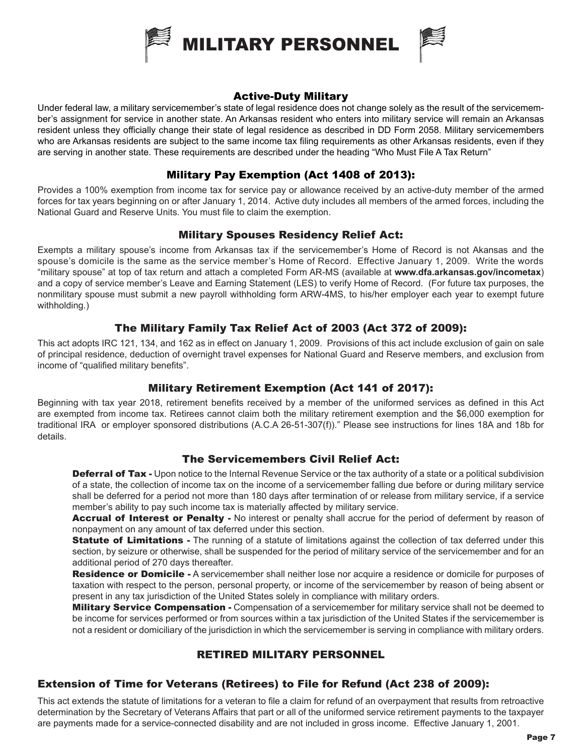

### Active-Duty Military

Under federal law, a military servicemember's state of legal residence does not change solely as the result of the servicemember's assignment for service in another state. An Arkansas resident who enters into military service will remain an Arkansas resident unless they officially change their state of legal residence as described in DD Form 2058. Military servicemembers who are Arkansas residents are subject to the same income tax filing requirements as other Arkansas residents, even if they are serving in another state. These requirements are described under the heading "Who Must File A Tax Return"

### Military Pay Exemption (Act 1408 of 2013):

Provides a 100% exemption from income tax for service pay or allowance received by an active-duty member of the armed forces for tax years beginning on or after January 1, 2014. Active duty includes all members of the armed forces, including the National Guard and Reserve Units. You must file to claim the exemption.

### Military Spouses Residency Relief Act:

Exempts a military spouse's income from Arkansas tax if the servicemember's Home of Record is not Akansas and the spouse's domicile is the same as the service member's Home of Record. Effective January 1, 2009. Write the words "military spouse" at top of tax return and attach a completed Form AR-MS (available at **www.dfa.arkansas.gov/incometax**) and a copy of service member's Leave and Earning Statement (LES) to verify Home of Record. (For future tax purposes, the nonmilitary spouse must submit a new payroll withholding form ARW-4MS, to his/her employer each year to exempt future withholding.)

### The Military Family Tax Relief Act of 2003 (Act 372 of 2009):

This act adopts IRC 121, 134, and 162 as in effect on January 1, 2009. Provisions of this act include exclusion of gain on sale of principal residence, deduction of overnight travel expenses for National Guard and Reserve members, and exclusion from income of "qualified military benefits".

### Military Retirement Exemption (Act 141 of 2017):

Beginning with tax year 2018, retirement benefits received by a member of the uniformed services as defined in this Act are exempted from income tax. Retirees cannot claim both the military retirement exemption and the \$6,000 exemption for traditional IRA or employer sponsored distributions (A.C.A 26-51-307(f))." Please see instructions for lines 18A and 18b for details.

### The Servicemembers Civil Relief Act:

**Deferral of Tax -** Upon notice to the Internal Revenue Service or the tax authority of a state or a political subdivision of a state, the collection of income tax on the income of a servicemember falling due before or during military service shall be deferred for a period not more than 180 days after termination of or release from military service, if a service member's ability to pay such income tax is materially affected by military service.

Accrual of Interest or Penalty - No interest or penalty shall accrue for the period of deferment by reason of nonpayment on any amount of tax deferred under this section.

**Statute of Limitations** - The running of a statute of limitations against the collection of tax deferred under this section, by seizure or otherwise, shall be suspended for the period of military service of the servicemember and for an additional period of 270 days thereafter.

Residence or Domicile - A servicemember shall neither lose nor acquire a residence or domicile for purposes of taxation with respect to the person, personal property, or income of the servicemember by reason of being absent or present in any tax jurisdiction of the United States solely in compliance with military orders.

**Military Service Compensation -** Compensation of a servicemember for military service shall not be deemed to be income for services performed or from sources within a tax jurisdiction of the United States if the servicemember is not a resident or domiciliary of the jurisdiction in which the servicemember is serving in compliance with military orders.

### RETIRED MILITARY PERSONNEL

### Extension of Time for Veterans (Retirees) to File for Refund (Act 238 of 2009):

This act extends the statute of limitations for a veteran to file a claim for refund of an overpayment that results from retroactive determination by the Secretary of Veterans Affairs that part or all of the uniformed service retirement payments to the taxpayer are payments made for a service-connected disability and are not included in gross income. Effective January 1, 2001.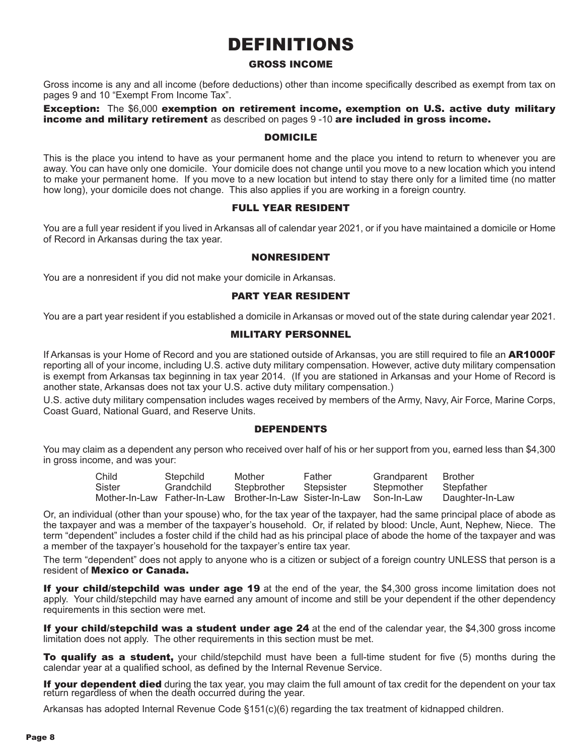# DEFINITIONS

### GROSS INCOME

Gross income is any and all income (before deductions) other than income specifically described as exempt from tax on pages 9 and 10 "Exempt From Income Tax".

Exception: The \$6,000 exemption on retirement income, exemption on U.S. active duty military income and military retirement as described on pages 9 -10 are included in gross income.

### DOMICILE

This is the place you intend to have as your permanent home and the place you intend to return to whenever you are away. You can have only one domicile. Your domicile does not change until you move to a new location which you intend to make your permanent home. If you move to a new location but intend to stay there only for a limited time (no matter how long), your domicile does not change. This also applies if you are working in a foreign country.

### FULL YEAR RESIDENT

You are a full year resident if you lived in Arkansas all of calendar year 2021, or if you have maintained a domicile or Home of Record in Arkansas during the tax year.

### NONRESIDENT

You are a nonresident if you did not make your domicile in Arkansas.

### PART YEAR RESIDENT

You are a part year resident if you established a domicile in Arkansas or moved out of the state during calendar year 2021.

### MILITARY PERSONNEL

If Arkansas is your Home of Record and you are stationed outside of Arkansas, you are still required to file an AR1000F reporting all of your income, including U.S. active duty military compensation. However, active duty military compensation is exempt from Arkansas tax beginning in tax year 2014. (If you are stationed in Arkansas and your Home of Record is another state, Arkansas does not tax your U.S. active duty military compensation.)

U.S. active duty military compensation includes wages received by members of the Army, Navy, Air Force, Marine Corps, Coast Guard, National Guard, and Reserve Units.

### DEPENDENTS

You may claim as a dependent any person who received over half of his or her support from you, earned less than \$4,300 in gross income, and was your:

| Child  | Stepchild  | Mother                                                              | Father     | Grandparent | Brother         |
|--------|------------|---------------------------------------------------------------------|------------|-------------|-----------------|
| Sister | Grandchild | Stepbrother                                                         | Stepsister | Stepmother  | Stepfather      |
|        |            | Mother-In-Law Father-In-Law Brother-In-Law Sister-In-Law Son-In-Law |            |             | Daughter-In-Law |

Or, an individual (other than your spouse) who, for the tax year of the taxpayer, had the same principal place of abode as the taxpayer and was a member of the taxpayer's household. Or, if related by blood: Uncle, Aunt, Nephew, Niece. The term "dependent" includes a foster child if the child had as his principal place of abode the home of the taxpayer and was a member of the taxpayer's household for the taxpayer's entire tax year.

The term "dependent" does not apply to anyone who is a citizen or subject of a foreign country UNLESS that person is a resident of Mexico or Canada.

If your child/stepchild was under age 19 at the end of the year, the \$4,300 gross income limitation does not apply. Your child/stepchild may have earned any amount of income and still be your dependent if the other dependency requirements in this section were met.

If your child/stepchild was a student under age 24 at the end of the calendar year, the \$4,300 gross income limitation does not apply. The other requirements in this section must be met.

**To qualify as a student,** your child/stepchild must have been a full-time student for five (5) months during the calendar year at a qualified school, as defined by the Internal Revenue Service.

If your dependent died during the tax year, you may claim the full amount of tax credit for the dependent on your tax return regardless of when the death occurred during the year.

Arkansas has adopted Internal Revenue Code §151(c)(6) regarding the tax treatment of kidnapped children.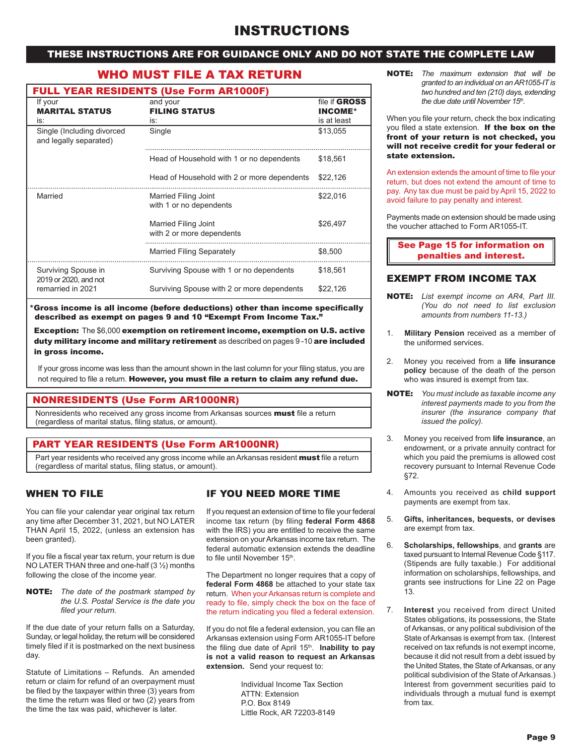### THESE INSTRUCTIONS ARE FOR GUIDANCE ONLY AND DO NOT STATE THE COMPLETE LAW

### WHO MUST FILE A TAX RETURN

| <b>FULL YEAR RESIDENTS (Use Form AR1000F)</b> |  |  |
|-----------------------------------------------|--|--|

| If your<br><b>MARITAL STATUS</b><br>is:              | and your<br><b>FILING STATUS</b><br>is:                | file if <b>GROSS</b><br><b>INCOME*</b><br>is at least |
|------------------------------------------------------|--------------------------------------------------------|-------------------------------------------------------|
| Single (Including divorced<br>and legally separated) | Single                                                 | \$13,055                                              |
|                                                      | Head of Household with 1 or no dependents              | \$18.561                                              |
|                                                      | Head of Household with 2 or more dependents            | \$22,126                                              |
| Married                                              | <b>Married Filing Joint</b><br>with 1 or no dependents | \$22,016                                              |
|                                                      | Married Filing Joint<br>with 2 or more dependents      | \$26,497                                              |
|                                                      | <b>Married Filing Separately</b>                       | \$8,500                                               |
| Surviving Spouse in<br>2019 or 2020, and not         | Surviving Spouse with 1 or no dependents               | \$18,561                                              |
| remarried in 2021                                    | Surviving Spouse with 2 or more dependents             | \$22,126                                              |

\*Gross income is all income (before deductions) other than income specifically described as exempt on pages 9 and 10 "Exempt From Income Tax."

Exception: The \$6,000 exemption on retirement income, exemption on U.S. active duty military income and military retirement as described on pages 9 -10 are included in gross income.

If your gross income was less than the amount shown in the last column for your filing status, you are not required to file a return. However, you must file a return to claim any refund due.

### NONRESIDENTS (Use Form AR1000NR)

Nonresidents who received any gross income from Arkansas sources **must** file a return (regardless of marital status, filing status, or amount).

### PART YEAR RESIDENTS (Use Form AR1000NR)

Part year residents who received any gross income while an Arkansas resident must file a return (regardless of marital status, filing status, or amount).

### WHEN TO FILE

You can file your calendar year original tax return any time after December 31, 2021, but NO LATER THAN April 15, 2022, (unless an extension has been granted).

If you file a fiscal year tax return, your return is due NO LATER THAN three and one-half (3 ½) months following the close of the income year.

NOTE: *The date of the postmark stamped by the U.S. Postal Service is the date you filed your return.*

If the due date of your return falls on a Saturday, Sunday, or legal holiday, the return will be considered timely filed if it is postmarked on the next business day.

Statute of Limitations – Refunds. An amended return or claim for refund of an overpayment must be filed by the taxpayer within three (3) years from the time the return was filed or two (2) years from the time the tax was paid, whichever is later.

### IF YOU NEED MORE TIME

If you request an extension of time to file your federal income tax return (by filing **federal Form 4868**  with the IRS) you are entitled to receive the same extension on your Arkansas income tax return. The federal automatic extension extends the deadline to file until November 15<sup>th</sup>.

The Department no longer requires that a copy of **federal Form 4868** be attached to your state tax return. When your Arkansas return is complete and ready to file, simply check the box on the face of the return indicating you filed a federal extension.

If you do not file a federal extension, you can file an Arkansas extension using Form AR1055-IT before the filing due date of April 15<sup>th</sup>. **Inability to pay is not a valid reason to request an Arkansas extension.** Send your request to:

> Individual Income Tax Section ATTN: Extension P.O. Box 8149 Little Rock, AR 72203-8149

NOTE: *The maximum extension that will be granted to an individual on an AR1055-IT is two hundred and ten (210) days, extending the due date until November 15th.*

When you file your return, check the box indicating you filed a state extension.If the box on the front of your return is not checked, you will not receive credit for your federal or state extension.

An extension extends the amount of time to file your return, but does not extend the amount of time to pay. Any tax due must be paid by April 15, 2022 to avoid failure to pay penalty and interest.

Payments made on extension should be made using the voucher attached to Form AR1055-IT.

See Page 15 for information on penalties and interest.

### EXEMPT FROM INCOME TAX

- NOTE: *List exempt income on AR4, Part III. (You do not need to list exclusion amounts from numbers 11-13.)*
- 1. **Military Pension** received as a member of the uniformed services.
- 2. Money you received from a **life insurance policy** because of the death of the person who was insured is exempt from tax.
- NOTE: *You must include as taxable income any interest payments made to you from the insurer (the insurance company that issued the policy).*
- 3. Money you received from **life insurance**, an endowment, or a private annuity contract for which you paid the premiums is allowed cost recovery pursuant to Internal Revenue Code §72.
- 4. Amounts you received as **child support**  payments are exempt from tax.
- 5. **Gifts, inheritances, bequests, or devises** are exempt from tax.
- 6. **Scholarships, fellowships**, and **grants** are taxed pursuant to Internal Revenue Code §117. (Stipends are fully taxable.) For additional information on scholarships, fellowships, and grants see instructions for Line 22 on Page 13.
- 7. **Interest** you received from direct United States obligations, its possessions, the State of Arkansas, or any political subdivision of the State of Arkansas is exempt from tax. (Interest received on tax refunds is not exempt income, because it did not result from a debt issued by the United States, the State of Arkansas, or any political subdivision of the State of Arkansas.) Interest from government securities paid to individuals through a mutual fund is exempt from tax.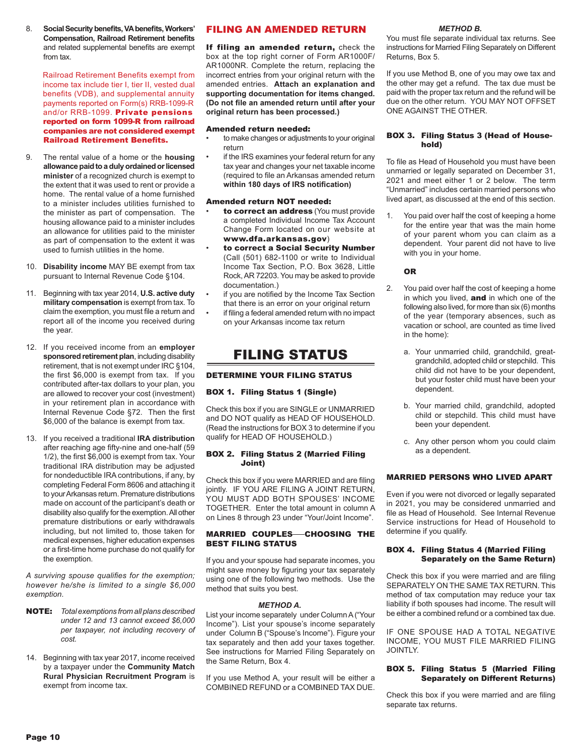8. **Social Security benefits, VA benefits, Workers' Compensation, Railroad Retirement benefits** and related supplemental benefits are exempt from tax.

 Railroad Retirement Benefits exempt from income tax include tier I, tier II, vested dual benefits (VDB), and supplemental annuity payments reported on Form(s) RRB-1099-R and/or RRB-1099. Private pensions reported on form 1099-R from railroad companies are not considered exempt Railroad Retirement Benefits.

- 9. The rental value of a home or the **housing allowance paid to a duly ordained or licensed minister** of a recognized church is exempt to the extent that it was used to rent or provide a home. The rental value of a home furnished to a minister includes utilities furnished to the minister as part of compensation. The housing allowance paid to a minister includes an allowance for utilities paid to the minister as part of compensation to the extent it was used to furnish utilities in the home.
- 10. **Disability income** MAY BE exempt from tax pursuant to Internal Revenue Code §104.
- 11. Beginning with tax year 2014, **U.S. active duty military compensation** is exempt from tax. To claim the exemption, you must file a return and report all of the income you received during the year.
- 12. If you received income from an **employer sponsored retirement plan**, including disability retirement, that is not exempt under IRC §104, the first \$6,000 is exempt from tax. If you contributed after-tax dollars to your plan, you are allowed to recover your cost (investment) in your retirement plan in accordance with Internal Revenue Code §72. Then the first \$6,000 of the balance is exempt from tax.
- 13. If you received a traditional **IRA distribution** after reaching age fifty-nine and one-half (59 1/2), the first \$6,000 is exempt from tax. Your traditional IRA distribution may be adjusted for nondeductible IRA contributions, if any, by completing Federal Form 8606 and attaching it to your Arkansas return. Premature distributions made on account of the participant's death or disability also qualify for the exemption. All other premature distributions or early withdrawals including, but not limited to, those taken for medical expenses, higher education expenses or a first-time home purchase do not qualify for the exemption.

*A surviving spouse qualifies for the exemption; however he/she is limited to a single \$6,000 exemption*.

- NOTE: *Total exemptions from all plans described under 12 and 13 cannot exceed \$6,000 per taxpayer, not including recovery of cost.*
- 14. Beginning with tax year 2017, income received by a taxpayer under the **Community Match Rural Physician Recruitment Program** is exempt from income tax.

### FILING AN AMENDED RETURN

If filing an amended return, check the box at the top right corner of Form AR1000F/ AR1000NR. Complete the return, replacing the incorrect entries from your original return with the amended entries. **Attach an explanation and supporting documentation for items changed. (Do not file an amended return until after your original return has been processed.)**

#### Amended return needed:

- to make changes or adjustments to your original return
- if the IRS examines your federal return for any tax year and changes your net taxable income (required to file an Arkansas amended return **within 180 days of IRS notification)**

#### Amended return NOT needed:

- to correct an address (You must provide a completed Individual Income Tax Account Change Form located on our website at www.dfa.arkansas.gov)
- to correct a Social Security Number (Call (501) 682-1100 or write to Individual Income Tax Section, P.O. Box 3628, Little Rock, AR 72203. You may be asked to provide documentation.)
- if you are notified by the Income Tax Section that there is an error on your original return
- if filing a federal amended return with no impact on your Arkansas income tax return

### FILING STATUS

### DETERMINE YOUR FILING STATUS

### BOX 1. Filing Status 1 (Single)

Check this box if you are SINGLE or UNMARRIED and DO NOT qualify as HEAD OF HOUSEHOLD. (Read the instructions for BOX 3 to determine if you qualify for HEAD OF HOUSEHOLD.)

### BOX 2. Filing Status 2 (Married Filing Joint)

Check this box if you were MARRIED and are filing jointly. IF YOU ARE FILING A JOINT RETURN, YOU MUST ADD BOTH SPOUSES' INCOME TOGETHER. Enter the total amount in column A on Lines 8 through 23 under "Your/Joint Income".

### MARRIED COUPLES-CHOOSING THE BEST FILING STATUS

If you and your spouse had separate incomes, you might save money by figuring your tax separately using one of the following two methods. Use the method that suits you best.

### *METHOD A.*

List your income separately under Column A ("Your Income"). List your spouse's income separately under Column B ("Spouse's Income"). Figure your tax separately and then add your taxes together. See instructions for Married Filing Separately on the Same Return, Box 4.

If you use Method A, your result will be either a COMBINED REFUND or a COMBINED TAX DUE.

#### *METHOD B.*

You must file separate individual tax returns. See instructions for Married Filing Separately on Different Returns, Box 5.

If you use Method B, one of you may owe tax and the other may get a refund. The tax due must be paid with the proper tax return and the refund will be due on the other return. YOU MAY NOT OFFSET ONE AGAINST THE OTHER.

#### BOX 3. Filing Status 3 (Head of Household)

To file as Head of Household you must have been unmarried or legally separated on December 31, 2021 and meet either 1 or 2 below. The term "Unmarried" includes certain married persons who lived apart, as discussed at the end of this section.

1. You paid over half the cost of keeping a home for the entire year that was the main home of your parent whom you can claim as a dependent. Your parent did not have to live with you in your home.

### OR

- 2. You paid over half the cost of keeping a home in which you lived, and in which one of the following also lived, for more than six (6) months of the year (temporary absences, such as vacation or school, are counted as time lived in the home):
	- a. Your unmarried child, grandchild, greatgrandchild, adopted child or stepchild. This child did not have to be your dependent, but your foster child must have been your dependent.
	- b. Your married child, grandchild, adopted child or stepchild. This child must have been your dependent.
	- c. Any other person whom you could claim as a dependent.

### MARRIED PERSONS WHO LIVED APART

Even if you were not divorced or legally separated in 2021, you may be considered unmarried and file as Head of Household. See Internal Revenue Service instructions for Head of Household to determine if you qualify.

### BOX 4. Filing Status 4 (Married Filing Separately on the Same Return)

Check this box if you were married and are filing SEPARATELY ON THE SAME TAX RETURN. This method of tax computation may reduce your tax liability if both spouses had income. The result will be either a combined refund or a combined tax due.

IF ONE SPOUSE HAD A TOTAL NEGATIVE INCOME, YOU MUST FILE MARRIED FILING JOINTLY.

### BOX 5. Filing Status 5 (Married Filing Separately on Different Returns)

Check this box if you were married and are filing separate tax returns.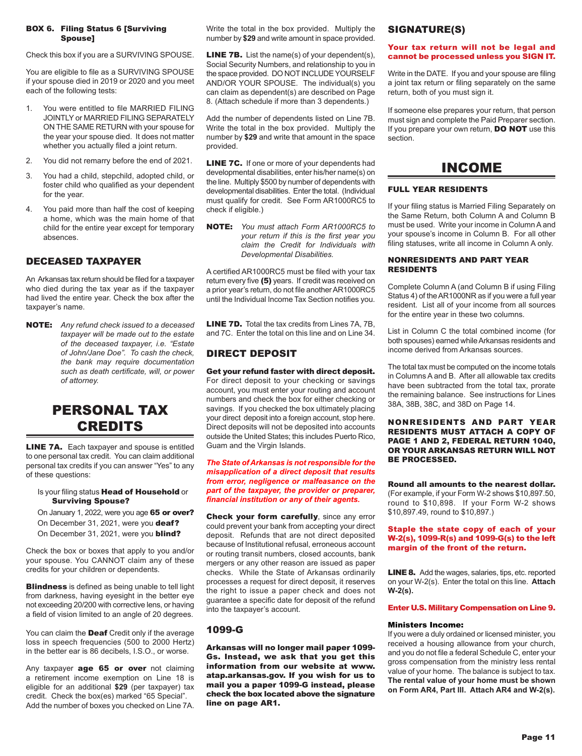#### BOX 6. Filing Status 6 [Surviving Spouse]

Check this box if you are a SURVIVING SPOUSE.

You are eligible to file as a SURVIVING SPOUSE if your spouse died in 2019 or 2020 and you meet each of the following tests:

- 1. You were entitled to file MARRIED FILING JOINTLY or MARRIED FILING SEPARATELY ON THE SAME RETURN with your spouse for the year your spouse died. It does not matter whether you actually filed a joint return.
- 2. You did not remarry before the end of 2021.
- 3. You had a child, stepchild, adopted child, or foster child who qualified as your dependent for the year.
- 4. You paid more than half the cost of keeping a home, which was the main home of that child for the entire year except for temporary absences.

### DECEASED TAXPAYER

An Arkansas tax return should be filed for a taxpayer who died during the tax year as if the taxpayer had lived the entire year. Check the box after the taxpayer's name.

NOTE: *Any refund check issued to a deceased taxpayer will be made out to the estate of the deceased taxpayer, i.e. "Estate of John/Jane Doe". To cash the check, the bank may require documentation such as death certificate, will, or power of attorney.*

## PERSONAL TAX **CREDITS**

LINE 7A. Each taxpayer and spouse is entitled to one personal tax credit. You can claim additional personal tax credits if you can answer "Yes" to any of these questions:

Is your filing status **Head of Household** or Surviving Spouse?

On January 1, 2022, were you age 65 or over? On December 31, 2021, were you deaf? On December 31, 2021, were you **blind?** 

Check the box or boxes that apply to you and/or your spouse. You CANNOT claim any of these credits for your children or dependents.

**Blindness** is defined as being unable to tell light from darkness, having eyesight in the better eye not exceeding 20/200 with corrective lens, or having a field of vision limited to an angle of 20 degrees.

You can claim the **Deaf** Credit only if the average loss in speech frequencies (500 to 2000 Hertz) in the better ear is 86 decibels, I.S.O., or worse.

Any taxpayer **age 65 or over** not claiming a retirement income exemption on Line 18 is eligible for an additional **\$29** (per taxpayer) tax credit. Check the box(es) marked "65 Special". Add the number of boxes you checked on Line 7A.

Write the total in the box provided. Multiply the number by **\$29** and write amount in space provided.

LINE 7B. List the name(s) of your dependent(s), Social Security Numbers, and relationship to you in the space provided. DO NOT INCLUDE YOURSELF AND/OR YOUR SPOUSE. The individual(s) you can claim as dependent(s) are described on Page 8. (Attach schedule if more than 3 dependents.)

Add the number of dependents listed on Line 7B. Write the total in the box provided. Multiply the number by **\$29** and write that amount in the space provided.

LINE 7C. If one or more of your dependents had developmental disabilities, enter his/her name(s) on the line. Multiply \$500 by number of dependents with developmental disabilities. Enter the total. (Individual must qualify for credit. See Form AR1000RC5 to check if eligible.)

NOTE: *You must attach Form AR1000RC5 to your return if this is the first year you claim the Credit for Individuals with Developmental Disabilities.*

A certified AR1000RC5 must be filed with your tax return every five (5) years. If credit was received on a prior year's return, do not file another AR1000RC5 until the Individual Income Tax Section notifies you.

LINE 7D. Total the tax credits from Lines 7A, 7B. and 7C. Enter the total on this line and on Line 34.

### DIRECT DEPOSIT

Get your refund faster with direct deposit. For direct deposit to your checking or savings account, you must enter your routing and account numbers and check the box for either checking or savings. If you checked the box ultimately placing your direct deposit into a foreign account, stop here. Direct deposits will not be deposited into accounts outside the United States; this includes Puerto Rico, Guam and the Virgin Islands.

*The State of Arkansas is not responsible for the misapplication of a direct deposit that results from error, negligence or malfeasance on the part of the taxpayer, the provider or preparer, financial institution or any of their agents.* 

Check your form carefully, since any error could prevent your bank from accepting your direct deposit. Refunds that are not direct deposited because of Institutional refusal, erroneous account or routing transit numbers, closed accounts, bank mergers or any other reason are issued as paper checks. While the State of Arkansas ordinarily processes a request for direct deposit, it reserves the right to issue a paper check and does not guarantee a specific date for deposit of the refund into the taxpayer's account.

### 1099-G

Arkansas will no longer mail paper 1099- Gs. Instead, we ask that you get this information from our website at www. atap.arkansas.gov. If you wish for us to mail you a paper 1099-G instead, please check the box located above the signature line on page AR1.

### SIGNATURE(S)

### Your tax return will not be legal and cannot be processed unless you SIGN IT.

Write in the DATE. If you and your spouse are filing a joint tax return or filing separately on the same return, both of you must sign it.

If someone else prepares your return, that person must sign and complete the Paid Preparer section. If you prepare your own return, **DO NOT** use this section.

### INCOME

### FULL YEAR RESIDENTS

If your filing status is Married Filing Separately on the Same Return, both Column A and Column B must be used. Write your income in Column A and your spouse's income in Column B. For all other filing statuses, write all income in Column A only.

### NONRESIDENTS AND PART YEAR RESIDENTS

Complete Column A (and Column B if using Filing Status 4) of the AR1000NR as if you were a full year resident. List all of your income from all sources for the entire year in these two columns.

List in Column C the total combined income (for both spouses) earned while Arkansas residents and income derived from Arkansas sources.

The total tax must be computed on the income totals in Columns A and B. After all allowable tax credits have been subtracted from the total tax, prorate the remaining balance. See instructions for Lines 38A, 38B, 38C, and 38D on Page 14.

#### NONRESIDENTS AND PART YEAR RESIDENTS MUST ATTACH A COPY OF PAGE 1 AND 2, FEDERAL RETURN 1040, OR YOUR ARKANSAS RETURN WILL NOT BE PROCESSED.

Round all amounts to the nearest dollar. (For example, if your Form W-2 shows \$10,897.50, round to \$10,898. If your Form W-2 shows \$10,897.49, round to \$10,897.)

#### Staple the state copy of each of your W-2(s), 1099-R(s) and 1099-G(s) to the left margin of the front of the return.

LINE 8. Add the wages, salaries, tips, etc. reported on your W-2(s). Enter the total on this line. **Attach W-2(s).**

### Enter U.S. Military Compensation on Line 9.

### Ministers Income:

If you were a duly ordained or licensed minister, you received a housing allowance from your church, and you do not file a federal Schedule C, enter your gross compensation from the ministry less rental value of your home. The balance is subject to tax. **The rental value of your home must be shown on Form AR4, Part III. Attach AR4 and W-2(s).**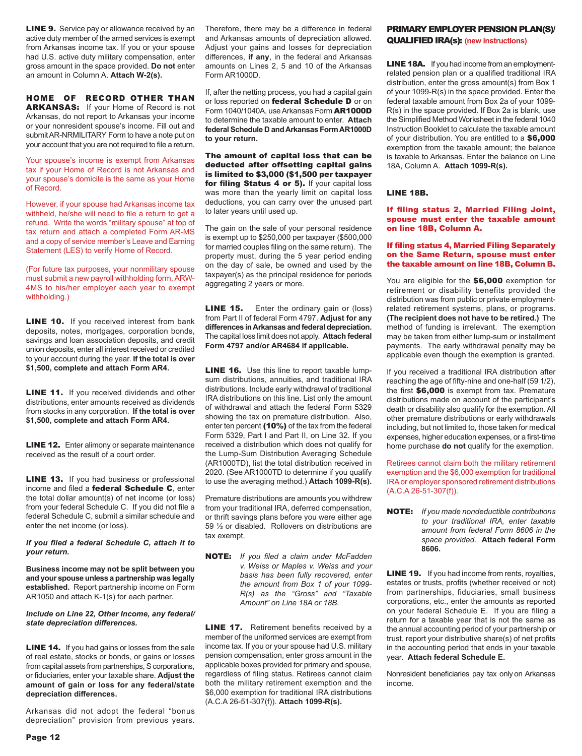**LINE 9.** Service pay or allowance received by an active duty member of the armed services is exempt from Arkansas income tax. If you or your spouse had U.S. active duty military compensation, enter gross amount in the space provided. **Do not** enter an amount in Column A. **Attach W-2(s).** 

### HOME OF RECORD OTHER THAN

ARKANSAS: If your Home of Record is not Arkansas, do not report to Arkansas your income or your nonresident spouse's income. Fill out and submit AR-NRMILITARY Form to have a note put on your account that you are not required to file a return.

Your spouse's income is exempt from Arkansas tax if your Home of Record is not Arkansas and your spouse's domicile is the same as your Home of Record.

However, if your spouse had Arkansas income tax withheld, he/she will need to file a return to get a refund. Write the words "military spouse" at top of tax return and attach a completed Form AR-MS and a copy of service member's Leave and Earning Statement (LES) to verify Home of Record.

(For future tax purposes, your nonmilitary spouse must submit a new payroll withholding form, ARW-4MS to his/her employer each year to exempt withholding.)

**LINE 10.** If you received interest from bank deposits, notes, mortgages, corporation bonds, savings and loan association deposits, and credit union deposits, enter all interest received or credited to your account during the year. **If the total is over \$1,500, complete and attach Form AR4.**

**LINE 11.** If you received dividends and other distributions, enter amounts received as dividends from stocks in any corporation. **If the total is over \$1,500, complete and attach Form AR4.**

**LINE 12.** Enter alimony or separate maintenance received as the result of a court order.

**LINE 13.** If you had business or professional income and filed a **federal Schedule C**, enter the total dollar amount(s) of net income (or loss) from your federal Schedule C. If you did not file a federal Schedule C, submit a similar schedule and enter the net income (or loss).

#### *If you filed a federal Schedule C, attach it to your return.*

**Business income may not be split between you and your spouse unless a partnership was legally established.** Report partnership income on Form AR1050 and attach K-1(s) for each partner.

#### *Include on Line 22, Other Income, any federal/ state depreciation differences.*

**LINE 14.** If you had gains or losses from the sale of real estate, stocks or bonds, or gains or losses from capital assets from partnerships, S corporations, or fiduciaries, enter your taxable share. **Adjust the amount of gain or loss for any federal/state depreciation differences.**

Arkansas did not adopt the federal "bonus depreciation" provision from previous years.

Therefore, there may be a difference in federal and Arkansas amounts of depreciation allowed. Adjust your gains and losses for depreciation differences, **if any**, in the federal and Arkansas amounts on Lines 2, 5 and 10 of the Arkansas Form AR1000D.

If, after the netting process, you had a capital gain or loss reported on federal Schedule D or on Form 1040/1040A, use Arkansas Form AR1000D to determine the taxable amount to enter. **Attach federal Schedule D and Arkansas Form AR1000D to your return.**

The amount of capital loss that can be deducted after offsetting capital gains is limited to \$3,000 (\$1,500 per taxpayer for filing Status 4 or 5). If your capital loss was more than the yearly limit on capital loss deductions, you can carry over the unused part to later years until used up.

The gain on the sale of your personal residence is exempt up to \$250,000 per taxpayer (\$500,000 for married couples filing on the same return). The property must, during the 5 year period ending on the day of sale, be owned and used by the taxpayer(s) as the principal residence for periods aggregating 2 years or more.

**LINE 15.** Enter the ordinary gain or (loss) from Part II of federal Form 4797. **Adjust for any differences in Arkansas and federal depreciation.** The capital loss limit does not apply. **Attach federal Form 4797 and/or AR4684 if applicable.**

LINE 16. Use this line to report taxable lumpsum distributions, annuities, and traditional IRA distributions. Include early withdrawal of traditional IRA distributions on this line. List only the amount of withdrawal and attach the federal Form 5329 showing the tax on premature distribution. Also, enter ten percent (10%) of the tax from the federal Form 5329, Part I and Part II, on Line 32. If you received a distribution which does not qualify for the Lump-Sum Distribution Averaging Schedule (AR1000TD), list the total distribution received in 2020. (See AR1000TD to determine if you qualify to use the averaging method.) **Attach 1099-R(s).**

Premature distributions are amounts you withdrew from your traditional IRA, deferred compensation, or thrift savings plans before you were either age 59 ½ or disabled. Rollovers on distributions are tax exempt.

NOTE: *If you filed a claim under McFadden v. Weiss or Maples v. Weiss and your basis has been fully recovered, enter the amount from Box 1 of your 1099- R(s) as the "Gross" and "Taxable Amount" on Line 18A or 18B.*

**LINE 17.** Retirement benefits received by a member of the uniformed services are exempt from income tax. If you or your spouse had U.S. military pension compensation, enter gross amount in the applicable boxes provided for primary and spouse, regardless of filing status. Retirees cannot claim both the military retirement exemption and the \$6,000 exemption for traditional IRA distributions (A.C.A 26-51-307(f)). **Attach 1099-R(s).**

### PRIMARY EMPLOYER PENSION PLAN(S)/ QUALIFIED IRA(s): **(new instructions)**

LINE 18A. If you had income from an employmentrelated pension plan or a qualified traditional IRA distribution, enter the gross amount(s) from Box 1 of your 1099-R(s) in the space provided. Enter the federal taxable amount from Box 2a of your 1099- R(s) in the space provided. If Box 2a is blank, use the Simplified Method Worksheet in the federal 1040 Instruction Booklet to calculate the taxable amount of your distribution. You are entitled to a \$6,000 exemption from the taxable amount; the balance is taxable to Arkansas. Enter the balance on Line 18A, Column A. **Attach 1099-R(s).**

### LINE 18B.

#### If filing status 2, Married Filing Joint, spouse must enter the taxable amount on line 18B, Column A.

#### If filing status 4, Married Filing Separately on the Same Return, spouse must enter the taxable amount on line 18B, Column B.

You are eligible for the \$6,000 exemption for retirement or disability benefits provided the distribution was from public or private employmentrelated retirement systems, plans, or programs. **(The recipient does not have to be retired.)** The method of funding is irrelevant. The exemption may be taken from either lump-sum or installment payments. The early withdrawal penalty may be applicable even though the exemption is granted.

If you received a traditional IRA distribution after reaching the age of fifty-nine and one-half (59 1/2), the first \$6,000 is exempt from tax. Premature distributions made on account of the participant's death or disability also qualify for the exemption. All other premature distributions or early withdrawals including, but not limited to, those taken for medical expenses, higher education expenses, or a first-time home purchase **do not** qualify for the exemption.

Retirees cannot claim both the military retirement exemption and the \$6,000 exemption for traditional IRA or employer sponsored retirement distributions (A.C.A 26-51-307(f)).

NOTE: *If you made nondeductible contributions to your traditional IRA, enter taxable amount from federal Form 8606 in the space provided.* **Attach federal Form 8606.**

**LINE 19.** If you had income from rents, royalties, estates or trusts, profits (whether received or not) from partnerships, fiduciaries, small business corporations, etc., enter the amounts as reported on your federal Schedule E. If you are filing a return for a taxable year that is not the same as the annual accounting period of your partnership or trust, report your distributive share(s) of net profits in the accounting period that ends in your taxable year. **Attach federal Schedule E.**

Nonresident beneficiaries pay tax only on Arkansas income.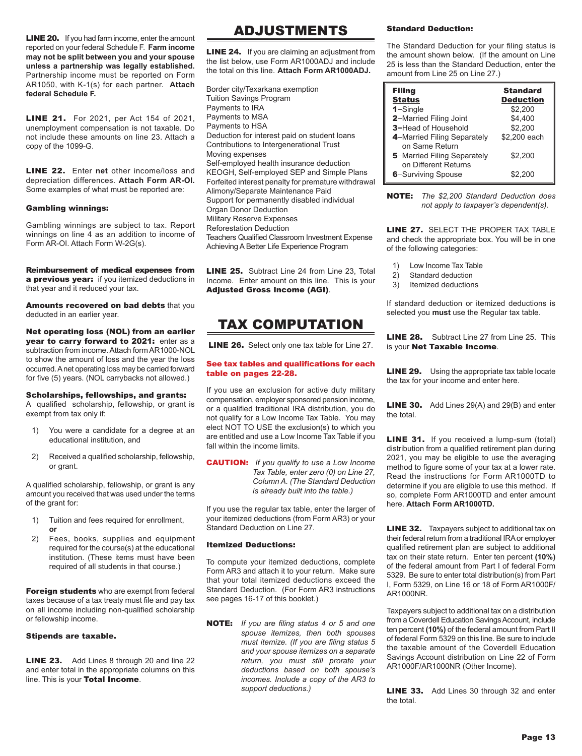**LINE 20.** If you had farm income, enter the amount reported on your federal Schedule F. **Farm income may not be split between you and your spouse unless a partnership was legally established.** Partnership income must be reported on Form AR1050, with K-1(s) for each partner. **Attach federal Schedule F.**

**LINE 21.** For 2021, per Act 154 of 2021, unemployment compensation is not taxable. Do not include these amounts on line 23. Attach a copy of the 1099-G.

LINE 22. Enter **net** other income/loss and depreciation differences. **Attach Form AR-OI.**  Some examples of what must be reported are:

### Gambling winnings:

Gambling winnings are subject to tax. Report winnings on line 4 as an addition to income of Form AR-OI. Attach Form W-2G(s).

Reimbursement of medical expenses from a previous year: if you itemized deductions in that year and it reduced your tax.

Amounts recovered on bad debts that you deducted in an earlier year.

Net operating loss (NOL) from an earlier year to carry forward to 2021: enter as a subtraction from income. Attach form AR1000-NOL to show the amount of loss and the year the loss occurred. A net operating loss may be carried forward for five (5) years. (NOL carrybacks not allowed.)

### Scholarships, fellowships, and grants:

A qualified scholarship, fellowship, or grant is exempt from tax only if:

- 1) You were a candidate for a degree at an educational institution, and
- 2) Received a qualified scholarship, fellowship, or grant.

A qualified scholarship, fellowship, or grant is any amount you received that was used under the terms of the grant for:

- 1) Tuition and fees required for enrollment, **or**
- 2) Fees, books, supplies and equipment required for the course(s) at the educational institution. (These items must have been required of all students in that course.)

Foreign students who are exempt from federal taxes because of a tax treaty must file and pay tax on all income including non-qualified scholarship or fellowship income.

### Stipends are taxable.

LINE 23. Add Lines 8 through 20 and line 22 and enter total in the appropriate columns on this line. This is your Total Income.

### ADJUSTMENTS

**LINE 24.** If you are claiming an adjustment from the list below, use Form AR1000ADJ and include the total on this line. **Attach Form AR1000ADJ.**

Border city/Texarkana exemption Tuition Savings Program Payments to IRA Payments to MSA Payments to HSA Deduction for interest paid on student loans Contributions to Intergenerational Trust Moving expenses Self-employed health insurance deduction KEOGH, Self-employed SEP and Simple Plans Forfeited interest penalty for premature withdrawal Alimony/Separate Maintenance Paid Support for permanently disabled individual Organ Donor Deduction Military Reserve Expenses Reforestation Deduction Teachers Qualified Classroom Investment Expense Achieving A Better Life Experience Program

LINE 25. Subtract Line 24 from Line 23, Total Income. Enter amount on this line. This is your Adjusted Gross Income (AGI).

## TAX COMPUTATION

LINE 26. Select only one tax table for Line 27.

### See tax tables and qualifications for each table on pages 22-28.

If you use an exclusion for active duty military compensation, employer sponsored pension income, or a qualified traditional IRA distribution, you do not qualify for a Low Income Tax Table. You may elect NOT TO USE the exclusion(s) to which you are entitled and use a Low Income Tax Table if you fall within the income limits.

CAUTION: *If you qualify to use a Low Income Tax Table, enter zero (0) on Line 27, Column A. (The Standard Deduction is already built into the table.)* 

If you use the regular tax table, enter the larger of your itemized deductions (from Form AR3) or your Standard Deduction on Line 27.

### Itemized Deductions:

To compute your itemized deductions, complete Form AR3 and attach it to your return. Make sure that your total itemized deductions exceed the Standard Deduction. (For Form AR3 instructions see pages 16-17 of this booklet.)

NOTE: *If you are filing status 4 or 5 and one spouse itemizes, then both spouses must itemize. (If you are filing status 5 and your spouse itemizes on a separate return, you must still prorate your deductions based on both spouse's incomes. Include a copy of the AR3 to support deductions.)*

### Standard Deduction:

The Standard Deduction for your filing status is the amount shown below. (If the amount on Line 25 is less than the Standard Deduction, enter the amount from Line 25 on Line 27.)

| <b>Filing</b>               | <b>Standard</b>  |
|-----------------------------|------------------|
| <b>Status</b>               | <b>Deduction</b> |
| $1 -$ Single                | \$2,200          |
| 2-Married Filing Joint      | \$4.400          |
| 3-Head of Household         | \$2,200          |
| 4-Married Filing Separately | \$2.200 each     |
| on Same Return              |                  |
| 5-Married Filing Separately | \$2.200          |
| on Different Returns        |                  |
| 6-Surviving Spouse          | \$2.200          |

NOTE: *The \$2,200 Standard Deduction does not apply to taxpayer's dependent(s).*

**LINE 27. SELECT THE PROPER TAX TABLE** and check the appropriate box. You will be in one of the following categories:

- 1) Low Income Tax Table
- 2) Standard deduction
- 3) Itemized deductions

If standard deduction or itemized deductions is selected you **must** use the Regular tax table.

LINE 28. Subtract Line 27 from Line 25. This is your Net Taxable Income.

**LINE 29.** Using the appropriate tax table locate the tax for your income and enter here.

**LINE 30.** Add Lines 29(A) and 29(B) and enter the total.

**LINE 31.** If you received a lump-sum (total) distribution from a qualified retirement plan during 2021, you may be eligible to use the averaging method to figure some of your tax at a lower rate. Read the instructions for Form AR1000TD to determine if you are eligible to use this method. If so, complete Form AR1000TD and enter amount here. **Attach Form AR1000TD.**

**LINE 32.** Taxpayers subject to additional tax on their federal return from a traditional IRA or employer qualified retirement plan are subject to additional tax on their state return. Enter ten percent **(10%)** of the federal amount from Part I of federal Form 5329. Be sure to enter total distribution(s) from Part I, Form 5329, on Line 16 or 18 of Form AR1000F/ AR1000NR.

Taxpayers subject to additional tax on a distribution from a Coverdell Education Savings Account, include ten percent **(10%)** of the federal amount from Part II of federal Form 5329 on this line. Be sure to include the taxable amount of the Coverdell Education Savings Account distribution on Line 22 of Form AR1000F/AR1000NR (Other Income).

**LINE 33.** Add Lines 30 through 32 and enter the total.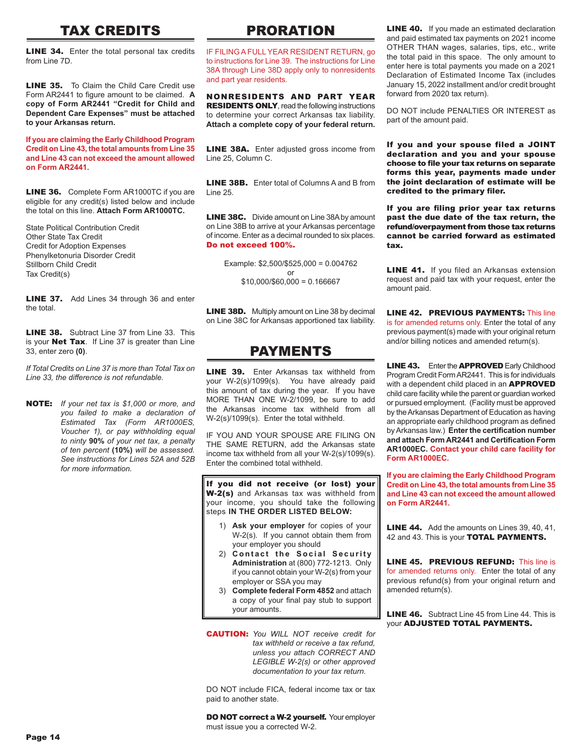## TAX CREDITS

**LINE 34.** Enter the total personal tax credits from Line 7D.

**LINE 35.** To Claim the Child Care Credit use Form AR2441 to figure amount to be claimed. **A copy of Form AR2441 "Credit for Child and Dependent Care Expenses" must be attached to your Arkansas return.**

**If you are claiming the Early Childhood Program Credit on Line 43, the total amounts from Line 35 and Line 43 can not exceed the amount allowed on Form AR2441.**

**LINE 36.** Complete Form AR1000TC if you are eligible for any credit(s) listed below and include the total on this line. **Attach Form AR1000TC.**

State Political Contribution Credit Other State Tax Credit Credit for Adoption Expenses Phenylketonuria Disorder Credit Stillborn Child Credit Tax Credit(s)

**LINE 37.** Add Lines 34 through 36 and enter the total.

LINE 38. Subtract Line 37 from Line 33. This is your **Net Tax**. If Line 37 is greater than Line 33, enter zero **(0)**.

*If Total Credits on Line 37 is more than Total Tax on Line 33, the difference is not refundable.* 

NOTE: *If your net tax is \$1,000 or more, and you failed to make a declaration of Estimated Tax (Form AR1000ES, Voucher 1), or pay withholding equal to ninty* **90%** *of your net tax, a penalty of ten percent* **(10%)** *will be assessed. See instructions for Lines 52A and 52B for more information.*

## PRORATION

IF FILING A FULL YEAR RESIDENT RETURN, go to instructions for Line 39. The instructions for Line 38A through Line 38D apply only to nonresidents and part year residents.

NONRESIDENTS AND PART YEAR RESIDENTS ONLY, read the following instructions to determine your correct Arkansas tax liability. **Attach a complete copy of your federal return.**

**LINE 38A.** Enter adjusted gross income from Line 25, Column C.

LINE 38B. Enter total of Columns A and B from  $line 25$ 

**LINE 38C.** Divide amount on Line 38A by amount on Line 38B to arrive at your Arkansas percentage of income. Enter as a decimal rounded to six places. Do not exceed 100%.

> Example: \$2,500/\$525,000 = 0.004762 or  $$10,000/$60,000 = 0.166667$

**LINE 38D.** Multiply amount on Line 38 by decimal on Line 38C for Arkansas apportioned tax liability.

### PAYMENTS

**LINE 39.** Enter Arkansas tax withheld from your W-2(s)/1099(s). You have already paid this amount of tax during the year. If you have MORE THAN ONE W-2/1099, be sure to add the Arkansas income tax withheld from all W-2(s)/1099(s). Enter the total withheld.

IF YOU AND YOUR SPOUSE ARE FILING ON THE SAME RETURN, add the Arkansas state income tax withheld from all your W-2(s)/1099(s). Enter the combined total withheld.

If you did not receive (or lost) your W-2(s) and Arkansas tax was withheld from your income, you should take the following steps **IN THE ORDER LISTED BELOW:**

- 1) **Ask your employer** for copies of your W-2(s). If you cannot obtain them from your employer you should
- 2) **Contact the Social Security Administration** at (800) 772-1213. Only if you cannot obtain your W-2(s) from your employer or SSA you may
- 3) **Complete federal Form 4852** and attach a copy of your final pay stub to support your amounts.
- CAUTION: *You WILL NOT receive credit for tax withheld or receive a tax refund, unless you attach CORRECT AND LEGIBLE W-2(s) or other approved documentation to your tax return.*

DO NOT include FICA, federal income tax or tax paid to another state.

DO NOT correct a W-2 yourself. Your employer must issue you a corrected W-2.

**LINE 40.** If you made an estimated declaration and paid estimated tax payments on 2021 income OTHER THAN wages, salaries, tips, etc., write the total paid in this space. The only amount to enter here is total payments you made on a 2021 Declaration of Estimated Income Tax (includes January 15, 2022 installment and/or credit brought forward from 2020 tax return).

DO NOT include PENALTIES OR INTEREST as part of the amount paid.

If you and your spouse filed a JOINT declaration and you and your spouse choose to file your tax returns on separate forms this year, payments made under the joint declaration of estimate will be credited to the primary filer.

If you are filing prior year tax returns past the due date of the tax return, the refund/overpayment from those tax returns cannot be carried forward as estimated tax.

**LINE 41.** If you filed an Arkansas extension request and paid tax with your request, enter the amount paid.

LINE 42. PREVIOUS PAYMENTS: This line is for amended returns only. Enter the total of any previous payment(s) made with your original return and/or billing notices and amended return(s).

**LINE 43.** Enter the **APPROVED** Early Childhood Program Credit Form AR2441. This is for individuals with a dependent child placed in an **APPROVED** child care facility while the parent or guardian worked or pursued employment. (Facility must be approved by the Arkansas Department of Education as having an appropriate early childhood program as defined by Arkansas law.) **Enter the certification number and attach Form AR2441 and Certification Form AR1000EC. Contact your child care facility for Form AR1000EC.**

**If you are claiming the Early Childhood Program Credit on Line 43, the total amounts from Line 35 and Line 43 can not exceed the amount allowed on Form AR2441.**

LINE 44.Add the amounts on Lines 39, 40, 41, 42 and 43. This is your **TOTAL PAYMENTS.** 

LINE 45.PREVIOUS REFUND:This line is for amended returns only. Enter the total of any previous refund(s) from your original return and amended return(s).

LINE 46.Subtract Line 45 from Line 44. This is your ADJUSTED TOTAL PAYMENTS.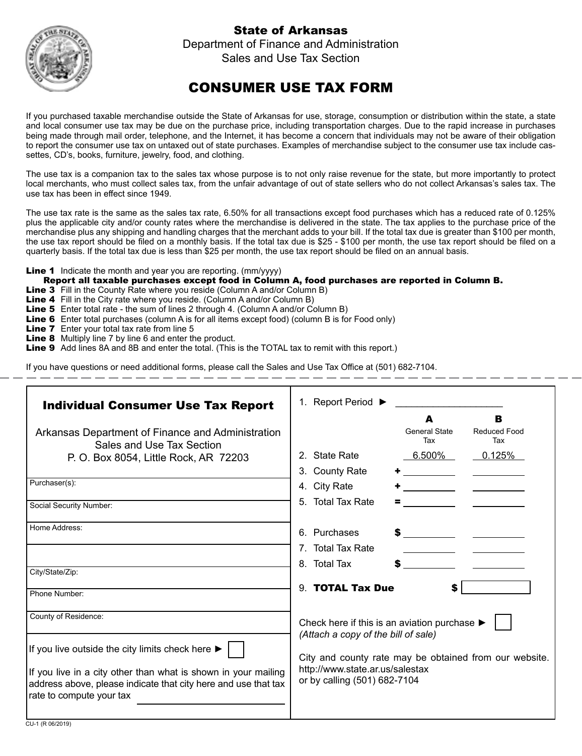### State of Arkansas



Department of Finance and Administration Sales and Use Tax Section

## CONSUMER USE TAX FORM

If you purchased taxable merchandise outside the State of Arkansas for use, storage, consumption or distribution within the state, a state and local consumer use tax may be due on the purchase price, including transportation charges. Due to the rapid increase in purchases being made through mail order, telephone, and the Internet, it has become a concern that individuals may not be aware of their obligation to report the consumer use tax on untaxed out of state purchases. Examples of merchandise subject to the consumer use tax include cassettes, CD's, books, furniture, jewelry, food, and clothing.

The use tax is a companion tax to the sales tax whose purpose is to not only raise revenue for the state, but more importantly to protect local merchants, who must collect sales tax, from the unfair advantage of out of state sellers who do not collect Arkansas's sales tax. The use tax has been in effect since 1949.

The use tax rate is the same as the sales tax rate, 6.50% for all transactions except food purchases which has a reduced rate of 0.125% plus the applicable city and/or county rates where the merchandise is delivered in the state. The tax applies to the purchase price of the merchandise plus any shipping and handling charges that the merchant adds to your bill. If the total tax due is greater than \$100 per month, the use tax report should be filed on a monthly basis. If the total tax due is \$25 - \$100 per month, the use tax report should be filed on a quarterly basis. If the total tax due is less than \$25 per month, the use tax report should be filed on an annual basis.

Line 1 Indicate the month and year you are reporting. (mm/yyyy)

- Report all taxable purchases except food in Column A, food purchases are reported in Column B.
- **Line 3** Fill in the County Rate where you reside (Column A and/or Column B)
- Line 4 Fill in the City rate where you reside. (Column A and/or Column B)
- Line 5 Enter total rate the sum of lines 2 through 4. (Column A and/or Column B)
- Line 6 Enter total purchases (column A is for all items except food) (column B is for Food only)
- **Line 7** Enter your total tax rate from line 5
- **Line 8** Multiply line 7 by line 6 and enter the product.
- Line 9 Add lines 8A and 8B and enter the total. (This is the TOTAL tax to remit with this report.)

If you have questions or need additional forms, please call the Sales and Use Tax Office at (501) 682-7104.

| <b>Individual Consumer Use Tax Report</b>                                                                                                                    | 1. Report Period ▶                                                                  |
|--------------------------------------------------------------------------------------------------------------------------------------------------------------|-------------------------------------------------------------------------------------|
|                                                                                                                                                              | B<br>A                                                                              |
| Arkansas Department of Finance and Administration<br>Sales and Use Tax Section                                                                               | <b>General State</b><br><b>Reduced Food</b><br>Tax<br>Tax                           |
| P. O. Box 8054, Little Rock, AR 72203                                                                                                                        | 2. State Rate<br>$6.500\%$<br>0.125%                                                |
|                                                                                                                                                              | 3. County Rate<br><u> 1999 - Jan Jawa</u>                                           |
| Purchaser(s):                                                                                                                                                | 4. City Rate                                                                        |
| Social Security Number:                                                                                                                                      | 5. Total Tax Rate                                                                   |
| Home Address:                                                                                                                                                | 6. Purchases                                                                        |
|                                                                                                                                                              | 7. Total Tax Rate                                                                   |
|                                                                                                                                                              | <u> 1990 - John Barn Barn, mars ar breis</u><br>8. Total Tax                        |
| City/State/Zip:                                                                                                                                              |                                                                                     |
| Phone Number:                                                                                                                                                | 9. TOTAL Tax Due<br>S                                                               |
| County of Residence:                                                                                                                                         | Check here if this is an aviation purchase ▶<br>(Attach a copy of the bill of sale) |
| If you live outside the city limits check here $\blacktriangleright$                                                                                         | City and county rate may be obtained from our website.                              |
| If you live in a city other than what is shown in your mailing<br>address above, please indicate that city here and use that tax<br>rate to compute your tax | http://www.state.ar.us/salestax<br>or by calling (501) 682-7104                     |
| $CII 4$ (D 08/2010)                                                                                                                                          |                                                                                     |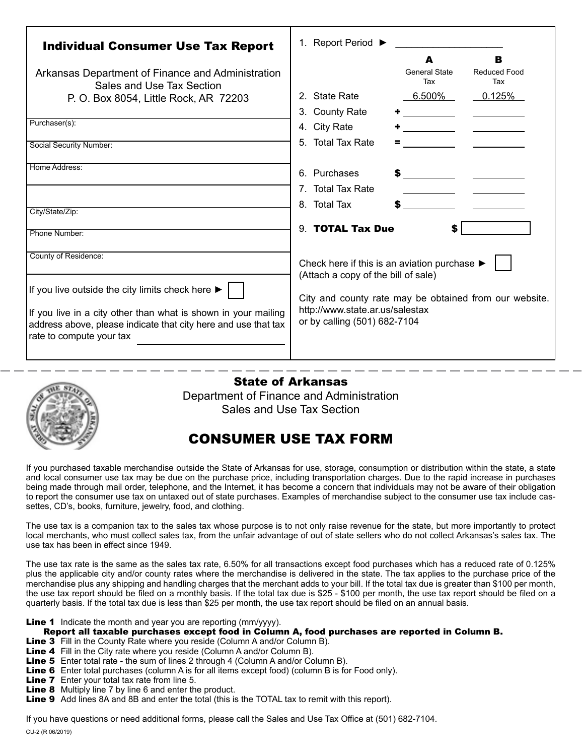| <b>Individual Consumer Use Tax Report</b><br>Arkansas Department of Finance and Administration<br>Sales and Use Tax Section                                                                                                              | 1. Report Period ▶<br>в<br>A<br><b>General State</b><br><b>Reduced Food</b><br>Tax<br>Tax                                                                                                                        |
|------------------------------------------------------------------------------------------------------------------------------------------------------------------------------------------------------------------------------------------|------------------------------------------------------------------------------------------------------------------------------------------------------------------------------------------------------------------|
| P. O. Box 8054, Little Rock, AR 72203                                                                                                                                                                                                    | 2. State Rate<br><u>6.500%</u><br>0.125%<br><u> 1990 - John Barn Barn, mars ar breis</u><br>3. County Rate                                                                                                       |
| Purchaser(s):<br>Social Security Number:                                                                                                                                                                                                 | <u> 1989 - Andrea Station Books, american provident all</u><br>4. City Rate<br>5. Total Tax Rate                                                                                                                 |
| Home Address:<br>City/State/Zip:                                                                                                                                                                                                         | 6. Purchases<br>7. Total Tax Rate<br>8. Total Tax                                                                                                                                                                |
| Phone Number:                                                                                                                                                                                                                            | 9. <b>TOTAL Tax Due</b><br>\$                                                                                                                                                                                    |
| County of Residence:<br>If you live outside the city limits check here ▶<br>If you live in a city other than what is shown in your mailing<br>address above, please indicate that city here and use that tax<br>rate to compute your tax | Check here if this is an aviation purchase I<br>(Attach a copy of the bill of sale)<br>City and county rate may be obtained from our website.<br>http://www.state.ar.us/salestax<br>or by calling (501) 682-7104 |



### State of Arkansas

Department of Finance and Administration Sales and Use Tax Section

### CONSUMER USE TAX FORM

If you purchased taxable merchandise outside the State of Arkansas for use, storage, consumption or distribution within the state, a state and local consumer use tax may be due on the purchase price, including transportation charges. Due to the rapid increase in purchases being made through mail order, telephone, and the Internet, it has become a concern that individuals may not be aware of their obligation to report the consumer use tax on untaxed out of state purchases. Examples of merchandise subject to the consumer use tax include cassettes, CD's, books, furniture, jewelry, food, and clothing.

The use tax is a companion tax to the sales tax whose purpose is to not only raise revenue for the state, but more importantly to protect local merchants, who must collect sales tax, from the unfair advantage of out of state sellers who do not collect Arkansas's sales tax. The use tax has been in effect since 1949.

The use tax rate is the same as the sales tax rate, 6.50% for all transactions except food purchases which has a reduced rate of 0.125% plus the applicable city and/or county rates where the merchandise is delivered in the state. The tax applies to the purchase price of the merchandise plus any shipping and handling charges that the merchant adds to your bill. If the total tax due is greater than \$100 per month, the use tax report should be filed on a monthly basis. If the total tax due is \$25 - \$100 per month, the use tax report should be filed on a quarterly basis. If the total tax due is less than \$25 per month, the use tax report should be filed on an annual basis.

**Line 1** Indicate the month and year you are reporting (mm/yyyy).

- Report all taxable purchases except food in Column A, food purchases are reported in Column B.
- Line 3 Fill in the County Rate where you reside (Column A and/or Column B).
- Line 4 Fill in the City rate where you reside (Column A and/or Column B).
- Line 5 Enter total rate the sum of lines 2 through 4 (Column A and/or Column B).
- Line 6 Enter total purchases (column A is for all items except food) (column B is for Food only).
- **Line 7** Enter your total tax rate from line 5.
- **Line 8** Multiply line 7 by line 6 and enter the product.
- Line 9 Add lines 8A and 8B and enter the total (this is the TOTAL tax to remit with this report).

If you have questions or need additional forms, please call the Sales and Use Tax Office at (501) 682-7104.

CU-2 (R 06/2019)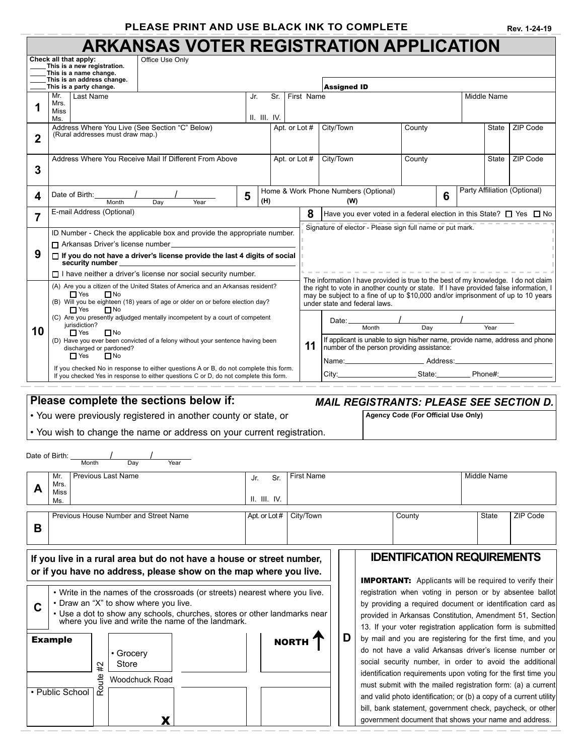### **PLEASE PRINT AND USE BLACK INK TO COMPLETE**

|  |  | Rev. 1-24-19 |
|--|--|--------------|
|--|--|--------------|

# **ARKANSAS VOTER REGISTRATION APPLICATION**

|                                                                                                                                                                                                                                                                                                                                                                                                                                                                                                                                                                                     | Check all that apply:<br>This is a new registration.<br>This is a name change.                                                                                                                                   | Office Use Only    |      |     |                    |                   |                     |                    |                               |                                                                                                                                                                                                                                                                  |          |                             |                    |                                                                                                                                  |
|-------------------------------------------------------------------------------------------------------------------------------------------------------------------------------------------------------------------------------------------------------------------------------------------------------------------------------------------------------------------------------------------------------------------------------------------------------------------------------------------------------------------------------------------------------------------------------------|------------------------------------------------------------------------------------------------------------------------------------------------------------------------------------------------------------------|--------------------|------|-----|--------------------|-------------------|---------------------|--------------------|-------------------------------|------------------------------------------------------------------------------------------------------------------------------------------------------------------------------------------------------------------------------------------------------------------|----------|-----------------------------|--------------------|----------------------------------------------------------------------------------------------------------------------------------|
|                                                                                                                                                                                                                                                                                                                                                                                                                                                                                                                                                                                     | This is an address change.<br>This is a party change.                                                                                                                                                            |                    |      |     |                    |                   |                     | <b>Assigned ID</b> |                               |                                                                                                                                                                                                                                                                  |          |                             |                    |                                                                                                                                  |
| 1                                                                                                                                                                                                                                                                                                                                                                                                                                                                                                                                                                                   | Mr.<br>Last Name<br>Mrs.<br>Miss                                                                                                                                                                                 |                    |      | Jr. | Sr.                | First Name        |                     |                    |                               |                                                                                                                                                                                                                                                                  |          |                             | <b>Middle Name</b> |                                                                                                                                  |
| II. III. IV.<br>Ms.<br>Address Where You Live (See Section "C" Below)<br>(Rural addresses must draw map.)<br>2                                                                                                                                                                                                                                                                                                                                                                                                                                                                      |                                                                                                                                                                                                                  |                    |      |     |                    | Apt. or Lot #     | City/Town<br>County |                    |                               |                                                                                                                                                                                                                                                                  | State    | ZIP Code                    |                    |                                                                                                                                  |
| Address Where You Receive Mail If Different From Above<br>Apt. or Lot #<br>City/Town<br><b>State</b><br>County<br>3                                                                                                                                                                                                                                                                                                                                                                                                                                                                 |                                                                                                                                                                                                                  |                    |      |     |                    |                   |                     | <b>ZIP Code</b>    |                               |                                                                                                                                                                                                                                                                  |          |                             |                    |                                                                                                                                  |
| Party Affiliation (Optional)<br>Home & Work Phone Numbers (Optional)<br>Date of Birth:<br>5<br>6<br>4<br>(H)<br>(W)<br>Month<br>Day<br>Year                                                                                                                                                                                                                                                                                                                                                                                                                                         |                                                                                                                                                                                                                  |                    |      |     |                    |                   |                     |                    |                               |                                                                                                                                                                                                                                                                  |          |                             |                    |                                                                                                                                  |
| E-mail Address (Optional)<br>8<br>Have you ever voted in a federal election in this State? $\Box$ Yes $\Box$ No<br>7                                                                                                                                                                                                                                                                                                                                                                                                                                                                |                                                                                                                                                                                                                  |                    |      |     |                    |                   |                     |                    |                               |                                                                                                                                                                                                                                                                  |          |                             |                    |                                                                                                                                  |
|                                                                                                                                                                                                                                                                                                                                                                                                                                                                                                                                                                                     | ID Number - Check the applicable box and provide the appropriate number.                                                                                                                                         |                    |      |     |                    |                   |                     |                    |                               | Signature of elector - Please sign full name or put mark.                                                                                                                                                                                                        |          |                             |                    |                                                                                                                                  |
| 9                                                                                                                                                                                                                                                                                                                                                                                                                                                                                                                                                                                   | Arkansas Driver's license number_<br>$\Box$ If you do not have a driver's license provide the last 4 digits of social<br>security number<br>$\Box$ I have neither a driver's license nor social security number. |                    |      |     |                    |                   |                     |                    |                               |                                                                                                                                                                                                                                                                  |          |                             |                    |                                                                                                                                  |
|                                                                                                                                                                                                                                                                                                                                                                                                                                                                                                                                                                                     | (A) Are you a citizen of the United States of America and an Arkansas resident?<br>$\Box$ Yes<br>$\Box$ No<br>(B) Will you be eighteen (18) years of age or older on or before election day?                     |                    |      |     |                    |                   |                     |                    | under state and federal laws. | The information I have provided is true to the best of my knowledge. I do not claim<br>the right to vote in another county or state. If I have provided false information, I<br>may be subject to a fine of up to \$10,000 and/or imprisonment of up to 10 years |          |                             |                    |                                                                                                                                  |
| $\Box$ Yes<br>$\Box$ No<br>(C) Are you presently adjudged mentally incompetent by a court of competent<br>Date:<br>jurisdiction?<br>Month<br>Day<br>Year<br>10<br>$\Box$ Yes<br>$\Box$ No<br>If applicant is unable to sign his/her name, provide name, address and phone<br>(D) Have you ever been convicted of a felony without your sentence having been<br>11<br>number of the person providing assistance:<br>discharged or pardoned?<br>$\Box$ Yes<br>$\Box$ No                                                                                                               |                                                                                                                                                                                                                  |                    |      |     |                    |                   |                     |                    |                               |                                                                                                                                                                                                                                                                  |          |                             |                    |                                                                                                                                  |
|                                                                                                                                                                                                                                                                                                                                                                                                                                                                                                                                                                                     | If you checked No in response to either questions A or B, do not complete this form.<br>If you checked Yes in response to either questions C or D, do not complete this form.                                    |                    |      |     |                    |                   |                     | City:              | Name:______________________   |                                                                                                                                                                                                                                                                  | Address: | State:____________Phone#:__ |                    |                                                                                                                                  |
| Please complete the sections below if:<br><b>MAIL REGISTRANTS: PLEASE SEE SECTION D.</b>                                                                                                                                                                                                                                                                                                                                                                                                                                                                                            |                                                                                                                                                                                                                  |                    |      |     |                    |                   |                     |                    |                               |                                                                                                                                                                                                                                                                  |          |                             |                    |                                                                                                                                  |
|                                                                                                                                                                                                                                                                                                                                                                                                                                                                                                                                                                                     | • You were previously registered in another county or state, or<br>Agency Code (For Official Use Only)                                                                                                           |                    |      |     |                    |                   |                     |                    |                               |                                                                                                                                                                                                                                                                  |          |                             |                    |                                                                                                                                  |
| • You wish to change the name or address on your current registration.                                                                                                                                                                                                                                                                                                                                                                                                                                                                                                              |                                                                                                                                                                                                                  |                    |      |     |                    |                   |                     |                    |                               |                                                                                                                                                                                                                                                                  |          |                             |                    |                                                                                                                                  |
| Date of Birth:                                                                                                                                                                                                                                                                                                                                                                                                                                                                                                                                                                      | Month                                                                                                                                                                                                            | Dav                | Year |     |                    |                   |                     |                    |                               |                                                                                                                                                                                                                                                                  |          |                             |                    |                                                                                                                                  |
|                                                                                                                                                                                                                                                                                                                                                                                                                                                                                                                                                                                     | <b>Previous Last Name</b><br>Mr.<br>Mrs.                                                                                                                                                                         |                    |      | Jr. | Sr.                | <b>First Name</b> |                     |                    |                               |                                                                                                                                                                                                                                                                  |          |                             | <b>Middle Name</b> |                                                                                                                                  |
| Α                                                                                                                                                                                                                                                                                                                                                                                                                                                                                                                                                                                   | Miss<br>Ms.                                                                                                                                                                                                      |                    |      |     | $II.$ $III.$ $IV.$ |                   |                     |                    |                               |                                                                                                                                                                                                                                                                  |          |                             |                    |                                                                                                                                  |
| В                                                                                                                                                                                                                                                                                                                                                                                                                                                                                                                                                                                   | Previous House Number and Street Name                                                                                                                                                                            |                    |      |     | Apt. or Lot #      | City/Town         |                     |                    |                               | County                                                                                                                                                                                                                                                           |          |                             | State              | ZIP Code                                                                                                                         |
|                                                                                                                                                                                                                                                                                                                                                                                                                                                                                                                                                                                     |                                                                                                                                                                                                                  |                    |      |     |                    |                   |                     |                    |                               | <b>IDENTIFICATION REQUIREMENTS</b>                                                                                                                                                                                                                               |          |                             |                    |                                                                                                                                  |
|                                                                                                                                                                                                                                                                                                                                                                                                                                                                                                                                                                                     | If you live in a rural area but do not have a house or street number,<br>or if you have no address, please show on the map where you live.                                                                       |                    |      |     |                    |                   |                     |                    |                               |                                                                                                                                                                                                                                                                  |          |                             |                    |                                                                                                                                  |
| <b>IMPORTANT:</b> Applicants will be required to verify their<br>• Write in the names of the crossroads (or streets) nearest where you live.<br>registration when voting in person or by absentee ballot<br>• Draw an "X" to show where you live.<br>by providing a required document or identification card as<br>C<br>• Use a dot to show any schools, churches, stores or other landmarks near<br>provided in Arkansas Constitution, Amendment 51, Section<br>where you live and write the name of the landmark.<br>13. If your voter registration application form is submitted |                                                                                                                                                                                                                  |                    |      |     |                    |                   |                     |                    |                               |                                                                                                                                                                                                                                                                  |          |                             |                    |                                                                                                                                  |
|                                                                                                                                                                                                                                                                                                                                                                                                                                                                                                                                                                                     | <b>Example</b><br>#2                                                                                                                                                                                             | • Grocery<br>Store |      |     |                    | <b>NORTH</b>      |                     | D                  |                               | by mail and you are registering for the first time, and you<br>do not have a valid Arkansas driver's license number or                                                                                                                                           |          |                             |                    | social security number, in order to avoid the additional                                                                         |
|                                                                                                                                                                                                                                                                                                                                                                                                                                                                                                                                                                                     | Route<br>• Public School                                                                                                                                                                                         | Woodchuck Road     |      |     |                    |                   |                     |                    |                               | identification requirements upon voting for the first time you<br>must submit with the mailed registration form: (a) a current                                                                                                                                   |          |                             |                    |                                                                                                                                  |
|                                                                                                                                                                                                                                                                                                                                                                                                                                                                                                                                                                                     |                                                                                                                                                                                                                  | X                  |      |     |                    |                   |                     |                    |                               | government document that shows your name and address.                                                                                                                                                                                                            |          |                             |                    | and valid photo identification; or (b) a copy of a current utility<br>bill, bank statement, government check, paycheck, or other |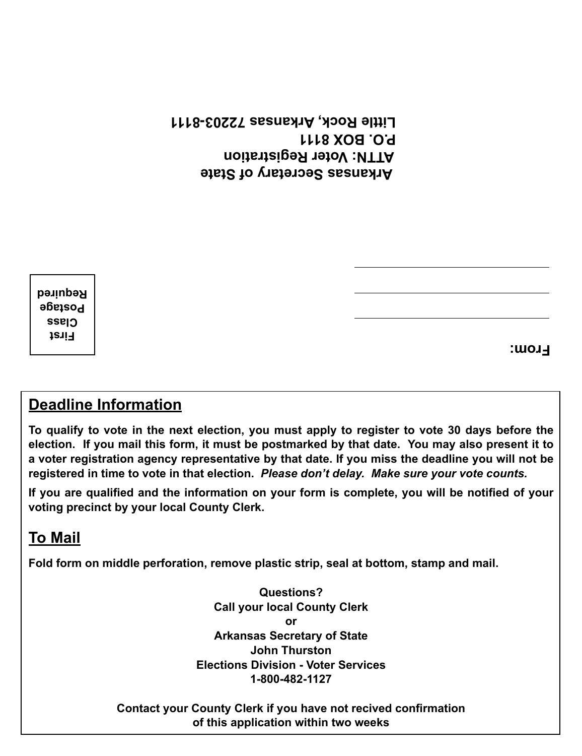**Arkansas Secretary of State ATTN: Voter Registration P.O. BOX 8111 Little Rock, Arkansas 72203-8111**

**First Class Postage Required**

**From:**

## **Deadline Information**

**To qualify to vote in the next election, you must apply to register to vote 30 days before the election. If you mail this form, it must be postmarked by that date. You may also present it to a voter registration agency representative by that date. If you miss the deadline you will not be registered in time to vote in that election.** *Please don't delay. Make sure your vote counts.*

**If you are qualified and the information on your form is complete, you will be notified of your voting precinct by your local County Clerk.**

## **To Mail**

**Fold form on middle perforation, remove plastic strip, seal at bottom, stamp and mail.**

**Questions? Call your local County Clerk or Arkansas Secretary of State John Thurston Elections Division - Voter Services 1-800-482-1127**

**Contact your County Clerk if you have not recived confirmation of this application within two weeks**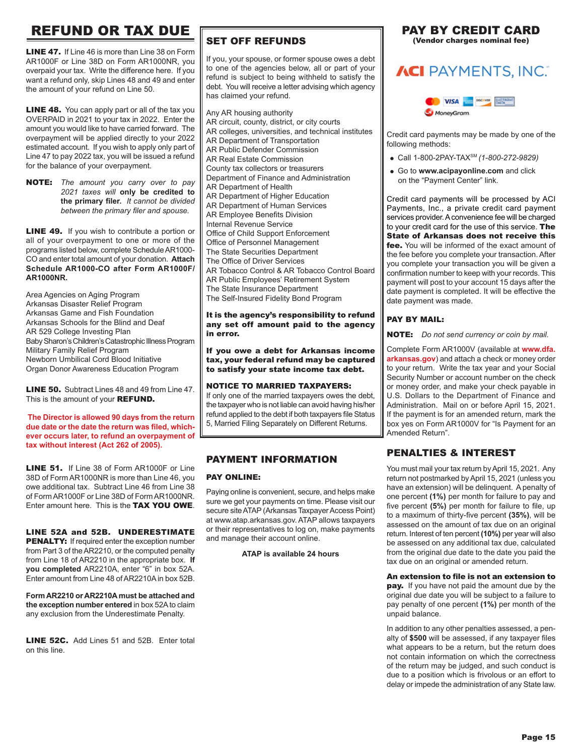## REFUND OR TAX DUE

LINE 47. If Line 46 is more than Line 38 on Form AR1000F or Line 38D on Form AR1000NR, you overpaid your tax. Write the difference here. If you want a refund only, skip Lines 48 and 49 and enter the amount of your refund on Line 50.

**LINE 48.** You can apply part or all of the tax you OVERPAID in 2021 to your tax in 2022. Enter the amount you would like to have carried forward. The overpayment will be applied directly to your 2022 estimated account. If you wish to apply only part of Line 47 to pay 2022 tax, you will be issued a refund for the balance of your overpayment.

NOTE: *The amount you carry over to pay 2021 taxes will* **only be credited to the primary filer.** *It cannot be divided between the primary filer and spouse.*

**LINE 49.** If you wish to contribute a portion or all of your overpayment to one or more of the programs listed below, complete Schedule AR1000- CO and enter total amount of your donation. **Attach Schedule AR1000-CO after Form AR1000F/ AR1000NR.**

Area Agencies on Aging Program Arkansas Disaster Relief Program Arkansas Game and Fish Foundation Arkansas Schools for the Blind and Deaf AR 529 College Investing Plan Baby Sharon's Children's Catastrophic Illness Program Military Family Relief Program Newborn Umbilical Cord Blood Initiative Organ Donor Awareness Education Program

LINE 50. Subtract Lines 48 and 49 from Line 47. This is the amount of your **REFUND.** 

**The Director is allowed 90 days from the return due date or the date the return was filed, whichever occurs later, to refund an overpayment of tax without interest (Act 262 of 2005).**

LINE 51. If Line 38 of Form AR1000F or Line 38D of Form AR1000NR is more than Line 46, you owe additional tax. Subtract Line 46 from Line 38 of Form AR1000F or Line 38D of Form AR1000NR. Enter amount here. This is the TAX YOU OWE.

LINE 52A and 52B. UNDERESTIMATE PENALTY: If required enter the exception number from Part 3 of the AR2210, or the computed penalty from Line 18 of AR2210 in the appropriate box. **If you completed** AR2210A, enter "6" in box 52A. Enter amount from Line 48 of AR2210A in box 52B.

**Form AR2210 or AR2210A must be attached and the exception number entered** in box 52A to claim any exclusion from the Underestimate Penalty.

LINE 52C. Add Lines 51 and 52B. Enter total on this line.

### SET OFF REFUNDS

If you, your spouse, or former spouse owes a debt to one of the agencies below, all or part of your refund is subject to being withheld to satisfy the debt. You will receive a letter advising which agency has claimed your refund.

Any AR housing authority AR circuit, county, district, or city courts AR colleges, universities, and technical institutes AR Department of Transportation AR Public Defender Commission AR Real Estate Commission County tax collectors or treasurers Department of Finance and Administration AR Department of Health AR Department of Higher Education AR Department of Human Services AR Employee Benefits Division Internal Revenue Service Office of Child Support Enforcement Office of Personnel Management The State Securities Department The Office of Driver Services AR Tobacco Control & AR Tobacco Control Board AR Public Employees' Retirement System The State Insurance Department The Self-Insured Fidelity Bond Program

### It is the agency's responsibility to refund any set off amount paid to the agency in error.

If you owe a debt for Arkansas income tax, your federal refund may be captured to satisfy your state income tax debt.

### NOTICE TO MARRIED TAXPAYERS:

If only one of the married taxpayers owes the debt, the taxpayer who is not liable can avoid having his/her refund applied to the debt if both taxpayers file Status 5, Married Filing Separately on Different Returns.

### PAYMENT INFORMATION

### PAY ONLINE:

Paying online is convenient, secure, and helps make sure we get your payments on time. Please visit our secure site ATAP (Arkansas Taxpayer Access Point) at www.atap.arkansas.gov. ATAP allows taxpayers or their representatives to log on, make payments and manage their account online.

### **ATAP is available 24 hours**

### PAY BY CREDIT CARD (Vendor charges nominal fee)

## **ACI** PAYMENTS, INC.



Credit card payments may be made by one of the following methods:

- Call 1-800-2PAY-TAXSM *(1-800-272-9829)*
- Go to **www.acipayonline.com** and click on the "Payment Center" link.

Credit card payments will be processed by ACI Payments, Inc., a private credit card payment services provider. A convenience fee will be charged to your credit card for the use of this service. The State of Arkansas does not receive this fee. You will be informed of the exact amount of the fee before you complete your transaction. After you complete your transaction you will be given a confirmation number to keep with your records. This payment will post to your account 15 days after the date payment is completed. It will be effective the date payment was made.

### PAY BY MAIL:

NOTE: *Do not send currency or coin by mail.*

Complete Form AR1000V (available at **www.dfa. arkansas.gov**) and attach a check or money order to your return. Write the tax year and your Social Security Number or account number on the check or money order, and make your check payable in U.S. Dollars to the Department of Finance and Administration. Mail on or before April 15, 2021. If the payment is for an amended return, mark the box yes on Form AR1000V for "Is Payment for an Amended Return".

### PENALTIES & INTEREST

You must mail your tax return by April 15, 2021. Any return not postmarked by April 15, 2021 (unless you have an extension) will be delinquent. A penalty of one percent **(1%)** per month for failure to pay and five percent **(5%)** per month for failure to file, up to a maximum of thirty-five percent **(35%)**, will be assessed on the amount of tax due on an original return. Interest of ten percent **(10%)** per year will also be assessed on any additional tax due, calculated from the original due date to the date you paid the tax due on an original or amended return.

### An extension to file is not an extension to

pay. If you have not paid the amount due by the original due date you will be subject to a failure to pay penalty of one percent **(1%)** per month of the unpaid balance.

In addition to any other penalties assessed, a penalty of **\$500** will be assessed, if any taxpayer files what appears to be a return, but the return does not contain information on which the correctness of the return may be judged, and such conduct is due to a position which is frivolous or an effort to delay or impede the administration of any State law.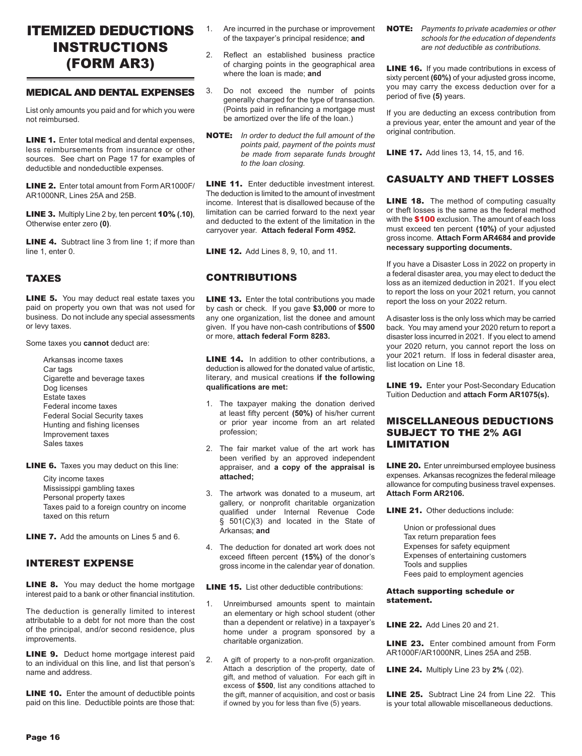### ITEMIZED DEDUCTIONS INSTRUCTIONS (FORM AR3)

### MEDICAL AND DENTAL EXPENSES

List only amounts you paid and for which you were not reimbursed.

LINE 1. Enter total medical and dental expenses, less reimbursements from insurance or other sources. See chart on Page 17 for examples of deductible and nondeductible expenses.

LINE 2. Enter total amount from Form AR1000F/ AR1000NR, Lines 25A and 25B.

LINE 3. Multiply Line 2 by, ten percent 10% **(.10)**, Otherwise enter zero **(0)**.

LINE 4. Subtract line 3 from line 1; if more than line 1, enter 0.

### TAXES

**LINE 5.** You may deduct real estate taxes you paid on property you own that was not used for business. Do not include any special assessments or levy taxes.

Some taxes you **cannot** deduct are:

Arkansas income taxes Car tags Cigarette and beverage taxes Dog licenses Estate taxes Federal income taxes Federal Social Security taxes Hunting and fishing licenses Improvement taxes Sales taxes

**LINE 6.** Taxes you may deduct on this line:

City income taxes Mississippi gambling taxes Personal property taxes Taxes paid to a foreign country on income taxed on this return

LINE 7. Add the amounts on Lines 5 and 6.

### INTEREST EXPENSE

**LINE 8.** You may deduct the home mortgage interest paid to a bank or other financial institution.

The deduction is generally limited to interest attributable to a debt for not more than the cost of the principal, and/or second residence, plus **improvements** 

**LINE 9.** Deduct home mortgage interest paid to an individual on this line, and list that person's name and address.

**LINE 10.** Enter the amount of deductible points paid on this line. Deductible points are those that:

- 1. Are incurred in the purchase or improvement of the taxpayer's principal residence; **and**
- 2. Reflect an established business practice of charging points in the geographical area where the loan is made; **and**
- 3. Do not exceed the number of points generally charged for the type of transaction. (Points paid in refinancing a mortgage must be amortized over the life of the loan.)
- NOTE: *In order to deduct the full amount of the points paid, payment of the points must be made from separate funds brought to the loan closing.*

LINE 11. Enter deductible investment interest. The deduction is limited to the amount of investment income. Interest that is disallowed because of the limitation can be carried forward to the next year and deducted to the extent of the limitation in the carryover year. **Attach federal Form 4952.**

**LINE 12.** Add Lines 8, 9, 10, and 11.

### CONTRIBUTIONS

**LINE 13.** Enter the total contributions you made by cash or check. If you gave **\$3,000** or more to any one organization, list the donee and amount given. If you have non-cash contributions of **\$500**  or more, **attach federal Form 8283.**

**LINE 14.** In addition to other contributions, a deduction is allowed for the donated value of artistic, literary, and musical creations **if the following qualifications are met:**

- 1. The taxpayer making the donation derived at least fifty percent **(50%)** of his/her current or prior year income from an art related profession;
- 2. The fair market value of the art work has been verified by an approved independent appraiser, and **a copy of the appraisal is attached;**
- 3. The artwork was donated to a museum, art gallery, or nonprofit charitable organization qualified under Internal Revenue Code § 501(C)(3) and located in the State of Arkansas; **and**
- 4. The deduction for donated art work does not exceed fifteen percent **(15%)** of the donor's gross income in the calendar year of donation.

LINE 15. List other deductible contributions:

- 1. Unreimbursed amounts spent to maintain an elementary or high school student (other than a dependent or relative) in a taxpayer's home under a program sponsored by a charitable organization.
- 2. A gift of property to a non-profit organization. Attach a description of the property, date of gift, and method of valuation. For each gift in excess of **\$500**, list any conditions attached to the gift, manner of acquisition, and cost or basis if owned by you for less than five (5) years.

NOTE: *Payments to private academies or other schools for the education of dependents are not deductible as contributions.*

**LINE 16.** If you made contributions in excess of sixty percent **(60%)** of your adjusted gross income, you may carry the excess deduction over for a period of five **(5)** years.

If you are deducting an excess contribution from a previous year, enter the amount and year of the original contribution.

**LINE 17.** Add lines 13, 14, 15, and 16.

### CASUALTY AND THEFT LOSSES

**LINE 18.** The method of computing casualty or theft losses is the same as the federal method with the **\$100** exclusion. The amount of each loss must exceed ten percent **(10%)** of your adjusted gross income. **Attach Form AR4684 and provide necessary supporting documents.**

If you have a Disaster Loss in 2022 on property in a federal disaster area, you may elect to deduct the loss as an itemized deduction in 2021. If you elect to report the loss on your 2021 return, you cannot report the loss on your 2022 return.

A disaster loss is the only loss which may be carried back. You may amend your 2020 return to report a disaster loss incurred in 2021. If you elect to amend your 2020 return, you cannot report the loss on your 2021 return. If loss in federal disaster area, list location on Line 18.

**LINE 19.** Enter your Post-Secondary Education Tuition Deduction and **attach Form AR1075(s).**

### MISCELLANEOUS DEDUCTIONS SUBJECT TO THE 2% AGI **LIMITATION**

LINE 20. Enter unreimbursed employee business expenses. Arkansas recognizes the federal mileage allowance for computing business travel expenses. **Attach Form AR2106.**

LINE 21. Other deductions include:

Union or professional dues Tax return preparation fees Expenses for safety equipment Expenses of entertaining customers Tools and supplies Fees paid to employment agencies

### Attach supporting schedule or statement.

LINE 22. Add Lines 20 and 21.

LINE 23. Enter combined amount from Form AR1000F/AR1000NR, Lines 25A and 25B.

LINE 24. Multiply Line 23 by **2%** (.02).

LINE 25. Subtract Line 24 from Line 22. This is your total allowable miscellaneous deductions.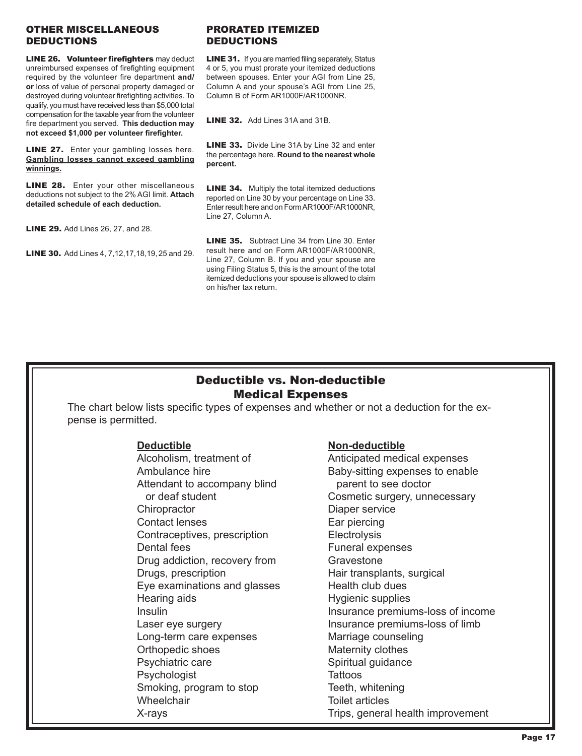### OTHER MISCELLANEOUS DEDUCTIONS

**LINE 26. Volunteer firefighters** may deduct unreimbursed expenses of firefighting equipment required by the volunteer fire department **and/ or** loss of value of personal property damaged or destroyed during volunteer firefighting activities. To qualify, you must have received less than \$5,000 total compensation for the taxable year from the volunteer fire department you served. **This deduction may not exceed \$1,000 per volunteer firefighter.**

**LINE 27.** Enter your gambling losses here. **Gambling losses cannot exceed gambling winnings.**

**LINE 28.** Enter your other miscellaneous deductions not subject to the 2% AGI limit. **Attach detailed schedule of each deduction.**

**LINE 29.** Add Lines 26, 27, and 28.

**LINE 30.** Add Lines 4, 7, 12, 17, 18, 19, 25 and 29.

### PRORATED ITEMIZED DEDUCTIONS

LINE 31. If you are married filing separately, Status 4 or 5, you must prorate your itemized deductions between spouses. Enter your AGI from Line 25, Column A and your spouse's AGI from Line 25, Column B of Form AR1000F/AR1000NR.

LINE 32. Add Lines 31A and 31B.

LINE 33. Divide Line 31A by Line 32 and enter the percentage here. **Round to the nearest whole percent.**

**LINE 34.** Multiply the total itemized deductions reported on Line 30 by your percentage on Line 33. Enter result here and on Form AR1000F/AR1000NR, Line 27, Column A.

LINE 35. Subtract Line 34 from Line 30. Enter result here and on Form AR1000F/AR1000NR, Line 27, Column B. If you and your spouse are using Filing Status 5, this is the amount of the total itemized deductions your spouse is allowed to claim on his/her tax return.

### Deductible vs. Non-deductible Medical Expenses

The chart below lists specific types of expenses and whether or not a deduction for the expense is permitted.

**Deductible Non-deductible** Attendant to accompany blind parent to see doctor Chiropractor **Diaper service** Contact lenses Ear piercing Contraceptives, prescription Electrolysis Dental fees **Funeral expenses** Drug addiction, recovery from Gravestone Drugs, prescription exercise extending Hair transplants, surgical Eye examinations and glasses Health club dues Hearing aids **Hygienic supplies** Long-term care expenses Marriage counseling Orthopedic shoes Maternity clothes Psychiatric care Spiritual guidance Psychologist Tattoos Smoking, program to stop Teeth, whitening Wheelchair **Toilet articles** 

Anticipated medical expenses Ambulance hire **Baby-sitting expenses to enable** or deaf student **Cosmetic surgery, unnecessary** Insulin Insurance premiums-loss of income Laser eye surgery **Insurance premiums-loss of limb** X-rays Trips, general health improvement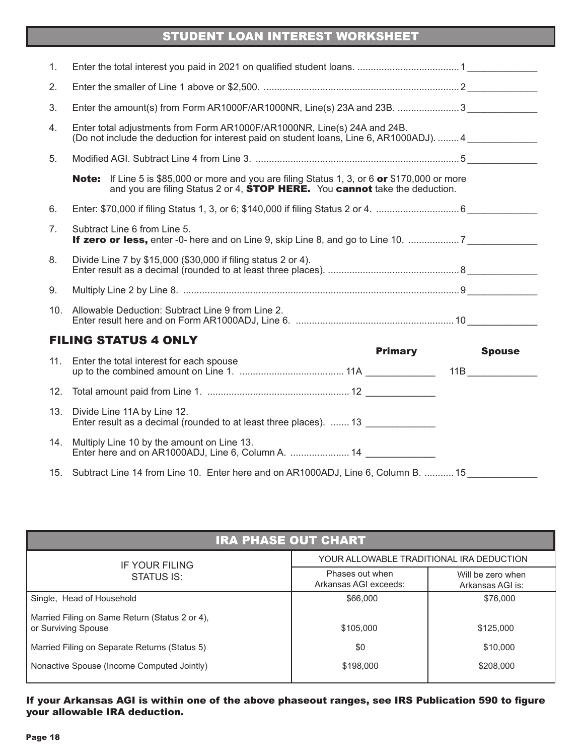## STUDENT LOAN INTEREST WORKSHEET

| 1.  |                                                                                                                                                                                                   |                |               |
|-----|---------------------------------------------------------------------------------------------------------------------------------------------------------------------------------------------------|----------------|---------------|
| 2.  |                                                                                                                                                                                                   |                |               |
| 3.  | Enter the amount(s) from Form AR1000F/AR1000NR, Line(s) 23A and 23B. 3                                                                                                                            |                |               |
| 4.  | Enter total adjustments from Form AR1000F/AR1000NR, Line(s) 24A and 24B.<br>(Do not include the deduction for interest paid on student loans, Line 6, AR1000ADJ).  4                              |                |               |
| 5.  |                                                                                                                                                                                                   |                |               |
|     | <b>Note:</b> If Line 5 is \$85,000 or more and you are filing Status 1, 3, or 6 or \$170,000 or more<br>and you are filing Status 2 or 4, <b>STOP HERE.</b> You <b>cannot</b> take the deduction. |                |               |
| 6.  |                                                                                                                                                                                                   |                |               |
| 7.  | Subtract Line 6 from Line 5.                                                                                                                                                                      |                |               |
| 8.  | Divide Line 7 by \$15,000 (\$30,000 if filing status 2 or 4).                                                                                                                                     |                |               |
| 9.  |                                                                                                                                                                                                   |                |               |
| 10. | Allowable Deduction: Subtract Line 9 from Line 2.                                                                                                                                                 |                |               |
|     | <b>FILING STATUS 4 ONLY</b>                                                                                                                                                                       |                |               |
| 11. | Enter the total interest for each spouse                                                                                                                                                          | <b>Primary</b> | <b>Spouse</b> |
| 12. |                                                                                                                                                                                                   |                |               |
| 13. | Divide Line 11A by Line 12.<br>Enter result as a decimal (rounded to at least three places).  13                                                                                                  |                |               |
| 14. | Multiply Line 10 by the amount on Line 13.<br>Enter here and on AR1000ADJ, Line 6, Column A.  14                                                                                                  |                |               |
|     | 15. Subtract Line 14 from Line 10. Enter here and on AR1000ADJ, Line 6, Column B.  15                                                                                                             |                |               |

| <b>IRA PHASE OUT CHART</b>                                            |                                          |                                       |
|-----------------------------------------------------------------------|------------------------------------------|---------------------------------------|
| IF YOUR FILING                                                        | YOUR ALLOWABLE TRADITIONAL IRA DEDUCTION |                                       |
| STATUS IS:                                                            | Phases out when<br>Arkansas AGI exceeds: | Will be zero when<br>Arkansas AGI is: |
| Single, Head of Household                                             | \$66,000                                 | \$76,000                              |
| Married Filing on Same Return (Status 2 or 4),<br>or Surviving Spouse | \$105,000                                | \$125,000                             |
| Married Filing on Separate Returns (Status 5)                         | \$0                                      | \$10,000                              |
| Nonactive Spouse (Income Computed Jointly)                            | \$198,000                                | \$208,000                             |

### If your Arkansas AGI is within one of the above phaseout ranges, see IRS Publication 590 to figure your allowable IRA deduction.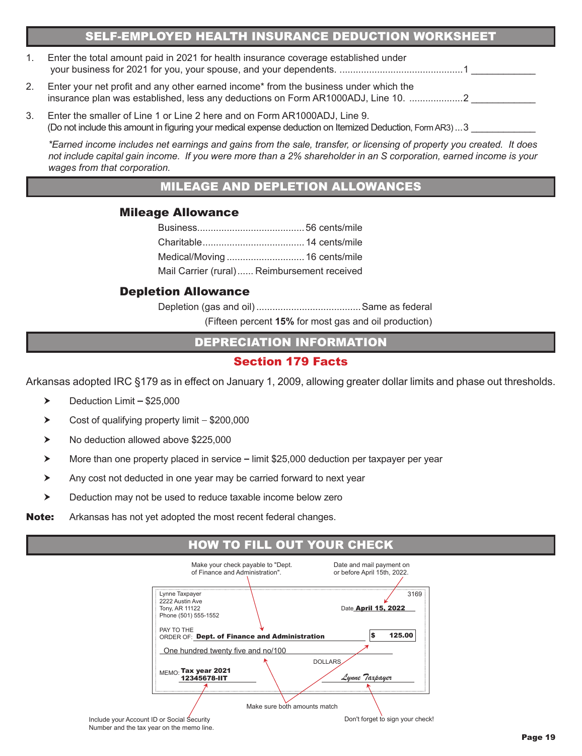### SELF-EMPLOYED HEALTH INSURANCE DEDUCTION WORKSHEET

| Enter the total amount paid in 2021 for health insurance coverage established under |  |
|-------------------------------------------------------------------------------------|--|
|                                                                                     |  |

- 2. Enter your net profit and any other earned income\* from the business under which the insurance plan was established, less any deductions on Form AR1000ADJ, Line 10. ..............................
- 3. Enter the smaller of Line 1 or Line 2 here and on Form AR1000ADJ, Line 9. (Do not include this amount in figuring your medical expense deduction on Itemized Deduction, Form AR3)...3

*\*Earned income includes net earnings and gains from the sale, transfer, or licensing of property you created. It does not include capital gain income. If you were more than a 2% shareholder in an S corporation, earned income is your wages from that corporation.*

### MILEAGE AND DEPLETION ALLOWANCES

### Mileage Allowance

| Mail Carrier (rural) Reimbursement received |  |
|---------------------------------------------|--|
|                                             |  |

### Depletion Allowance

Depletion (gas and oil).......................................Same as federal (Fifteen percent **15%** for most gas and oil production)

DEPRECIATION INFORMATION

### Section 179 Facts

Arkansas adopted IRC §179 as in effect on January 1, 2009, allowing greater dollar limits and phase out thresholds.

- $\blacktriangleright$  Deduction Limit \$25,000
- $\triangleright$  Cost of qualifying property limit  $-$  \$200,000
- ▶ No deduction allowed above \$225,000
- $\triangleright$  More than one property placed in service  $-$  limit \$25,000 deduction per taxpayer per year
- Any cost not deducted in one year may be carried forward to next year
- **EXECUTE:** Deduction may not be used to reduce taxable income below zero
- **Note:** Arkansas has not yet adopted the most recent federal changes.

### HOW TO FILL OUT YOUR CHECK

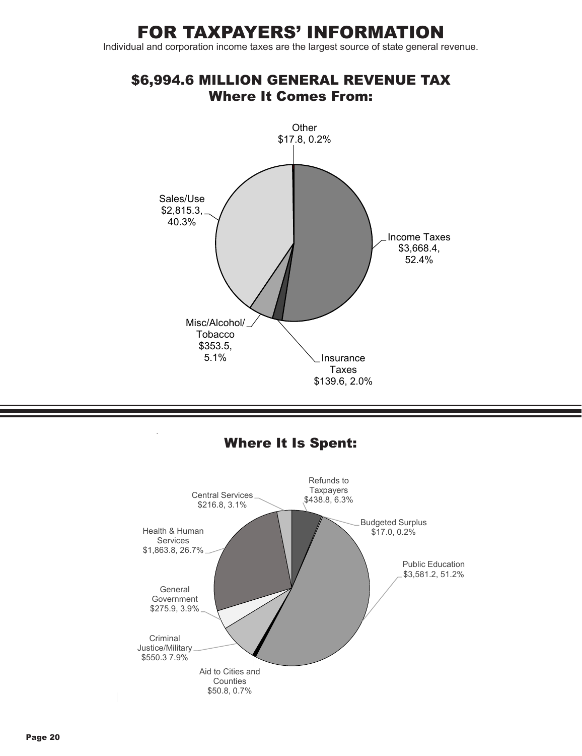# FOR TAXPAYERS' INFORMATION

Individual and corporation income taxes are the largest source of state general revenue.

### \$6,994.6 MILLION GENERAL REVENUE TAX Where It Comes From:



### $\frac{6}{5}$ Where It Is Spent:

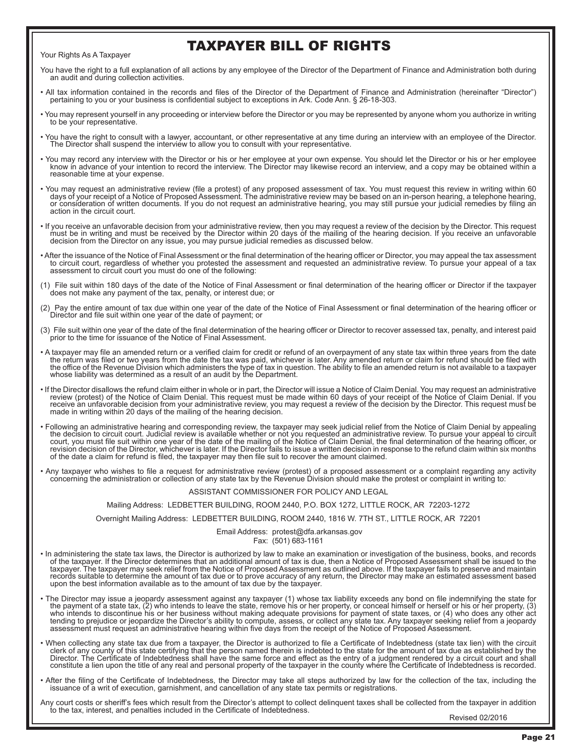#### Your Rights As A Taxpayer

## TAXPAYER BILL OF RIGHTS

You have the right to a full explanation of all actions by any employee of the Director of the Department of Finance and Administration both during an audit and during collection activities.

- All tax information contained in the records and files of the Director of the Department of Finance and Administration (hereinafter "Director") pertaining to you or your business is confidential subject to exceptions in Ark. Code Ann. § 26-18-303.
- You may represent yourself in any proceeding or interview before the Director or you may be represented by anyone whom you authorize in writing to be your representative.
- You have the right to consult with a lawyer, accountant, or other representative at any time during an interview with an employee of the Director.<br>The Director shall suspend the interview to allow you to consult with you
- You may record any interview with the Director or his or her employee at your own expense. You should let the Director or his or her employee You may record ine Director or his or her employee<br>know in advance of your int reasonable time at your expense.
- Nou may request an administrative review (file a protest) of any proposed assessment of tax. You must request this review in writing within 60 You may be based on an in-person hearing, a telephone hearing,<br>, days of you action in the circuit court.
- If you receive an unfavorable decision from your administrative review, then you may request a review of the decision by the Director. This request must be in writing and must be received by the Director within 20 days of the mailing of the hearing decision. If you receive an unfavorable decision from the Director on any issue, you may pursue judicial remedies as discussed below.
- After the issuance of the Notice of Final Assessment or the final determination of the hearing officer or Director, you may appeal the tax assessment to circuit court, regardless of whether you protested the assessment and requested an administrative review. To pursue your appeal of a tax assessment to circuit court you must do one of the following:
- (1) File suit within 180 days of the date of the Notice of Final Assessment or final determination of the hearing officer or Director if the taxpayer does not make any payment of the tax, penalty, or interest due; or
- (2) Pay the entire amount of tax due within one year of the date of the Notice of Final Assessment or final determination of the hearing officer or Director and file suit within one year of the date of payment; or
- (3) File suit within one year of the date of the final determination of the hearing officer or Director to recover assessed tax, penalty, and interest paid prior to the time for issuance of the Notice of Final Assessment.
- A taxpayer may file an amended return or a verified claim for credit or refund of an overpayment of any state tax within three years from the date the return was filed or two years from the date the tax was paid, whichever is later. Any amended return or claim for refund should be filed with the office of the Revenue Division which administers the type of tax in question. The ability to file an amended return is not available to a taxpayer whose liability was determined as a result of an audit by the Department.
- If the Director disallows the refund claim either in whole or in part, the Director will issue a Notice of Claim Denial. You may request an administrative review (protest) of the Notice of Claim Denial. This request must b made in writing within 20 days of the mailing of the hearing decision.
- Following an administrative hearing and corresponding review, the taxpayer may seek judicial relief from the Notice of Claim Denial by appealing<br>the decision to circuit court. Judicial review is available whether or not court, you must file suit within one year of the date of the mailing of the Notice of Claim Denial, the final determination of the hearing officer, or<br>revision decision of the Director, whichever is later. If the Director
- Any taxpayer who wishes to file a request for administrative review (protest) of a proposed assessment or a complaint regarding any activity<br>concerning the administration or collection of any state tax by the Revenue Div

#### ASSISTANT COMMISSIONER FOR POLICY AND LEGAL

#### Mailing Address: LEDBETTER BUILDING, ROOM 2440, P.O. BOX 1272, LITTLE ROCK, AR 72203-1272

Overnight Mailing Address: LEDBETTER BUILDING, ROOM 2440, 1816 W. 7TH ST., LITTLE ROCK, AR 72201

#### Email Address: protest@dfa.arkansas.gov

Fax: (501) 683-1161

- In administering the state tax laws, the Director is authorized by law to make an examination or investigation of the business, books, and records of the taxpayer. If the Director determines that an additional amount of tax is due, then a Notice of Proposed Assessment shall be issued to the taxpayer. The taxpayer may seek relief from the Notice of Proposed Assessment as outlined above. If the taxpayer fails to preserve and maintain records suitable to determine the amount of tax due or to prove accuracy of any return, the Director may make an estimated assessment based upon the best information available as to the amount of tax due by the taxpayer.
- The Director may issue a jeopardy assessment against any taxpayer (1) whose tax liability exceeds any bond on file indemnifying the state for the payment of a state tax, (2) who intends to leave the state, remove his or her property, or conceal himself or herself or his or her property, (3) who intends to discontinue his or her business without making adequate provisions for payment of state taxes, or (4) who does any other act tending to prejudice or jeopardize the Director's ability to compute, assess, or collect any state tax. Any taxpayer seeking relief from a jeopardy<br>assessment must request an administrative hearing within five days from th
- When collecting any state tax due from a taxpayer, the Director is authorized to file a Certificate of Indebtedness (state tax lien) with the circuit •<br>clerk of any county of this state certifying that the person named the constitute a lien upon the title of any real and personal property of the taxpayer in the county where the Certificate of Indebtedness is recorded.
- After the filing of the Certificate of Indebtedness, the Director may take all steps authorized by law for the collection of the tax, including the issuance of a writ of execution, garnishment, and cancellation of any state tax permits or registrations.

Any court costs or sheriff's fees which result from the Director's attempt to collect delinquent taxes shall be collected from the taxpayer in addition to the tax, interest, and penalties included in the Certificate of Indebtedness.<br>Revised 02/2016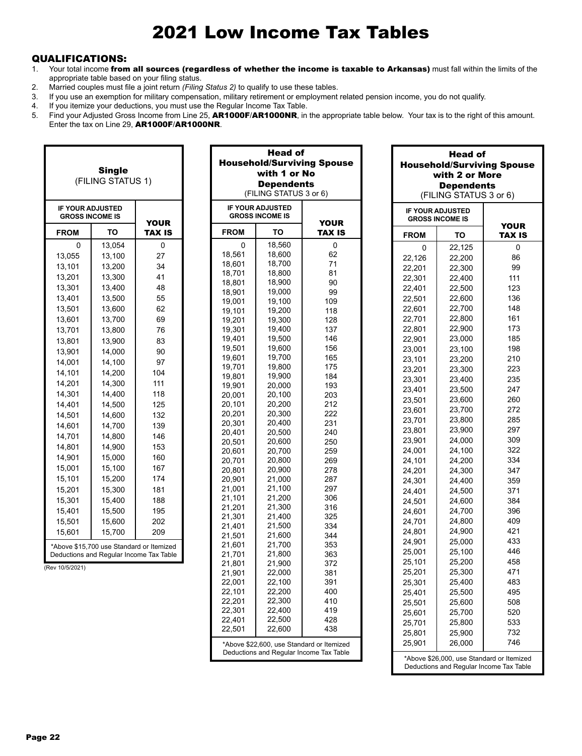# 2021 Low Income Tax Tables

### QUALIFICATIONS:

I

- 1. Your total income from all sources (regardless of whether the income is taxable to Arkansas) must fall within the limits of the appropriate table based on your filing status.
- 2. Married couples must file a joint return *(Filing Status 2)* to qualify to use these tables.

٦

Г

- 3. If you use an exemption for military compensation, military retirement or employment related pension income, you do not qualify.
- If you itemize your deductions, you must use the Regular Income Tax Table.
- 5. Find your Adjusted Gross Income from Line 25, AR1000F/AR1000NR, in the appropriate table below. Your tax is to the right of this amount. Enter the tax on Line 29, AR1000F/AR1000NR.

Head of

|                                                   | <b>Single</b><br>(FILING STATUS 1)                                                  |               |                  |             | <b>Head of</b><br>with 1 or No<br><b>Dependents</b><br>(FILING STATUS 3 or 6) | <b>Household/Surviving Spouse</b>         | <b>Head of</b><br><b>Household/Surviving Spouse</b><br>with 2 or More<br><b>Dependents</b><br>(FILING STATUS 3 or 6) |                                                                                      |                              |
|---------------------------------------------------|-------------------------------------------------------------------------------------|---------------|------------------|-------------|-------------------------------------------------------------------------------|-------------------------------------------|----------------------------------------------------------------------------------------------------------------------|--------------------------------------------------------------------------------------|------------------------------|
| <b>IF YOUR ADJUSTED</b><br><b>GROSS INCOME IS</b> |                                                                                     | <b>YOUR</b>   |                  |             | <b>IF YOUR ADJUSTED</b><br><b>GROSS INCOME IS</b>                             | <b>YOUR</b>                               |                                                                                                                      | <b>IF YOUR ADJUSTED</b><br><b>GROSS INCOME IS</b>                                    |                              |
| <b>FROM</b>                                       | ΤО                                                                                  | <b>TAX IS</b> | <b>FROM</b>      |             | TO                                                                            | <b>TAX IS</b>                             | <b>FROM</b>                                                                                                          | TO                                                                                   | <b>YOUR</b><br><b>TAX IS</b> |
| 0                                                 | 13,054                                                                              | 0             |                  | $\mathbf 0$ | 18,560                                                                        | 0                                         | 0                                                                                                                    | 22,125                                                                               | 0                            |
| 13,055                                            | 13,100                                                                              | 27            | 18,561           |             | 18.600                                                                        | 62                                        | 22,126                                                                                                               | 22,200                                                                               | 86                           |
| 13,101                                            | 13,200                                                                              | 34            | 18,601           |             | 18,700                                                                        | 71                                        | 22,201                                                                                                               | 22,300                                                                               | 99                           |
| 13,201                                            | 13,300                                                                              | 41            | 18,701           |             | 18,800                                                                        | 81                                        | 22,301                                                                                                               | 22,400                                                                               | 111                          |
| 13,301                                            | 13,400                                                                              | 48            | 18,801<br>18,901 |             | 18,900<br>19,000                                                              | 90<br>99                                  | 22,401                                                                                                               | 22,500                                                                               | 123                          |
| 13,401                                            | 13,500                                                                              | 55            | 19,001           |             | 19,100                                                                        | 109                                       | 22,501                                                                                                               | 22,600                                                                               | 136                          |
| 13,501                                            | 13,600                                                                              | 62            | 19,101           |             | 19,200                                                                        | 118                                       | 22,601                                                                                                               | 22,700                                                                               | 148                          |
| 13,601                                            | 13,700                                                                              | 69            | 19,201           |             | 19,300                                                                        | 128                                       | 22,701                                                                                                               | 22,800                                                                               | 161                          |
| 13,701                                            | 13,800                                                                              | 76            | 19,301           |             | 19,400                                                                        | 137                                       | 22,801                                                                                                               | 22,900                                                                               | 173                          |
| 13,801                                            | 13,900                                                                              | 83            | 19,401           |             | 19,500                                                                        | 146                                       | 22,901                                                                                                               | 23,000                                                                               | 185                          |
| 13,901                                            | 14,000                                                                              | 90            | 19.501           |             | 19,600                                                                        | 156                                       | 23,001                                                                                                               | 23,100                                                                               | 198                          |
| 14,001                                            | 14,100                                                                              | 97            | 19,601           |             | 19,700                                                                        | 165                                       | 23,101                                                                                                               | 23,200                                                                               | 210                          |
| 14,101                                            | 14,200                                                                              | 104           | 19,701           |             | 19,800                                                                        | 175                                       | 23,201                                                                                                               | 23,300                                                                               | 223                          |
|                                                   |                                                                                     |               | 19,801           |             | 19,900                                                                        | 184                                       | 23,301                                                                                                               | 23,400                                                                               | 235                          |
| 14,201                                            | 14,300                                                                              | 111           | 19,901           |             | 20,000                                                                        | 193                                       | 23,401                                                                                                               | 23,500                                                                               | 247                          |
| 14,301                                            | 14,400                                                                              | 118           | 20,001           |             | 20,100                                                                        | 203                                       | 23,501                                                                                                               | 23,600                                                                               | 260                          |
| 14,401                                            | 14,500                                                                              | 125           | 20,101           |             | 20,200<br>20,300                                                              | 212                                       | 23,601                                                                                                               | 23,700                                                                               | 272                          |
| 14,501                                            | 14,600                                                                              | 132           | 20,201<br>20,301 |             | 20,400                                                                        | 222<br>231                                | 23,701                                                                                                               | 23,800                                                                               | 285                          |
| 14,601                                            | 14,700                                                                              | 139           | 20,401           |             | 20,500                                                                        | 240                                       | 23,801                                                                                                               | 23,900                                                                               | 297                          |
| 14,701                                            | 14,800                                                                              | 146           | 20,501           |             | 20,600                                                                        | 250                                       | 23,901                                                                                                               | 24,000                                                                               | 309                          |
| 14,801                                            | 14,900                                                                              | 153           | 20,601           |             | 20,700                                                                        | 259                                       | 24,001                                                                                                               | 24,100                                                                               | 322                          |
| 14,901                                            | 15,000                                                                              | 160           | 20,701           |             | 20,800                                                                        | 269                                       | 24,101                                                                                                               | 24,200                                                                               | 334                          |
| 15,001                                            | 15,100                                                                              | 167           | 20,801           |             | 20,900                                                                        | 278                                       | 24,201                                                                                                               | 24,300                                                                               | 347                          |
| 15,101                                            | 15,200                                                                              | 174           | 20,901           |             | 21,000                                                                        | 287                                       | 24,301                                                                                                               | 24,400                                                                               | 359                          |
| 15,201                                            | 15,300                                                                              | 181           | 21,001           |             | 21,100                                                                        | 297                                       | 24,401                                                                                                               | 24,500                                                                               | 371                          |
| 15,301                                            | 15,400                                                                              | 188           | 21,101           |             | 21,200                                                                        | 306                                       | 24,501                                                                                                               | 24,600                                                                               | 384                          |
| 15,401                                            | 15,500                                                                              | 195           | 21,201           |             | 21,300                                                                        | 316                                       | 24,601                                                                                                               | 24,700                                                                               | 396                          |
| 15,501                                            | 15,600                                                                              | 202           | 21,301<br>21,401 |             | 21,400<br>21,500                                                              | 325<br>334                                | 24,701                                                                                                               | 24,800                                                                               | 409                          |
| 15,601                                            | 15,700                                                                              | 209           | 21,501           |             | 21,600                                                                        | 344                                       | 24,801                                                                                                               | 24,900                                                                               | 421                          |
|                                                   |                                                                                     |               | 21,601           |             | 21,700                                                                        | 353                                       | 24,901                                                                                                               | 25,000                                                                               | 433                          |
|                                                   | *Above \$15,700 use Standard or Itemized<br>Deductions and Regular Income Tax Table |               | 21,701           |             | 21,800                                                                        | 363                                       | 25,001                                                                                                               | 25,100                                                                               | 446                          |
|                                                   |                                                                                     |               | 21,801           |             | 21,900                                                                        | 372                                       | 25,101                                                                                                               | 25,200                                                                               | 458                          |
| (Rev 10/5/2021)                                   |                                                                                     |               | 21,901           |             | 22,000                                                                        | 381                                       | 25,201                                                                                                               | 25,300                                                                               | 471                          |
|                                                   |                                                                                     |               | 22,001           |             | 22,100                                                                        | 391                                       | 25,301                                                                                                               | 25,400                                                                               | 483                          |
|                                                   |                                                                                     |               | 22,101           |             | 22,200                                                                        | 400                                       | 25,401                                                                                                               | 25,500                                                                               | 495                          |
|                                                   |                                                                                     |               | 22,201           |             | 22,300                                                                        | 410                                       | 25,501                                                                                                               | 25,600                                                                               | 508                          |
|                                                   |                                                                                     |               | 22,301           |             | 22,400                                                                        | 419                                       | 25,601                                                                                                               | 25,700                                                                               | 520                          |
|                                                   |                                                                                     |               | 22,401           |             | 22,500                                                                        | 428                                       | 25,701                                                                                                               | 25,800                                                                               | 533                          |
|                                                   |                                                                                     |               | 22,501           |             | 22,600                                                                        | 438                                       | 25,801                                                                                                               | 25,900                                                                               | 732                          |
|                                                   |                                                                                     |               |                  |             |                                                                               | *Above \$22,600, use Standard or Itemized | 25,901                                                                                                               | 26,000                                                                               | 746                          |
|                                                   |                                                                                     |               |                  |             |                                                                               | Deductions and Regular Income Tax Table   |                                                                                                                      | *Above \$26,000, use Standard or Itemized<br>Deductions and Regular Income Tax Table |                              |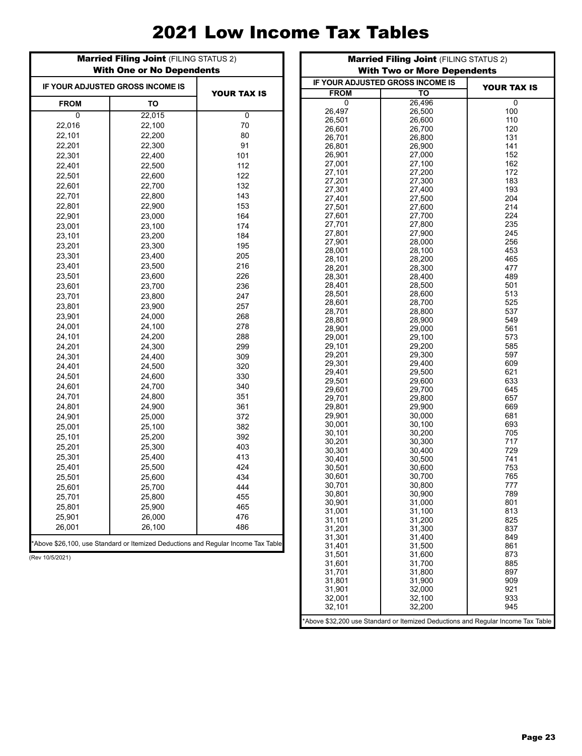# 2021 Low Income Tax Tables

|             | <b>Married Filing Joint (FILING STATUS 2)</b><br><b>With One or No Dependents</b> |                    |
|-------------|-----------------------------------------------------------------------------------|--------------------|
|             | IF YOUR ADJUSTED GROSS INCOME IS                                                  | <b>YOUR TAX IS</b> |
| <b>FROM</b> | TO                                                                                |                    |
| 0           | 22,015                                                                            | 0                  |
| 22,016      | 22,100                                                                            | 70                 |
| 22,101      | 22,200                                                                            | 80                 |
| 22,201      | 22,300                                                                            | 91                 |
| 22,301      | 22,400                                                                            | 101                |
| 22,401      | 22,500                                                                            | 112                |
| 22,501      | 22,600                                                                            | 122                |
| 22,601      | 22,700                                                                            | 132                |
| 22,701      | 22,800                                                                            | 143                |
| 22,801      | 22,900                                                                            | 153                |
| 22,901      | 23,000                                                                            | 164                |
| 23,001      | 23,100                                                                            | 174                |
| 23,101      | 23,200                                                                            | 184                |
| 23,201      | 23,300                                                                            | 195                |
| 23,301      | 23,400                                                                            | 205                |
| 23,401      | 23,500                                                                            | 216                |
| 23,501      | 23,600                                                                            | 226                |
| 23,601      | 23,700                                                                            | 236                |
| 23,701      | 23,800                                                                            | 247                |
| 23,801      | 23,900                                                                            | 257                |
| 23,901      | 24,000                                                                            | 268                |
| 24,001      | 24,100                                                                            | 278                |
| 24,101      | 24,200                                                                            | 288                |
| 24,201      | 24,300                                                                            | 299                |
| 24,301      | 24,400                                                                            | 309                |
| 24,401      | 24,500                                                                            | 320                |
| 24,501      | 24,600                                                                            | 330                |
| 24,601      | 24,700                                                                            | 340                |
| 24,701      | 24,800                                                                            | 351                |
| 24,801      | 24,900                                                                            | 361                |
| 24,901      | 25,000                                                                            | 372                |
| 25,001      | 25,100                                                                            | 382                |
| 25,101      | 25,200                                                                            | 392                |
| 25,201      | 25,300                                                                            | 403                |
| 25,301      | 25,400                                                                            | 413                |
| 25,401      | 25,500                                                                            | 424                |
| 25,501      | 25,600                                                                            | 434                |
| 25,601      | 25,700                                                                            | 444                |
| 25,701      | 25,800                                                                            | 455                |
| 25,801      | 25,900                                                                            | 465                |
| 25,901      | 26,000                                                                            | 476                |
| 26,001      | 26,100                                                                            | 486                |
|             | *Above \$26,100, use Standard or Itemized Deductions and Regular Income Tax Table |                    |

(Rev 10/5/2021)

|                  | <b>With Two or More Dependents</b> |                                                                                  |  |  |  |  |  |  |  |  |  |  |
|------------------|------------------------------------|----------------------------------------------------------------------------------|--|--|--|--|--|--|--|--|--|--|
|                  | IF YOUR ADJUSTED GROSS INCOME IS   | <b>YOUR TAX IS</b>                                                               |  |  |  |  |  |  |  |  |  |  |
| FROM             | TO                                 |                                                                                  |  |  |  |  |  |  |  |  |  |  |
| 0                | 26,496                             | 0                                                                                |  |  |  |  |  |  |  |  |  |  |
| 26,497           | 26,500                             | 100                                                                              |  |  |  |  |  |  |  |  |  |  |
| 26,501           | 26,600                             | 110                                                                              |  |  |  |  |  |  |  |  |  |  |
| 26,601           | 26,700                             | 120                                                                              |  |  |  |  |  |  |  |  |  |  |
| 26,701           | 26,800                             | 131                                                                              |  |  |  |  |  |  |  |  |  |  |
| 26,801           | 26,900                             | 141                                                                              |  |  |  |  |  |  |  |  |  |  |
| 26,901<br>27,001 | 27,000<br>27,100                   | 152<br>162                                                                       |  |  |  |  |  |  |  |  |  |  |
| 27,101           | 27,200                             | 172                                                                              |  |  |  |  |  |  |  |  |  |  |
| 27,201           | 27,300                             | 183                                                                              |  |  |  |  |  |  |  |  |  |  |
| 27,301           | 27,400                             | 193                                                                              |  |  |  |  |  |  |  |  |  |  |
| 27,401           | 27,500                             | 204                                                                              |  |  |  |  |  |  |  |  |  |  |
| 27,501           | 27,600                             | 214                                                                              |  |  |  |  |  |  |  |  |  |  |
| 27,601           | 27,700                             | 224                                                                              |  |  |  |  |  |  |  |  |  |  |
| 27,701           | 27,800                             | 235                                                                              |  |  |  |  |  |  |  |  |  |  |
| 27,801           | 27,900                             | 245                                                                              |  |  |  |  |  |  |  |  |  |  |
| 27,901           | 28,000                             | 256                                                                              |  |  |  |  |  |  |  |  |  |  |
| 28,001           | 28,100                             | 453                                                                              |  |  |  |  |  |  |  |  |  |  |
| 28,101           | 28,200                             | 465                                                                              |  |  |  |  |  |  |  |  |  |  |
| 28,201           | 28,300                             | 477                                                                              |  |  |  |  |  |  |  |  |  |  |
| 28,301           | 28,400                             | 489                                                                              |  |  |  |  |  |  |  |  |  |  |
| 28,401           | 28,500                             | 501                                                                              |  |  |  |  |  |  |  |  |  |  |
| 28,501           | 28,600                             | 513                                                                              |  |  |  |  |  |  |  |  |  |  |
| 28,601           | 28,700                             | 525                                                                              |  |  |  |  |  |  |  |  |  |  |
| 28,701           | 28,800                             | 537                                                                              |  |  |  |  |  |  |  |  |  |  |
| 28,801           | 28,900                             | 549                                                                              |  |  |  |  |  |  |  |  |  |  |
| 28,901           | 29,000                             | 561                                                                              |  |  |  |  |  |  |  |  |  |  |
| 29,001<br>29,101 | 29,100<br>29,200                   | 573<br>585                                                                       |  |  |  |  |  |  |  |  |  |  |
| 29,201           | 29,300                             | 597                                                                              |  |  |  |  |  |  |  |  |  |  |
| 29,301           | 29,400                             | 609                                                                              |  |  |  |  |  |  |  |  |  |  |
| 29,401           | 29,500                             | 621                                                                              |  |  |  |  |  |  |  |  |  |  |
| 29,501           | 29,600                             | 633                                                                              |  |  |  |  |  |  |  |  |  |  |
| 29,601           | 29,700                             | 645                                                                              |  |  |  |  |  |  |  |  |  |  |
| 29,701           | 29,800                             | 657                                                                              |  |  |  |  |  |  |  |  |  |  |
| 29,801           | 29,900                             | 669                                                                              |  |  |  |  |  |  |  |  |  |  |
| 29,901           | 30,000                             | 681                                                                              |  |  |  |  |  |  |  |  |  |  |
| 30,001           | 30,100                             | 693                                                                              |  |  |  |  |  |  |  |  |  |  |
| 30,101           | 30,200                             | 705                                                                              |  |  |  |  |  |  |  |  |  |  |
| 30,201           | 30,300                             | 717                                                                              |  |  |  |  |  |  |  |  |  |  |
| 30,301           | 30,400                             | 729                                                                              |  |  |  |  |  |  |  |  |  |  |
| 30,401           | 30,500                             | 741                                                                              |  |  |  |  |  |  |  |  |  |  |
| 30,501           | 30,600                             | 753                                                                              |  |  |  |  |  |  |  |  |  |  |
| 30,601           | 30,700                             | 765                                                                              |  |  |  |  |  |  |  |  |  |  |
| 30,701           | 30,800<br>30,900                   | 777                                                                              |  |  |  |  |  |  |  |  |  |  |
| 30,801<br>30,901 | 31,000                             | 789<br>801                                                                       |  |  |  |  |  |  |  |  |  |  |
| 31,001           | 31,100                             | 813                                                                              |  |  |  |  |  |  |  |  |  |  |
| 31,101           | 31,200                             | 825                                                                              |  |  |  |  |  |  |  |  |  |  |
| 31,201           | 31,300                             | 837                                                                              |  |  |  |  |  |  |  |  |  |  |
| 31,301           | 31,400                             | 849                                                                              |  |  |  |  |  |  |  |  |  |  |
| 31,401           | 31,500                             | 861                                                                              |  |  |  |  |  |  |  |  |  |  |
| 31,501           | 31,600                             | 873                                                                              |  |  |  |  |  |  |  |  |  |  |
| 31,601           | 31,700                             | 885                                                                              |  |  |  |  |  |  |  |  |  |  |
| 31,701           | 31,800                             | 897                                                                              |  |  |  |  |  |  |  |  |  |  |
| 31,801           | 31,900                             | 909                                                                              |  |  |  |  |  |  |  |  |  |  |
| 31,901           | 32,000                             | 921                                                                              |  |  |  |  |  |  |  |  |  |  |
| 32,001           | 32,100                             | 933                                                                              |  |  |  |  |  |  |  |  |  |  |
| 32,101           | 32,200                             | 945                                                                              |  |  |  |  |  |  |  |  |  |  |
|                  |                                    | *Above \$32,200 use Standard or Itemized Deductions and Regular Income Tax Table |  |  |  |  |  |  |  |  |  |  |

Married Filing Joint (FILING STATUS 2)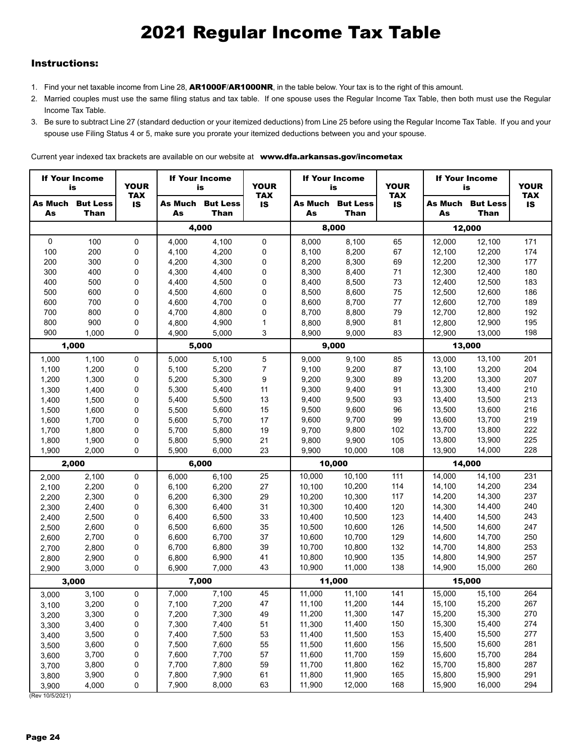### Instructions:

- 1. Find your net taxable income from Line 28, AR1000F/AR1000NR, in the table below. Your tax is to the right of this amount.
- 2. Married couples must use the same filing status and tax table. If one spouse uses the Regular Income Tax Table, then both must use the Regular Income Tax Table.
- 3. Be sure to subtract Line 27 (standard deduction or your itemized deductions) from Line 25 before using the Regular Income Tax Table. If you and your spouse use Filing Status 4 or 5, make sure you prorate your itemized deductions between you and your spouse.

Current year indexed tax brackets are available on our website at www.dfa.arkansas.gov/incometax

|                      | <b>If Your Income</b><br>is    | <b>YOUR</b><br><b>TAX</b> |               | <b>If Your Income</b><br>is    |              | <b>YOUR</b><br><b>TAX</b> |                                | <b>If Your Income</b><br>is |               |                         | <b>If Your Income</b><br>is |  |
|----------------------|--------------------------------|---------------------------|---------------|--------------------------------|--------------|---------------------------|--------------------------------|-----------------------------|---------------|-------------------------|-----------------------------|--|
| <b>As Much</b><br>As | <b>But Less</b><br><b>Than</b> | <b>IS</b>                 | As Much<br>As | <b>But Less</b><br><b>Than</b> | <b>IS</b>    | As Much<br>As             | <b>But Less</b><br><b>Than</b> | <b>TAX</b><br><b>IS</b>     | As Much<br>As | <b>But Less</b><br>Than | <b>TAX</b><br><b>IS</b>     |  |
|                      |                                |                           |               | 4,000                          |              |                           | 8,000                          |                             |               | 12,000                  |                             |  |
| 0                    | 100                            | $\Omega$                  | 4,000         | 4,100                          | 0            | 8,000                     | 8,100                          | 65                          | 12,000        | 12,100                  | 171                         |  |
| 100                  | 200                            | 0                         | 4,100         | 4,200                          | 0            | 8,100                     | 8,200                          | 67                          | 12,100        | 12,200                  | 174                         |  |
| 200                  | 300                            | 0                         | 4,200         | 4,300                          | 0            | 8,200                     | 8,300                          | 69                          | 12,200        | 12,300                  | 177                         |  |
| 300                  | 400                            | 0                         | 4,300         | 4,400                          | 0            | 8,300                     | 8,400                          | 71                          | 12,300        | 12,400                  | 180                         |  |
| 400                  | 500                            | 0                         | 4,400         | 4,500                          | 0            | 8,400                     | 8,500                          | 73                          | 12,400        | 12,500                  | 183                         |  |
| 500                  | 600                            | $\Omega$                  | 4,500         | 4,600                          | 0            | 8,500                     | 8,600                          | 75                          | 12,500        | 12,600                  | 186                         |  |
| 600                  | 700                            | 0                         | 4,600         | 4,700                          | 0            | 8,600                     | 8,700                          | 77                          | 12,600        | 12,700                  | 189                         |  |
| 700                  | 800                            | 0                         | 4,700         | 4,800                          | 0            | 8,700                     | 8,800                          | 79                          | 12,700        | 12,800                  | 192                         |  |
| 800                  | 900                            | 0                         | 4,800         | 4,900                          | $\mathbf{1}$ | 8,800                     | 8,900                          | 81                          | 12,800        | 12,900                  | 195                         |  |
| 900                  | 1,000                          | $\Omega$                  | 4,900         | 5,000                          | 3            | 8,900                     | 9,000                          | 83                          | 12,900        | 13,000                  | 198                         |  |
|                      | 1,000                          |                           |               | 5,000                          |              |                           | 9,000                          |                             |               | 13,000                  |                             |  |
| 1,000                | 1,100                          | 0                         | 5,000         | 5,100                          | 5            | 9,000                     | 9,100                          | 85                          | 13,000        | 13,100                  | 201                         |  |
| 1,100                | 1,200                          | 0                         | 5,100         | 5,200                          | 7            | 9,100                     | 9,200                          | 87                          | 13,100        | 13,200                  | 204                         |  |
| 1,200                | 1,300                          | 0                         | 5,200         | 5,300                          | 9            | 9,200                     | 9,300                          | 89                          | 13,200        | 13,300                  | 207                         |  |
| 1,300                | 1,400                          | 0                         | 5,300         | 5,400                          | 11           | 9,300                     | 9,400                          | 91                          | 13,300        | 13,400                  | 210                         |  |
| 1,400                | 1,500                          | 0                         | 5,400         | 5,500                          | 13           | 9,400                     | 9,500                          | 93                          | 13,400        | 13,500                  | 213                         |  |
| 1,500                | 1,600                          | 0                         | 5,500         | 5,600                          | 15           | 9,500                     | 9,600                          | 96                          | 13,500        | 13,600                  | 216                         |  |
| 1,600                | 1,700                          | 0                         | 5,600         | 5,700                          | 17           | 9,600                     | 9,700                          | 99                          | 13,600        | 13,700                  | 219                         |  |
| 1,700                | 1,800                          | 0                         | 5,700         | 5,800                          | 19           | 9,700                     | 9,800                          | 102                         | 13,700        | 13,800                  | 222                         |  |
| 1,800                | 1,900                          | 0                         | 5,800         | 5,900                          | 21           | 9,800                     | 9,900                          | 105                         | 13,800        | 13,900                  | 225                         |  |
| 1,900                | 2,000                          | $\Omega$                  | 5,900         | 6,000                          | 23           | 9,900                     | 10,000                         | 108                         | 13,900        | 14,000                  | 228                         |  |
|                      | 2,000                          |                           |               | 6,000                          |              |                           | 10,000                         |                             |               | 14,000                  |                             |  |
| 2,000                | 2,100                          | 0                         | 6,000         | 6,100                          | 25           | 10,000                    | 10,100                         | 111                         | 14,000        | 14,100                  | 231                         |  |
| 2,100                | 2,200                          | 0                         | 6,100         | 6,200                          | 27           | 10,100                    | 10,200                         | 114                         | 14,100        | 14,200                  | 234                         |  |
| 2,200                | 2,300                          | 0                         | 6,200         | 6,300                          | 29           | 10,200                    | 10,300                         | 117                         | 14,200        | 14,300                  | 237                         |  |
| 2,300                | 2,400                          | 0                         | 6,300         | 6,400                          | 31           | 10,300                    | 10,400                         | 120                         | 14,300        | 14,400                  | 240                         |  |
| 2,400                | 2,500                          | 0                         | 6,400         | 6,500                          | 33           | 10,400                    | 10,500                         | 123                         | 14,400        | 14,500                  | 243                         |  |
| 2,500                | 2,600                          | 0                         | 6,500         | 6,600                          | 35           | 10,500                    | 10,600                         | 126                         | 14,500        | 14,600                  | 247                         |  |
| 2,600                | 2,700                          | 0                         | 6,600         | 6,700                          | 37           | 10,600                    | 10,700                         | 129                         | 14,600        | 14,700                  | 250                         |  |
| 2,700                | 2,800                          | 0                         | 6,700         | 6,800                          | 39           | 10,700                    | 10,800                         | 132                         | 14,700        | 14,800                  | 253                         |  |
| 2,800                | 2,900                          | 0                         | 6,800         | 6,900                          | 41           | 10,800                    | 10,900                         | 135                         | 14,800        | 14,900                  | 257                         |  |
| 2,900                | 3,000                          | $\Omega$                  | 6,900         | 7,000                          | 43           | 10,900                    | 11,000                         | 138                         | 14,900        | 15,000                  | 260                         |  |
|                      | 3,000                          |                           |               | 7,000                          |              |                           | 11,000                         |                             |               | 15,000                  |                             |  |
| 3,000                | 3,100                          | $\Omega$                  | 7,000         | 7,100                          | 45           | 11,000                    | 11,100                         | 141                         | 15,000        | 15,100                  | 264                         |  |
| 3,100                | 3,200                          | 0                         | 7,100         | 7,200                          | 47           | 11,100                    | 11,200                         | 144                         | 15,100        | 15,200                  | 267                         |  |
| 3,200                | 3,300                          | 0                         | 7,200         | 7,300                          | 49           | 11,200                    | 11,300                         | 147                         | 15,200        | 15,300                  | 270                         |  |
| 3,300                | 3,400                          | 0                         | 7,300         | 7,400                          | 51           | 11,300                    | 11,400                         | 150                         | 15,300        | 15,400                  | 274                         |  |
| 3,400                | 3,500                          | 0                         | 7,400         | 7,500                          | 53           | 11,400                    | 11,500                         | 153                         | 15,400        | 15,500                  | 277                         |  |
| 3,500                | 3,600                          | 0                         | 7,500         | 7,600                          | 55           | 11,500                    | 11,600                         | 156                         | 15,500        | 15,600                  | 281                         |  |
| 3,600                | 3,700                          | 0                         | 7,600         | 7,700                          | 57           | 11,600                    | 11,700                         | 159                         | 15,600        | 15,700                  | 284                         |  |
| 3,700                | 3,800                          | 0                         | 7,700         | 7,800                          | 59           | 11,700                    | 11,800                         | 162                         | 15,700        | 15,800                  | 287                         |  |
| 3,800                | 3,900                          | 0                         | 7,800         | 7,900                          | 61           | 11,800                    | 11,900                         | 165                         | 15,800        | 15,900                  | 291                         |  |
| 3,900                | 4,000                          | 0                         | 7,900         | 8,000                          | 63           | 11,900                    | 12,000                         | 168                         | 15,900        | 16,000                  | 294                         |  |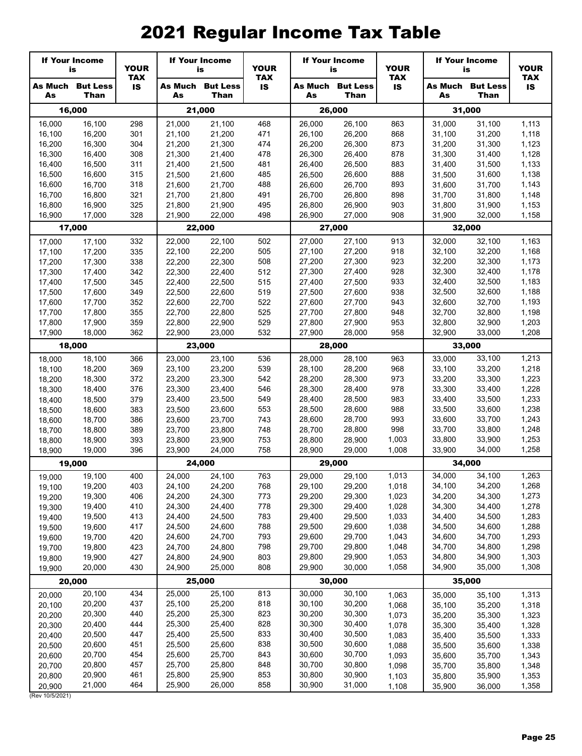|                  | <b>If Your Income</b><br>is     | <b>YOUR</b>             |                  | <b>If Your Income</b><br>is            |            | <b>If Your Income</b><br><b>YOUR</b><br>is<br><b>TAX</b> |                                 | <b>YOUR</b>             |                  | <b>If Your Income</b><br>is     | <b>YOUR</b>             |
|------------------|---------------------------------|-------------------------|------------------|----------------------------------------|------------|----------------------------------------------------------|---------------------------------|-------------------------|------------------|---------------------------------|-------------------------|
| As               | <b>As Much But Less</b><br>Than | <b>TAX</b><br><b>IS</b> | As               | <b>As Much But Less</b><br><b>Than</b> | <b>IS</b>  | As                                                       | <b>As Much But Less</b><br>Than | <b>TAX</b><br><b>IS</b> | As               | <b>As Much But Less</b><br>Than | <b>TAX</b><br><b>IS</b> |
|                  | 16,000                          |                         |                  | 21,000                                 |            |                                                          | 26,000                          |                         |                  | 31,000                          |                         |
| 16,000           | 16,100                          | 298                     | 21,000           | 21,100                                 | 468        | 26,000                                                   | 26,100                          | 863                     | 31,000           | 31,100                          | 1,113                   |
| 16,100           | 16,200                          | 301                     | 21,100           | 21,200                                 | 471        | 26,100                                                   | 26,200                          | 868                     | 31,100           | 31,200                          | 1,118                   |
| 16,200           | 16,300                          | 304                     | 21,200           | 21,300                                 | 474        | 26,200                                                   | 26,300                          | 873                     | 31,200           | 31,300                          | 1,123                   |
| 16,300<br>16,400 | 16,400<br>16,500                | 308<br>311              | 21,300<br>21,400 | 21,400<br>21,500                       | 478<br>481 | 26,300<br>26,400                                         | 26,400<br>26,500                | 878<br>883              | 31,300<br>31,400 | 31,400<br>31,500                | 1,128<br>1,133          |
| 16,500           | 16,600                          | 315                     | 21,500           | 21,600                                 | 485        | 26,500                                                   | 26,600                          | 888                     | 31,500           | 31,600                          | 1,138                   |
| 16,600           | 16,700                          | 318                     | 21,600           | 21,700                                 | 488        | 26,600                                                   | 26,700                          | 893                     | 31,600           | 31,700                          | 1,143                   |
| 16,700           | 16,800                          | 321                     | 21,700           | 21,800                                 | 491        | 26,700                                                   | 26,800                          | 898                     | 31,700           | 31,800                          | 1,148                   |
| 16,800           | 16,900                          | 325                     | 21,800           | 21,900                                 | 495        | 26,800                                                   | 26,900                          | 903                     | 31,800           | 31,900                          | 1,153                   |
| 16,900           | 17,000                          | 328                     | 21,900           | 22,000                                 | 498        | 26,900                                                   | 27,000                          | 908                     | 31,900           | 32,000                          | 1,158                   |
|                  | 17,000                          |                         |                  | 22,000                                 |            |                                                          | 27,000                          |                         |                  | 32,000                          |                         |
| 17,000           | 17,100                          | 332                     | 22,000           | 22,100                                 | 502        | 27,000                                                   | 27,100                          | 913                     | 32,000           | 32,100                          | 1,163                   |
| 17,100           | 17,200                          | 335                     | 22,100           | 22,200                                 | 505        | 27,100                                                   | 27,200                          | 918                     | 32,100           | 32,200                          | 1,168                   |
| 17,200           | 17,300                          | 338                     | 22,200           | 22,300                                 | 508        | 27,200                                                   | 27,300                          | 923                     | 32,200           | 32,300                          | 1,173                   |
| 17,300<br>17,400 | 17,400<br>17,500                | 342<br>345              | 22,300<br>22,400 | 22,400<br>22,500                       | 512<br>515 | 27,300<br>27,400                                         | 27,400<br>27,500                | 928<br>933              | 32,300<br>32,400 | 32,400<br>32,500                | 1,178<br>1,183          |
| 17,500           | 17,600                          | 349                     | 22,500           | 22,600                                 | 519        | 27,500                                                   | 27,600                          | 938                     | 32,500           | 32,600                          | 1,188                   |
| 17,600           | 17,700                          | 352                     | 22,600           | 22,700                                 | 522        | 27,600                                                   | 27,700                          | 943                     | 32,600           | 32,700                          | 1,193                   |
| 17,700           | 17,800                          | 355                     | 22,700           | 22,800                                 | 525        | 27,700                                                   | 27,800                          | 948                     | 32,700           | 32,800                          | 1,198                   |
| 17,800           | 17,900                          | 359                     | 22,800           | 22,900                                 | 529        | 27,800                                                   | 27,900                          | 953                     | 32,800           | 32,900                          | 1,203                   |
| 17,900           | 18,000                          | 362                     | 22,900           | 23,000                                 | 532        | 27,900                                                   | 28,000                          | 958                     | 32,900           | 33,000                          | 1,208                   |
|                  | 18,000                          |                         |                  | 23,000                                 |            |                                                          | 28,000                          |                         |                  | 33,000                          |                         |
| 18,000           | 18,100                          | 366                     | 23,000           | 23,100                                 | 536        | 28,000                                                   | 28,100                          | 963                     | 33,000           | 33,100                          | 1,213                   |
| 18,100           | 18,200                          | 369                     | 23,100           | 23,200                                 | 539        | 28,100                                                   | 28,200                          | 968                     | 33,100           | 33,200                          | 1,218                   |
| 18,200           | 18,300                          | 372                     | 23,200           | 23,300                                 | 542        | 28,200                                                   | 28,300                          | 973<br>978              | 33,200           | 33,300                          | 1,223                   |
| 18,300<br>18,400 | 18,400<br>18,500                | 376<br>379              | 23,300<br>23,400 | 23,400<br>23,500                       | 546<br>549 | 28,300<br>28,400                                         | 28,400<br>28,500                | 983                     | 33,300<br>33,400 | 33,400<br>33,500                | 1,228<br>1,233          |
| 18,500           | 18,600                          | 383                     | 23,500           | 23,600                                 | 553        | 28,500                                                   | 28,600                          | 988                     | 33,500           | 33,600                          | 1,238                   |
| 18,600           | 18,700                          | 386                     | 23,600           | 23,700                                 | 743        | 28,600                                                   | 28,700                          | 993                     | 33,600           | 33,700                          | 1,243                   |
| 18,700           | 18,800                          | 389                     | 23,700           | 23,800                                 | 748        | 28,700                                                   | 28,800                          | 998                     | 33,700           | 33,800                          | 1,248                   |
| 18,800           | 18,900                          | 393                     | 23,800           | 23,900                                 | 753        | 28,800                                                   | 28,900                          | 1,003                   | 33,800           | 33,900                          | 1,253                   |
| 18,900           | 19,000                          | 396                     | 23,900           | 24,000                                 | 758        | 28,900                                                   | 29,000                          | 1,008                   | 33,900           | 34,000                          | 1,258                   |
|                  | 19,000                          |                         |                  | 24,000                                 |            |                                                          | 29,000                          |                         |                  | 34,000                          |                         |
| 19,000           | 19,100                          | 400                     | 24.000           | 24,100                                 | 763        | 29,000                                                   | 29,100                          | 1,013                   | 34,000           | 34,100                          | 1,263                   |
| 19,100           | 19,200                          | 403                     | 24,100           | 24,200                                 | 768        | 29,100                                                   | 29,200                          | 1,018                   | 34,100           | 34,200                          | 1,268<br>1,273          |
| 19,200<br>19,300 | 19,300<br>19,400                | 406<br>410              | 24,200<br>24,300 | 24,300<br>24,400                       | 773<br>778 | 29,200<br>29,300                                         | 29,300<br>29,400                | 1,023<br>1,028          | 34,200<br>34,300 | 34,300<br>34,400                | 1,278                   |
| 19,400           | 19,500                          | 413                     | 24,400           | 24,500                                 | 783        | 29,400                                                   | 29,500                          | 1,033                   | 34,400           | 34,500                          | 1,283                   |
| 19,500           | 19,600                          | 417                     | 24,500           | 24,600                                 | 788        | 29,500                                                   | 29,600                          | 1,038                   | 34,500           | 34,600                          | 1,288                   |
| 19,600           | 19,700                          | 420                     | 24,600           | 24,700                                 | 793        | 29,600                                                   | 29,700                          | 1,043                   | 34,600           | 34,700                          | 1,293                   |
| 19,700           | 19,800                          | 423                     | 24,700           | 24,800                                 | 798        | 29,700                                                   | 29,800                          | 1,048                   | 34,700           | 34,800                          | 1,298                   |
| 19,800           | 19,900                          | 427                     | 24,800           | 24,900                                 | 803        | 29,800                                                   | 29,900                          | 1,053                   | 34,800           | 34,900                          | 1,303                   |
| 19,900           | 20,000                          | 430                     | 24,900           | 25,000                                 | 808        | 29,900                                                   | 30,000                          | 1,058                   | 34,900           | 35,000                          | 1,308                   |
|                  | 20,000                          |                         |                  | 25,000                                 |            |                                                          | 30,000                          |                         |                  | 35,000                          |                         |
| 20,000           | 20,100                          | 434                     | 25,000           | 25,100                                 | 813        | 30,000                                                   | 30,100                          | 1,063                   | 35,000           | 35,100                          | 1,313                   |
| 20,100           | 20,200                          | 437                     | 25,100           | 25,200                                 | 818        | 30,100                                                   | 30,200                          | 1,068                   | 35,100           | 35,200                          | 1,318                   |
| 20,200           | 20,300                          | 440                     | 25,200           | 25,300<br>25,400                       | 823<br>828 | 30,200<br>30,300                                         | 30,300                          | 1,073                   | 35,200           | 35,300                          | 1,323                   |
| 20,300<br>20,400 | 20,400<br>20,500                | 444<br>447              | 25,300<br>25,400 | 25,500                                 | 833        | 30,400                                                   | 30,400<br>30,500                | 1,078<br>1,083          | 35,300<br>35,400 | 35,400<br>35,500                | 1,328<br>1,333          |
| 20,500           | 20,600                          | 451                     | 25,500           | 25,600                                 | 838        | 30,500                                                   | 30,600                          | 1,088                   | 35,500           | 35,600                          | 1,338                   |
| 20,600           | 20,700                          | 454                     | 25,600           | 25,700                                 | 843        | 30,600                                                   | 30,700                          | 1,093                   | 35,600           | 35,700                          | 1,343                   |
| 20,700           | 20,800                          | 457                     | 25,700           | 25,800                                 | 848        | 30,700                                                   | 30,800                          | 1,098                   | 35,700           | 35,800                          | 1,348                   |
| 20,800           | 20,900                          | 461                     | 25,800           | 25,900                                 | 853        | 30,800                                                   | 30,900                          | 1,103                   | 35,800           | 35,900                          | 1,353                   |
| 20,900           | 21,000                          | 464                     | 25,900           | 26,000                                 | 858        | 30,900                                                   | 31,000                          | 1,108                   | 35,900           | 36,000                          | 1,358                   |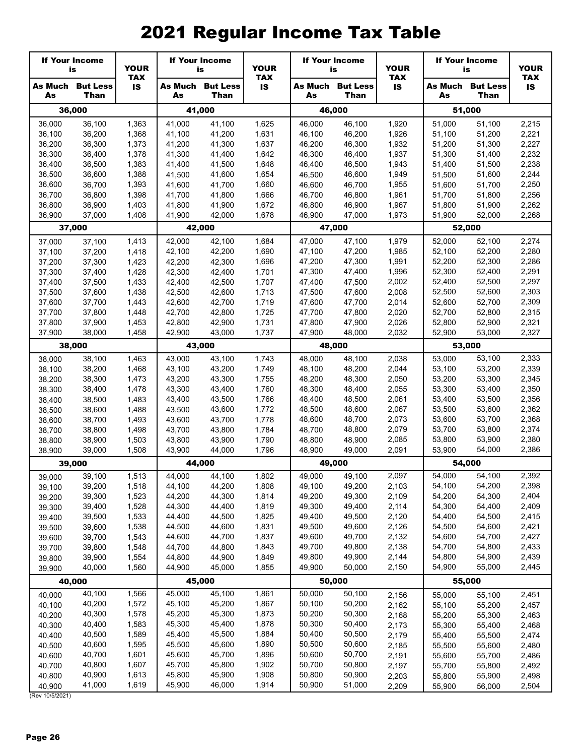|                  | <b>If Your Income</b><br>is     | <b>YOUR</b>             |                  | <b>If Your Income</b><br>is            |                | <b>If Your Income</b><br><b>YOUR</b><br>is<br><b>TAX</b> |                                        | <b>YOUR</b>             | <b>If Your Income</b><br>is | <b>YOUR</b>                            |                         |
|------------------|---------------------------------|-------------------------|------------------|----------------------------------------|----------------|----------------------------------------------------------|----------------------------------------|-------------------------|-----------------------------|----------------------------------------|-------------------------|
| As               | <b>As Much But Less</b><br>Than | <b>TAX</b><br><b>IS</b> | As               | <b>As Much But Less</b><br><b>Than</b> | <b>IS</b>      | As                                                       | <b>As Much But Less</b><br><b>Than</b> | <b>TAX</b><br><b>IS</b> | As                          | <b>As Much But Less</b><br><b>Than</b> | <b>TAX</b><br><b>IS</b> |
|                  | 36,000                          |                         |                  | 41,000                                 |                |                                                          | 46,000                                 |                         |                             | 51,000                                 |                         |
| 36,000           | 36,100                          | 1,363                   | 41,000           | 41,100                                 | 1,625          | 46,000                                                   | 46,100                                 | 1,920                   | 51,000                      | 51,100                                 | 2,215                   |
| 36,100           | 36,200                          | 1,368                   | 41,100           | 41,200                                 | 1,631          | 46,100                                                   | 46,200                                 | 1,926                   | 51,100                      | 51,200                                 | 2,221                   |
| 36,200           | 36,300                          | 1,373                   | 41,200           | 41,300                                 | 1,637          | 46,200                                                   | 46,300                                 | 1,932                   | 51,200                      | 51,300                                 | 2,227                   |
| 36,300           | 36,400                          | 1,378                   | 41,300           | 41,400                                 | 1,642          | 46,300                                                   | 46,400                                 | 1,937                   | 51,300                      | 51,400                                 | 2,232                   |
| 36,400<br>36,500 | 36,500<br>36,600                | 1,383<br>1,388          | 41,400<br>41,500 | 41,500<br>41,600                       | 1,648<br>1,654 | 46,400<br>46,500                                         | 46,500<br>46,600                       | 1,943<br>1,949          | 51,400<br>51,500            | 51,500<br>51,600                       | 2,238<br>2,244          |
| 36,600           | 36,700                          | 1,393                   | 41,600           | 41,700                                 | 1,660          | 46,600                                                   | 46,700                                 | 1,955                   | 51,600                      | 51,700                                 | 2,250                   |
| 36,700           | 36,800                          | 1,398                   | 41,700           | 41,800                                 | 1,666          | 46,700                                                   | 46,800                                 | 1,961                   | 51,700                      | 51,800                                 | 2,256                   |
| 36,800           | 36,900                          | 1,403                   | 41,800           | 41,900                                 | 1,672          | 46,800                                                   | 46,900                                 | 1,967                   | 51,800                      | 51,900                                 | 2,262                   |
| 36,900           | 37,000                          | 1,408                   | 41,900           | 42,000                                 | 1,678          | 46,900                                                   | 47,000                                 | 1,973                   | 51,900                      | 52,000                                 | 2,268                   |
|                  | 37,000                          |                         |                  | 42,000                                 |                |                                                          | 47,000                                 |                         |                             | 52,000                                 |                         |
| 37,000           | 37,100                          | 1,413                   | 42,000           | 42,100                                 | 1,684          | 47,000                                                   | 47,100                                 | 1,979                   | 52,000                      | 52,100                                 | 2,274                   |
| 37,100           | 37,200                          | 1,418                   | 42,100           | 42,200                                 | 1,690          | 47,100                                                   | 47,200                                 | 1,985                   | 52,100                      | 52,200                                 | 2,280                   |
| 37,200           | 37,300                          | 1,423                   | 42,200           | 42,300                                 | 1,696          | 47,200                                                   | 47,300                                 | 1,991                   | 52,200                      | 52,300                                 | 2,286                   |
| 37,300           | 37,400                          | 1,428                   | 42,300           | 42,400                                 | 1,701          | 47,300                                                   | 47,400                                 | 1,996                   | 52,300                      | 52,400                                 | 2,291                   |
| 37,400<br>37,500 | 37,500<br>37,600                | 1,433<br>1,438          | 42,400<br>42,500 | 42,500<br>42,600                       | 1,707<br>1,713 | 47,400<br>47,500                                         | 47,500<br>47,600                       | 2,002<br>2,008          | 52,400<br>52,500            | 52,500<br>52,600                       | 2,297<br>2,303          |
| 37,600           | 37,700                          | 1,443                   | 42,600           | 42,700                                 | 1,719          | 47,600                                                   | 47,700                                 | 2,014                   | 52,600                      | 52,700                                 | 2,309                   |
| 37,700           | 37,800                          | 1,448                   | 42,700           | 42,800                                 | 1,725          | 47,700                                                   | 47,800                                 | 2,020                   | 52,700                      | 52,800                                 | 2,315                   |
| 37,800           | 37,900                          | 1,453                   | 42,800           | 42,900                                 | 1,731          | 47,800                                                   | 47,900                                 | 2,026                   | 52,800                      | 52,900                                 | 2,321                   |
| 37,900           | 38,000                          | 1,458                   | 42.900           | 43,000                                 | 1,737          | 47,900                                                   | 48,000                                 | 2,032                   | 52,900                      | 53,000                                 | 2,327                   |
|                  | 38,000                          |                         |                  | 43,000                                 |                |                                                          | 48,000                                 |                         |                             | 53,000                                 |                         |
| 38,000           | 38,100                          | 1,463                   | 43,000           | 43,100                                 | 1,743          | 48,000                                                   | 48,100                                 | 2,038                   | 53,000                      | 53,100                                 | 2,333                   |
| 38,100           | 38,200                          | 1,468                   | 43,100           | 43,200                                 | 1,749          | 48,100                                                   | 48,200                                 | 2,044                   | 53,100                      | 53,200                                 | 2,339                   |
| 38,200           | 38,300                          | 1,473                   | 43,200           | 43,300                                 | 1,755          | 48,200                                                   | 48,300                                 | 2,050                   | 53,200                      | 53,300                                 | 2,345                   |
| 38,300           | 38,400                          | 1,478                   | 43,300           | 43,400                                 | 1,760          | 48,300                                                   | 48,400                                 | 2,055                   | 53,300                      | 53,400                                 | 2,350                   |
| 38,400<br>38,500 | 38,500<br>38,600                | 1,483<br>1,488          | 43,400<br>43,500 | 43,500<br>43,600                       | 1,766<br>1,772 | 48,400<br>48,500                                         | 48,500<br>48,600                       | 2,061<br>2,067          | 53,400<br>53,500            | 53,500<br>53,600                       | 2,356<br>2,362          |
| 38,600           | 38,700                          | 1,493                   | 43,600           | 43,700                                 | 1,778          | 48,600                                                   | 48,700                                 | 2,073                   | 53,600                      | 53,700                                 | 2,368                   |
| 38,700           | 38,800                          | 1,498                   | 43,700           | 43,800                                 | 1,784          | 48,700                                                   | 48,800                                 | 2,079                   | 53,700                      | 53,800                                 | 2,374                   |
| 38,800           | 38,900                          | 1,503                   | 43,800           | 43,900                                 | 1,790          | 48,800                                                   | 48,900                                 | 2,085                   | 53,800                      | 53,900                                 | 2,380                   |
| 38,900           | 39,000                          | 1,508                   | 43,900           | 44,000                                 | 1,796          | 48,900                                                   | 49.000                                 | 2,091                   | 53,900                      | 54,000                                 | 2,386                   |
|                  | 39,000                          |                         |                  | 44,000                                 |                |                                                          | 49,000                                 |                         |                             | 54,000                                 |                         |
| 39,000           | 39,100                          | 1,513                   | 44,000           | 44,100                                 | 1.802          | 49,000                                                   | 49,100                                 | 2,097                   | 54,000                      | 54,100                                 | 2,392                   |
| 39,100           | 39,200                          | 1,518                   |                  | 44,100 44,200                          | 1,808          |                                                          | 49,100 49,200                          | 2,103                   | 54,100                      | 54,200                                 | 2,398                   |
| 39,200           | 39,300                          | 1,523                   | 44,200           | 44,300                                 | 1,814          | 49,200                                                   | 49,300                                 | 2,109                   | 54,200                      | 54,300                                 | 2,404                   |
| 39,300           | 39,400<br>39,500                | 1,528<br>1,533          | 44,300<br>44,400 | 44,400<br>44,500                       | 1,819<br>1,825 | 49,300<br>49,400                                         | 49,400<br>49,500                       | 2,114<br>2,120          | 54,300<br>54,400            | 54,400<br>54,500                       | 2,409<br>2,415          |
| 39,400<br>39,500 | 39,600                          | 1,538                   | 44,500           | 44,600                                 | 1,831          | 49,500                                                   | 49,600                                 | 2,126                   | 54,500                      | 54,600                                 | 2,421                   |
| 39,600           | 39,700                          | 1,543                   | 44,600           | 44,700                                 | 1,837          | 49,600                                                   | 49,700                                 | 2,132                   | 54,600                      | 54,700                                 | 2,427                   |
| 39,700           | 39,800                          | 1,548                   | 44,700           | 44,800                                 | 1,843          | 49,700                                                   | 49,800                                 | 2,138                   | 54,700                      | 54,800                                 | 2,433                   |
| 39,800           | 39,900                          | 1,554                   | 44,800           | 44,900                                 | 1,849          | 49,800                                                   | 49,900                                 | 2,144                   | 54,800                      | 54,900                                 | 2,439                   |
| 39,900           | 40,000                          | 1,560                   | 44,900           | 45,000                                 | 1,855          | 49,900                                                   | 50,000                                 | 2,150                   | 54,900                      | 55,000                                 | 2,445                   |
|                  | 40,000                          |                         |                  | 45,000                                 |                |                                                          | 50,000                                 |                         |                             | 55,000                                 |                         |
| 40,000           | 40,100                          | 1,566                   | 45,000           | 45,100                                 | 1,861          | 50,000                                                   | 50,100                                 | 2,156                   | 55,000                      | 55,100                                 | 2,451                   |
| 40,100           | 40,200                          | 1,572                   | 45,100           | 45,200                                 | 1,867          | 50,100                                                   | 50,200                                 | 2,162                   | 55,100                      | 55,200                                 | 2,457                   |
| 40,200           | 40,300                          | 1,578                   | 45,200           | 45,300                                 | 1,873          | 50,200                                                   | 50,300                                 | 2,168                   | 55,200                      | 55,300                                 | 2,463                   |
| 40,300           | 40,400                          | 1,583                   | 45,300           | 45,400                                 | 1,878          | 50,300                                                   | 50,400                                 | 2,173                   | 55,300                      | 55,400                                 | 2,468                   |
| 40,400           | 40,500<br>40,600                | 1,589<br>1,595          | 45,400<br>45,500 | 45,500<br>45,600                       | 1,884<br>1,890 | 50,400<br>50,500                                         | 50,500<br>50,600                       | 2,179                   | 55,400                      | 55,500                                 | 2,474                   |
| 40,500<br>40,600 | 40,700                          | 1,601                   | 45,600           | 45,700                                 | 1,896          | 50,600                                                   | 50,700                                 | 2,185<br>2,191          | 55,500<br>55,600            | 55,600<br>55,700                       | 2,480<br>2,486          |
| 40,700           | 40,800                          | 1,607                   | 45,700           | 45,800                                 | 1,902          | 50,700                                                   | 50,800                                 | 2,197                   | 55,700                      | 55,800                                 | 2,492                   |
| 40,800           | 40,900                          | 1,613                   | 45,800           | 45,900                                 | 1,908          | 50,800                                                   | 50,900                                 | 2,203                   | 55,800                      | 55,900                                 | 2,498                   |
| 40,900           | 41,000                          | 1,619                   | 45,900           | 46,000                                 | 1,914          | 50,900                                                   | 51,000                                 | 2,209                   | 55,900                      | 56,000                                 | 2,504                   |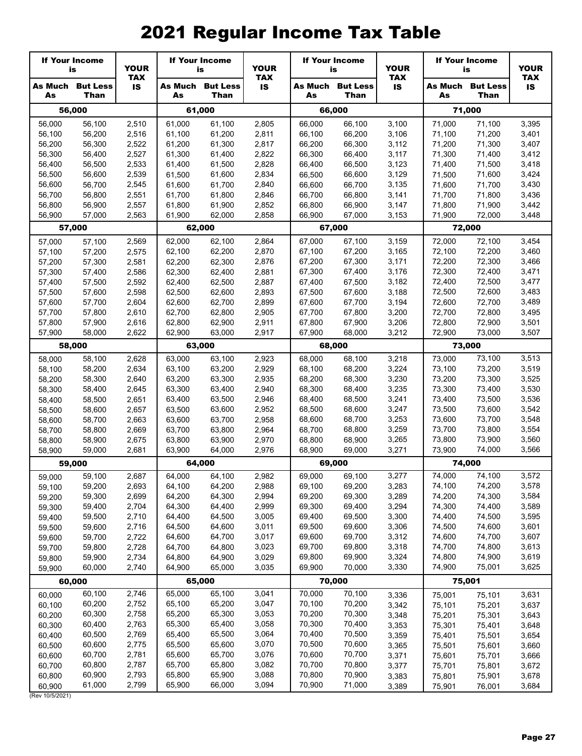|                  | <b>If Your Income</b><br>is            | <b>YOUR</b>             |                  | <b>If Your Income</b><br>is            |                | <b>YOUR</b><br><b>TAX</b> |                                        |                         | <b>If Your Income</b><br>is |                                        |                         | <b>If Your Income</b><br>is | <b>YOUR</b> |
|------------------|----------------------------------------|-------------------------|------------------|----------------------------------------|----------------|---------------------------|----------------------------------------|-------------------------|-----------------------------|----------------------------------------|-------------------------|-----------------------------|-------------|
| As               | <b>As Much But Less</b><br><b>Than</b> | <b>TAX</b><br><b>IS</b> | As               | <b>As Much But Less</b><br><b>Than</b> | <b>IS</b>      | As                        | <b>As Much But Less</b><br><b>Than</b> | <b>TAX</b><br><b>IS</b> | As                          | <b>As Much But Less</b><br><b>Than</b> | <b>TAX</b><br><b>IS</b> |                             |             |
|                  | 56,000                                 |                         |                  | 61,000                                 |                |                           | 66,000                                 |                         |                             | 71,000                                 |                         |                             |             |
| 56,000           | 56,100                                 | 2,510                   | 61,000           | 61,100                                 | 2,805          | 66,000                    | 66,100                                 | 3,100                   | 71,000                      | 71,100                                 | 3,395                   |                             |             |
| 56,100           | 56,200                                 | 2,516                   | 61,100           | 61,200                                 | 2,811          | 66,100                    | 66,200                                 | 3,106                   | 71,100                      | 71,200                                 | 3,401                   |                             |             |
| 56,200           | 56,300                                 | 2,522                   | 61,200           | 61,300                                 | 2,817          | 66,200                    | 66,300                                 | 3,112                   | 71,200                      | 71,300                                 | 3,407                   |                             |             |
| 56,300<br>56,400 | 56,400<br>56,500                       | 2,527<br>2,533          | 61,300<br>61,400 | 61,400<br>61,500                       | 2,822<br>2,828 | 66,300<br>66,400          | 66,400<br>66,500                       | 3,117<br>3,123          | 71,300<br>71,400            | 71,400<br>71,500                       | 3,412<br>3,418          |                             |             |
| 56,500           | 56,600                                 | 2,539                   | 61,500           | 61,600                                 | 2,834          | 66,500                    | 66,600                                 | 3,129                   | 71,500                      | 71,600                                 | 3,424                   |                             |             |
| 56,600           | 56,700                                 | 2,545                   | 61,600           | 61,700                                 | 2,840          | 66,600                    | 66,700                                 | 3,135                   | 71,600                      | 71,700                                 | 3,430                   |                             |             |
| 56,700           | 56,800                                 | 2,551                   | 61,700           | 61,800                                 | 2,846          | 66,700                    | 66,800                                 | 3,141                   | 71,700                      | 71,800                                 | 3,436                   |                             |             |
| 56,800           | 56,900                                 | 2,557                   | 61,800           | 61,900                                 | 2,852          | 66,800                    | 66,900                                 | 3,147                   | 71,800                      | 71,900                                 | 3,442                   |                             |             |
| 56,900           | 57,000                                 | 2,563                   | 61,900           | 62,000                                 | 2,858          | 66,900                    | 67,000                                 | 3,153                   | 71,900                      | 72,000                                 | 3,448                   |                             |             |
|                  | 57,000                                 |                         |                  | 62,000                                 |                |                           | 67,000                                 |                         |                             | 72,000                                 |                         |                             |             |
| 57,000           | 57,100                                 | 2,569                   | 62,000           | 62,100                                 | 2,864          | 67,000                    | 67,100                                 | 3,159                   | 72,000                      | 72,100                                 | 3,454                   |                             |             |
| 57,100           | 57,200                                 | 2,575                   | 62,100           | 62,200                                 | 2,870          | 67,100                    | 67,200                                 | 3,165                   | 72,100                      | 72,200                                 | 3,460                   |                             |             |
| 57,200           | 57,300                                 | 2,581                   | 62,200           | 62,300                                 | 2,876          | 67,200                    | 67,300                                 | 3,171                   | 72,200                      | 72,300                                 | 3,466                   |                             |             |
| 57,300<br>57,400 | 57,400<br>57,500                       | 2,586<br>2,592          | 62,300<br>62,400 | 62,400<br>62,500                       | 2,881<br>2,887 | 67,300<br>67,400          | 67,400<br>67,500                       | 3,176<br>3,182          | 72,300<br>72,400            | 72,400<br>72,500                       | 3,471<br>3,477          |                             |             |
| 57,500           | 57,600                                 | 2,598                   | 62,500           | 62,600                                 | 2,893          | 67,500                    | 67,600                                 | 3,188                   | 72,500                      | 72,600                                 | 3,483                   |                             |             |
| 57,600           | 57,700                                 | 2,604                   | 62,600           | 62,700                                 | 2,899          | 67,600                    | 67,700                                 | 3,194                   | 72,600                      | 72,700                                 | 3,489                   |                             |             |
| 57,700           | 57,800                                 | 2,610                   | 62,700           | 62,800                                 | 2,905          | 67,700                    | 67,800                                 | 3,200                   | 72,700                      | 72,800                                 | 3,495                   |                             |             |
| 57,800           | 57,900                                 | 2,616                   | 62,800           | 62,900                                 | 2,911          | 67,800                    | 67,900                                 | 3,206                   | 72,800                      | 72,900                                 | 3,501                   |                             |             |
| 57,900           | 58,000                                 | 2,622                   | 62,900           | 63,000                                 | 2,917          | 67,900                    | 68,000                                 | 3,212                   | 72,900                      | 73,000                                 | 3,507                   |                             |             |
|                  | 58,000                                 |                         |                  | 63,000                                 |                |                           | 68,000                                 |                         |                             | 73,000                                 |                         |                             |             |
| 58,000           | 58,100                                 | 2,628                   | 63,000           | 63,100                                 | 2,923          | 68,000                    | 68,100                                 | 3,218                   | 73,000                      | 73,100                                 | 3,513                   |                             |             |
| 58,100           | 58,200                                 | 2,634                   | 63,100           | 63,200                                 | 2,929          | 68,100                    | 68,200                                 | 3,224                   | 73,100                      | 73,200                                 | 3,519                   |                             |             |
| 58,200           | 58,300<br>58,400                       | 2,640<br>2,645          | 63,200<br>63,300 | 63,300<br>63,400                       | 2,935<br>2,940 | 68,200<br>68,300          | 68,300<br>68,400                       | 3,230<br>3,235          | 73,200<br>73,300            | 73,300<br>73,400                       | 3,525<br>3,530          |                             |             |
| 58,300<br>58,400 | 58,500                                 | 2,651                   | 63,400           | 63,500                                 | 2,946          | 68,400                    | 68,500                                 | 3,241                   | 73,400                      | 73,500                                 | 3,536                   |                             |             |
| 58,500           | 58,600                                 | 2,657                   | 63,500           | 63,600                                 | 2,952          | 68,500                    | 68,600                                 | 3,247                   | 73,500                      | 73,600                                 | 3,542                   |                             |             |
| 58,600           | 58,700                                 | 2,663                   | 63,600           | 63,700                                 | 2,958          | 68,600                    | 68,700                                 | 3,253                   | 73,600                      | 73,700                                 | 3,548                   |                             |             |
| 58,700           | 58,800                                 | 2,669                   | 63,700           | 63,800                                 | 2,964          | 68,700                    | 68,800                                 | 3,259                   | 73,700                      | 73,800                                 | 3,554                   |                             |             |
| 58,800           | 58,900                                 | 2,675                   | 63,800           | 63,900                                 | 2,970          | 68,800                    | 68,900                                 | 3,265                   | 73,800                      | 73,900                                 | 3,560                   |                             |             |
| 58,900           | 59,000                                 | 2,681                   | 63,900           | 64,000                                 | 2,976          | 68,900                    | 69,000                                 | 3,271                   | 73,900                      | 74,000                                 | 3,566                   |                             |             |
|                  | 59,000                                 |                         |                  | 64,000                                 |                |                           | 69,000                                 |                         |                             | 74,000                                 |                         |                             |             |
| 59,000           | 59,100                                 | 2,687                   | 64,000           | 64,100                                 | 2,982          | 69,000                    | 69,100                                 | 3,277                   | 74,000                      | 74,100                                 | 3,572                   |                             |             |
| 59,100           | 59,200                                 | 2,693                   | 64,100           | 64,200                                 | 2,988          | 69,100                    | 69,200                                 | 3,283                   | 74,100                      | 74,200                                 | 3,578                   |                             |             |
| 59,200<br>59,300 | 59,300<br>59,400                       | 2,699<br>2,704          | 64,200<br>64,300 | 64,300<br>64,400                       | 2,994<br>2,999 | 69,200<br>69,300          | 69,300<br>69,400                       | 3,289<br>3,294          | 74,200<br>74,300            | 74,300<br>74,400                       | 3,584<br>3,589          |                             |             |
| 59,400           | 59,500                                 | 2,710                   | 64,400           | 64,500                                 | 3,005          | 69,400                    | 69,500                                 | 3,300                   | 74,400                      | 74,500                                 | 3,595                   |                             |             |
| 59,500           | 59,600                                 | 2,716                   | 64,500           | 64,600                                 | 3,011          | 69,500                    | 69,600                                 | 3,306                   | 74,500                      | 74,600                                 | 3,601                   |                             |             |
| 59,600           | 59,700                                 | 2,722                   | 64,600           | 64,700                                 | 3,017          | 69,600                    | 69,700                                 | 3,312                   | 74,600                      | 74,700                                 | 3,607                   |                             |             |
| 59,700           | 59,800                                 | 2,728                   | 64,700           | 64,800                                 | 3,023          | 69,700                    | 69,800                                 | 3,318                   | 74,700                      | 74,800                                 | 3,613                   |                             |             |
| 59,800           | 59,900                                 | 2,734                   | 64,800           | 64,900                                 | 3,029          | 69,800                    | 69,900                                 | 3,324                   | 74,800                      | 74,900                                 | 3,619                   |                             |             |
| 59,900           | 60,000                                 | 2,740                   | 64,900           | 65,000                                 | 3,035          | 69,900                    | 70,000                                 | 3,330                   | 74,900                      | 75,001                                 | 3,625                   |                             |             |
|                  | 60,000                                 |                         |                  | 65,000                                 |                |                           | 70,000                                 |                         |                             | 75,001                                 |                         |                             |             |
| 60,000           | 60,100                                 | 2,746                   | 65,000           | 65,100                                 | 3,041          | 70,000                    | 70,100                                 | 3,336                   | 75,001                      | 75,101                                 | 3,631                   |                             |             |
| 60,100           | 60,200                                 | 2,752                   | 65,100           | 65,200<br>65,300                       | 3,047<br>3,053 | 70,100<br>70,200          | 70,200<br>70,300                       | 3,342                   | 75,101                      | 75,201                                 | 3,637                   |                             |             |
| 60,200<br>60,300 | 60,300<br>60,400                       | 2,758<br>2,763          | 65,200<br>65,300 | 65,400                                 | 3,058          | 70,300                    | 70,400                                 | 3,348<br>3,353          | 75,201<br>75,301            | 75,301<br>75,401                       | 3,643<br>3,648          |                             |             |
| 60,400           | 60,500                                 | 2,769                   | 65,400           | 65,500                                 | 3,064          | 70,400                    | 70,500                                 | 3,359                   | 75,401                      | 75,501                                 | 3,654                   |                             |             |
| 60,500           | 60,600                                 | 2,775                   | 65,500           | 65,600                                 | 3,070          | 70,500                    | 70,600                                 | 3,365                   | 75,501                      | 75,601                                 | 3,660                   |                             |             |
| 60,600           | 60,700                                 | 2,781                   | 65,600           | 65,700                                 | 3,076          | 70,600                    | 70,700                                 | 3,371                   | 75,601                      | 75,701                                 | 3,666                   |                             |             |
| 60,700           | 60,800                                 | 2,787                   | 65,700           | 65,800                                 | 3,082          | 70,700                    | 70,800                                 | 3,377                   | 75,701                      | 75,801                                 | 3,672                   |                             |             |
| 60,800           | 60,900                                 | 2,793                   | 65,800           | 65,900                                 | 3,088          | 70,800                    | 70,900                                 | 3,383                   | 75,801                      | 75,901                                 | 3,678                   |                             |             |
| 60,900           | 61,000                                 | 2,799                   | 65,900           | 66,000                                 | 3,094          | 70,900                    | 71,000                                 | 3,389                   | 75,901                      | 76,001                                 | 3,684                   |                             |             |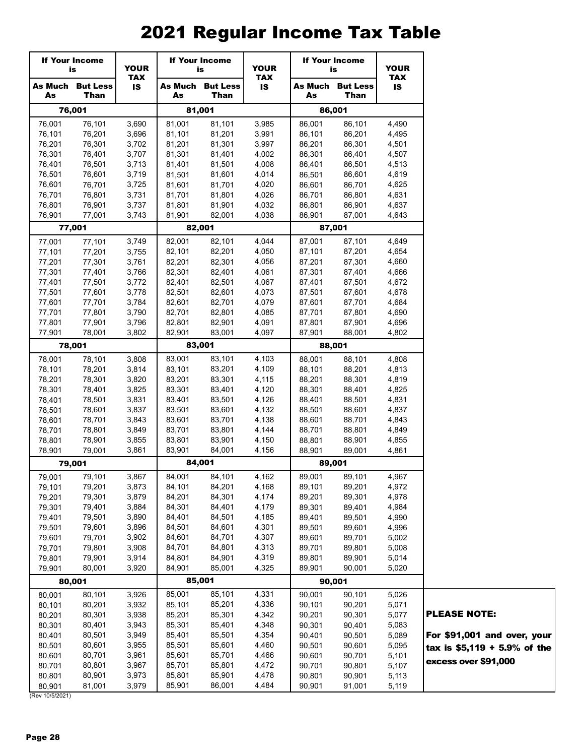|                  | <b>If Your Income</b><br>is     | <b>YOUR</b>      |                  | <b>If Your Income</b><br>is | <b>YOUR</b>             | <b>If Your Income</b><br>is |                         | <b>YOUR</b>             |
|------------------|---------------------------------|------------------|------------------|-----------------------------|-------------------------|-----------------------------|-------------------------|-------------------------|
| As               | <b>As Much But Less</b><br>Than | <b>TAX</b><br>IS | As Much<br>As    | <b>But Less</b><br>Than     | <b>TAX</b><br><b>IS</b> | As Much<br>As               | <b>But Less</b><br>Than | <b>TAX</b><br><b>IS</b> |
|                  | 76,001                          |                  | 81,001           |                             |                         |                             | 86,001                  |                         |
| 76,001           | 76,101                          | 3,690            | 81,001           | 81,101                      | 3,985                   | 86,001                      | 86,101                  | 4,490                   |
| 76,101           | 76,201                          | 3,696            | 81,101           | 81,201                      | 3,991                   | 86,101                      | 86,201                  | 4,495                   |
| 76,201           | 76,301                          | 3,702            | 81,201           | 81,301                      | 3,997                   | 86,201                      | 86,301                  | 4,501                   |
| 76,301           | 76,401                          | 3,707            | 81,301           | 81,401                      | 4,002                   | 86,301                      | 86,401                  | 4,507                   |
| 76,401           | 76,501                          | 3,713            | 81,401           | 81,501                      | 4,008                   | 86,401                      | 86,501                  | 4,513                   |
| 76,501           | 76,601                          | 3,719            | 81,501           | 81,601                      | 4,014                   | 86,501                      | 86,601                  | 4,619                   |
| 76,601           | 76,701                          | 3,725            | 81,601           | 81,701                      | 4,020                   | 86,601                      | 86,701                  | 4,625                   |
| 76,701           | 76,801                          | 3,731            | 81,701           | 81,801                      | 4,026                   | 86,701                      | 86,801                  | 4,631                   |
| 76,801           | 76,901                          | 3,737            | 81,801           | 81,901                      | 4,032                   | 86,801                      | 86,901                  | 4,637                   |
| 76,901           | 77,001                          | 3,743            | 81,901           | 82,001                      | 4,038                   | 86,901                      | 87,001                  | 4,643                   |
|                  | 77,001                          |                  |                  | 82,001                      |                         |                             | 87,001                  |                         |
| 77,001           | 77,101                          | 3,749            | 82,001           | 82,101                      | 4,044                   | 87,001                      | 87,101                  | 4,649                   |
| 77,101           | 77,201                          | 3,755            | 82,101           | 82,201                      | 4,050                   | 87,101                      | 87,201                  | 4,654                   |
| 77,201           | 77,301                          | 3,761            | 82,201           | 82,301                      | 4,056                   | 87,201                      | 87,301                  | 4,660                   |
| 77,301           | 77,401                          | 3,766            | 82,301           | 82,401                      | 4,061                   | 87,301                      | 87,401                  | 4,666                   |
| 77,401           | 77,501                          | 3,772            | 82,401           | 82,501                      | 4,067                   | 87,401                      | 87,501                  | 4,672                   |
| 77,501           | 77,601                          | 3,778            | 82,501           | 82,601                      | 4,073                   | 87,501                      | 87,601                  | 4,678                   |
| 77,601           | 77,701                          | 3,784            | 82,601           | 82,701                      | 4,079                   | 87,601                      | 87,701                  | 4,684                   |
| 77,701           | 77,801                          | 3,790            | 82,701           | 82,801                      | 4,085                   | 87,701                      | 87,801                  | 4,690                   |
| 77,801           | 77,901                          | 3,796            | 82,801           | 82,901                      | 4,091                   | 87,801                      | 87,901                  | 4,696                   |
| 77,901           | 78,001                          | 3,802            | 82,901           | 83,001<br>83,001            | 4,097                   | 87,901                      | 88,001                  | 4,802                   |
|                  | 78,001                          |                  |                  |                             |                         |                             | 88,001                  |                         |
| 78,001           | 78,101                          | 3,808            | 83,001           | 83,101                      | 4,103                   | 88,001                      | 88,101                  | 4,808                   |
| 78,101           | 78,201                          | 3,814            | 83,101           | 83,201                      | 4,109                   | 88,101                      | 88,201                  | 4,813                   |
| 78,201           | 78,301                          | 3,820            | 83,201           | 83,301                      | 4,115                   | 88,201                      | 88,301                  | 4,819                   |
| 78,301<br>78,401 | 78,401<br>78,501                | 3,825<br>3,831   | 83,301<br>83,401 | 83,401<br>83,501            | 4,120<br>4,126          | 88,301<br>88,401            | 88,401<br>88,501        | 4,825<br>4,831          |
| 78,501           | 78,601                          | 3,837            | 83,501           | 83,601                      | 4,132                   | 88,501                      | 88,601                  | 4,837                   |
| 78,601           | 78,701                          | 3,843            | 83,601           | 83,701                      | 4,138                   | 88,601                      | 88,701                  | 4,843                   |
| 78,701           | 78,801                          | 3,849            | 83,701           | 83,801                      | 4,144                   | 88,701                      | 88,801                  | 4,849                   |
| 78,801           | 78,901                          | 3,855            | 83,801           | 83,901                      | 4,150                   | 88,801                      | 88,901                  | 4,855                   |
| 78,901           | 79,001                          | 3,861            | 83,901           | 84,001                      | 4,156                   | 88,901                      | 89,001                  | 4,861                   |
|                  | 79,001                          |                  |                  | 84.001                      |                         |                             | 89,001                  |                         |
| 79,001           | 79,101                          | 3,867            | 84,001           | 84,101                      | 4,162                   | 89,001                      | 89,101                  | 4,967                   |
| 79,101           | 79,201                          | 3,873            | 84,101           | 84,201                      | 4,168                   | 89,101                      | 89,201                  | 4,972                   |
| 79,201           | 79,301                          | 3,879            | 84,201           | 84,301                      | 4,174                   | 89,201                      | 89,301                  | 4,978                   |
| 79,301           | 79,401                          | 3,884            | 84,301           | 84,401                      | 4,179                   | 89,301                      | 89,401                  | 4,984                   |
| 79,401           | 79,501                          | 3,890            | 84,401           | 84,501                      | 4,185                   | 89,401                      | 89,501                  | 4,990                   |
| 79,501           | 79,601                          | 3,896            | 84,501           | 84,601                      | 4,301                   | 89,501                      | 89,601                  | 4,996                   |
| 79,601           | 79,701                          | 3,902            | 84,601           | 84,701                      | 4,307                   | 89,601                      | 89,701                  | 5,002                   |
| 79,701           | 79,801                          | 3,908            | 84,701           | 84,801                      | 4,313                   | 89,701                      | 89,801                  | 5,008                   |
| 79,801           | 79,901                          | 3,914            | 84,801           | 84,901                      | 4,319                   | 89,801                      | 89,901                  | 5,014                   |
| 79,901           | 80,001                          | 3,920            | 84,901           | 85,001                      | 4,325                   | 89,901                      | 90,001                  | 5,020                   |
|                  | 80,001                          |                  |                  | 85,001                      |                         |                             | 90,001                  |                         |
| 80,001           | 80,101                          | 3,926            | 85,001           | 85,101                      | 4,331                   | 90,001                      | 90,101                  | 5,026                   |
| 80,101           | 80,201                          | 3,932            | 85,101           | 85,201                      | 4,336                   | 90,101                      | 90,201                  | 5,071                   |
| 80,201           | 80,301                          | 3,938            | 85,201           | 85,301                      | 4,342                   | 90,201                      | 90,301                  | 5,077                   |
| 80,301           | 80,401                          | 3,943            | 85,301           | 85,401                      | 4,348                   | 90,301                      | 90,401                  | 5,083                   |
| 80,401           | 80,501                          | 3,949            | 85,401           | 85,501                      | 4,354                   | 90,401                      | 90,501                  | 5,089                   |
| 80,501           | 80,601                          | 3,955            | 85,501           | 85,601                      | 4,460                   | 90,501                      | 90,601                  | 5,095                   |
| 80,601           | 80,701                          | 3,961            | 85,601           | 85,701                      | 4,466                   | 90,601                      | 90,701                  | 5,101                   |
| 80,701           | 80,801                          | 3,967            | 85,701           | 85,801                      | 4,472                   | 90,701                      | 90,801                  | 5,107                   |
| 80,801           | 80,901                          | 3,973            | 85,801           | 85,901                      | 4,478                   | 90,801                      | 90,901                  | 5,113                   |
| 80,901           | 81,001                          | 3,979            | 85,901           | 86,001                      | 4,484                   | 90,901                      | 91,001                  | 5,119                   |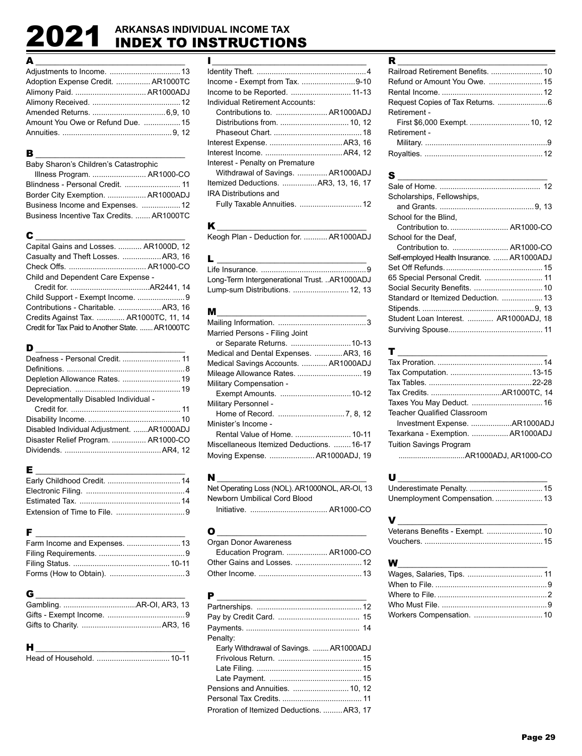# 2021 **ARKANSAS INDIVIDUAL INCOME TAX** INDEX TO INSTRUCTIONS

| $\begin{array}{c}\n\mathbf{A} \quad \text{---} \\ \hline\n\end{array}$ |  |
|------------------------------------------------------------------------|--|
|                                                                        |  |
| Adoption Expense Credit.  AR1000TC                                     |  |
|                                                                        |  |
|                                                                        |  |
|                                                                        |  |
| Amount You Owe or Refund Due.  15                                      |  |
|                                                                        |  |

### B \_\_\_\_\_\_\_\_\_\_\_\_\_\_\_\_\_\_\_\_\_\_\_\_\_\_\_\_\_\_\_

| Baby Sharon's Children's Catastrophic     |  |
|-------------------------------------------|--|
| Illness Program.  AR1000-CO               |  |
|                                           |  |
| Border City Exemption.  AR1000ADJ         |  |
| Business Income and Expenses.  12         |  |
| Business Incentive Tax Credits.  AR1000TC |  |

| С                                               |  |
|-------------------------------------------------|--|
| Capital Gains and Losses.  AR1000D, 12          |  |
| Casualty and Theft Losses.  AR3, 16             |  |
|                                                 |  |
| Child and Dependent Care Expense -              |  |
|                                                 |  |
| Child Support - Exempt Income. 9                |  |
| Contributions - Charitable.  AR3, 16            |  |
| Credits Against Tax.  AR1000TC, 11, 14          |  |
| Credit for Tax Paid to Another State.  AR1000TC |  |

| Deafness - Personal Credit.  11           |  |
|-------------------------------------------|--|
|                                           |  |
| Depletion Allowance Rates.  19            |  |
|                                           |  |
| Developmentally Disabled Individual -     |  |
|                                           |  |
|                                           |  |
| Disabled Individual Adjustment. AR1000ADJ |  |
| Disaster Relief Program.  AR1000-CO       |  |
|                                           |  |
|                                           |  |

### F \_\_\_\_\_\_\_\_\_\_\_\_\_\_\_\_\_\_\_\_\_\_\_\_\_\_\_\_\_\_\_

| Farm Income and Expenses.  13 |  |
|-------------------------------|--|
|                               |  |
|                               |  |
|                               |  |

### G \_\_\_\_\_\_\_\_\_\_\_\_\_\_\_\_\_\_\_\_\_\_\_\_\_\_\_\_\_\_\_

### H \_\_\_\_\_\_\_\_\_\_\_\_\_\_\_\_\_\_\_\_\_\_\_\_\_\_\_\_\_\_\_

Head of Household. ..................................10-11

| ı                                    |  |
|--------------------------------------|--|
|                                      |  |
| Income - Exempt from Tax. 9-10       |  |
| Income to be Reported.  11-13        |  |
| Individual Retirement Accounts:      |  |
| Contributions to.  AR1000ADJ         |  |
|                                      |  |
|                                      |  |
|                                      |  |
|                                      |  |
| Interest - Penalty on Premature      |  |
| Withdrawal of Savings.  AR1000ADJ    |  |
| Itemized Deductions. AR3. 13. 16. 17 |  |
| <b>IRA Distributions and</b>         |  |
| Fully Taxable Annuities.  12         |  |

### K \_\_\_\_\_\_\_\_\_\_\_\_\_\_\_\_\_\_\_\_\_\_\_\_\_\_\_\_\_\_\_

Keogh Plan - Deduction for. ........... AR1000ADJ

| <b>L</b> and the state of the state of the state of the state of the state of the state of the state of the state of the state of the state of the state of the state of the state of the state of the state of the state of the st |  |
|-------------------------------------------------------------------------------------------------------------------------------------------------------------------------------------------------------------------------------------|--|
|                                                                                                                                                                                                                                     |  |
| Long-Term Intergenerational Trust. AR1000ADJ                                                                                                                                                                                        |  |
| Lump-sum Distributions.  12, 13                                                                                                                                                                                                     |  |

| м                                        |  |
|------------------------------------------|--|
|                                          |  |
| Married Persons - Filing Joint           |  |
|                                          |  |
| Medical and Dental Expenses. AR3, 16     |  |
| Medical Savings Accounts.  AR1000ADJ     |  |
| Mileage Allowance Rates.  19             |  |
| <b>Military Compensation -</b>           |  |
|                                          |  |
| Military Personnel -                     |  |
|                                          |  |
| Minister's Income -                      |  |
| Rental Value of Home.  10-11             |  |
| Miscellaneous Itemized Deductions. 16-17 |  |
| Moving Expense.  AR1000ADJ, 19           |  |

N \_\_\_\_\_\_\_\_\_\_\_\_\_\_\_\_\_\_\_\_\_\_\_\_\_\_\_\_\_\_\_ Net Operating Loss (NOL). AR1000NOL, AR-OI, 13 Newborn Umbilical Cord Blood Initiative. .................................... AR1000-CO

| O                             |  |
|-------------------------------|--|
| Organ Donor Awareness         |  |
| Education Program.  AR1000-CO |  |
|                               |  |
|                               |  |

| Early Withdrawal of Savings.  AR1000ADJ    |
|--------------------------------------------|
|                                            |
|                                            |
|                                            |
| Pensions and Annuities.  10. 12            |
|                                            |
| Proration of Itemized Deductions.  AR3, 17 |
|                                            |

| Railroad Retirement Benefits.  10 |  |
|-----------------------------------|--|
|                                   |  |
|                                   |  |
|                                   |  |
| Retirement -                      |  |
|                                   |  |
| Retirement -                      |  |
|                                   |  |
|                                   |  |

| S                                          |
|--------------------------------------------|
|                                            |
| Scholarships, Fellowships,                 |
|                                            |
| School for the Blind.                      |
| Contribution to.  AR1000-CO                |
| School for the Deaf.                       |
| Contribution to.  AR1000-CO                |
| Self-employed Health Insurance.  AR1000ADJ |
|                                            |
| 65 Special Personal Credit.  11            |
|                                            |
| Standard or Itemized Deduction.  13        |
|                                            |
| Student Loan Interest.  AR1000ADJ. 18      |
|                                            |

| T __                              |  |
|-----------------------------------|--|
|                                   |  |
|                                   |  |
|                                   |  |
|                                   |  |
|                                   |  |
| Teacher Qualified Classroom       |  |
| Investment Expense. AR1000ADJ     |  |
| Texarkana - Exemption.  AR1000ADJ |  |
| Tuition Savings Program           |  |
|                                   |  |
|                                   |  |

| U                              |  |
|--------------------------------|--|
|                                |  |
| Unemployment Compensation.  13 |  |

| V                               |  |
|---------------------------------|--|
| Veterans Benefits - Exempt.  10 |  |
|                                 |  |